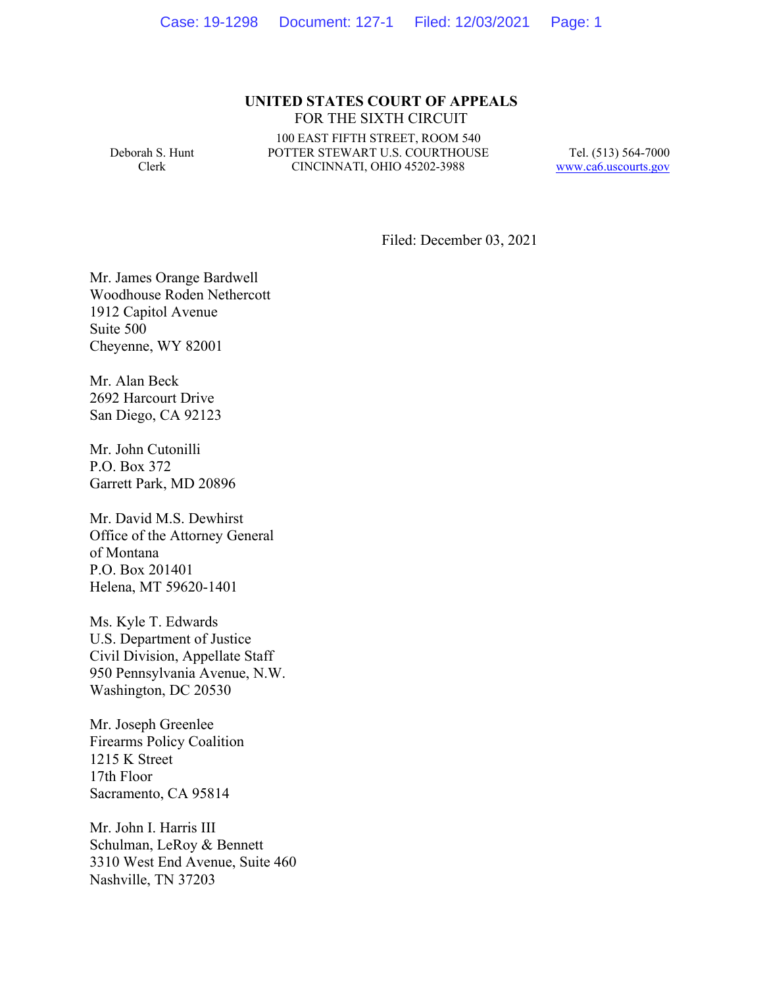#### **UNITED STATES COURT OF APPEALS** FOR THE SIXTH CIRCUIT

Deborah S. Hunt Clerk

100 EAST FIFTH STREET, ROOM 540 POTTER STEWART U.S. COURTHOUSE CINCINNATI, OHIO 45202-3988

Tel. (513) 564-7000 www.ca6.uscourts.gov

Filed: December 03, 2021

Mr. James Orange Bardwell Woodhouse Roden Nethercott 1912 Capitol Avenue Suite 500 Cheyenne, WY 82001

Mr. Alan Beck 2692 Harcourt Drive San Diego, CA 92123

Mr. John Cutonilli P.O. Box 372 Garrett Park, MD 20896

Mr. David M.S. Dewhirst Office of the Attorney General of Montana P.O. Box 201401 Helena, MT 59620-1401

Ms. Kyle T. Edwards U.S. Department of Justice Civil Division, Appellate Staff 950 Pennsylvania Avenue, N.W. Washington, DC 20530

Mr. Joseph Greenlee Firearms Policy Coalition 1215 K Street 17th Floor Sacramento, CA 95814

Mr. John I. Harris III Schulman, LeRoy & Bennett 3310 West End Avenue, Suite 460 Nashville, TN 37203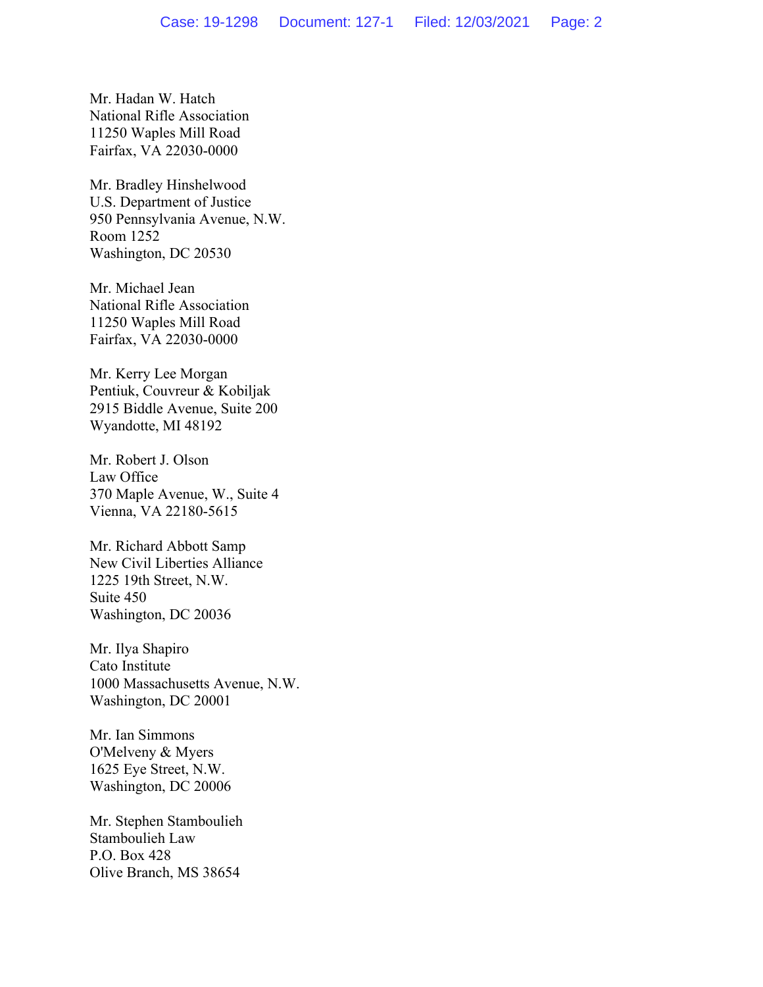Mr. Hadan W. Hatch National Rifle Association 11250 Waples Mill Road Fairfax, VA 22030-0000

Mr. Bradley Hinshelwood U.S. Department of Justice 950 Pennsylvania Avenue, N.W. Room 1252 Washington, DC 20530

Mr. Michael Jean National Rifle Association 11250 Waples Mill Road Fairfax, VA 22030-0000

Mr. Kerry Lee Morgan Pentiuk, Couvreur & Kobiljak 2915 Biddle Avenue, Suite 200 Wyandotte, MI 48192

Mr. Robert J. Olson Law Office 370 Maple Avenue, W., Suite 4 Vienna, VA 22180-5615

Mr. Richard Abbott Samp New Civil Liberties Alliance 1225 19th Street, N.W. Suite 450 Washington, DC 20036

Mr. Ilya Shapiro Cato Institute 1000 Massachusetts Avenue, N.W. Washington, DC 20001

Mr. Ian Simmons O'Melveny & Myers 1625 Eye Street, N.W. Washington, DC 20006

Mr. Stephen Stamboulieh Stamboulieh Law P.O. Box 428 Olive Branch, MS 38654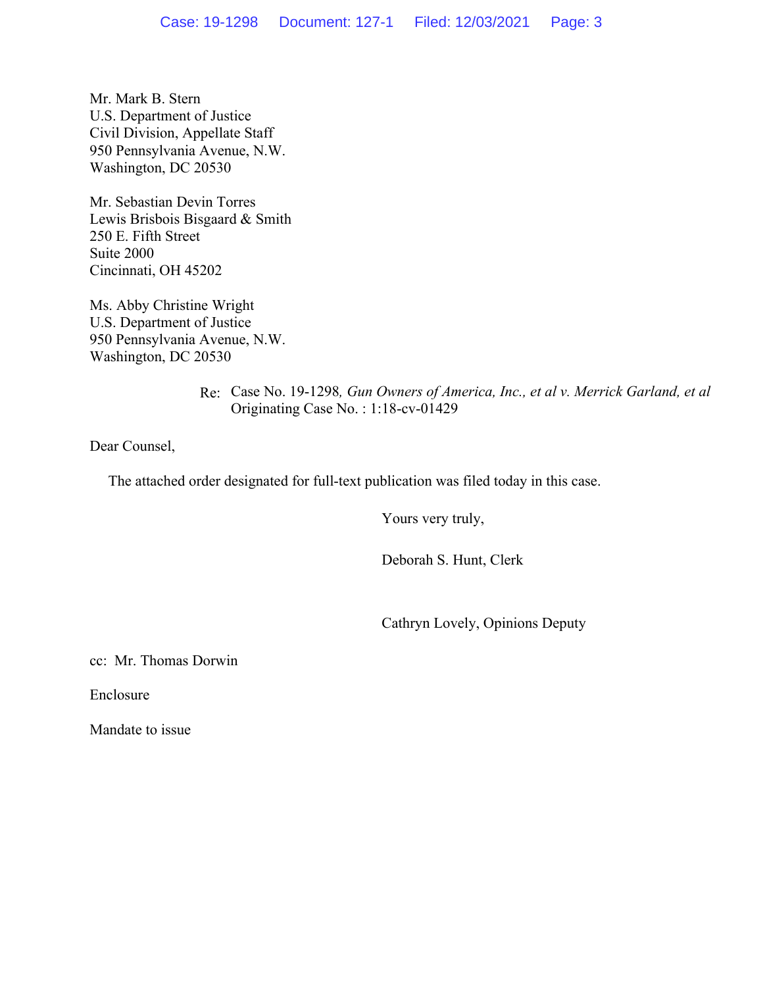Mr. Mark B. Stern U.S. Department of Justice Civil Division, Appellate Staff 950 Pennsylvania Avenue, N.W. Washington, DC 20530

Mr. Sebastian Devin Torres Lewis Brisbois Bisgaard & Smith 250 E. Fifth Street Suite 2000 Cincinnati, OH 45202

Ms. Abby Christine Wright U.S. Department of Justice 950 Pennsylvania Avenue, N.W. Washington, DC 20530

> Re: Case No. 19-1298*, Gun Owners of America, Inc., et al v. Merrick Garland, et al* Originating Case No. : 1:18-cv-01429

Dear Counsel,

The attached order designated for full-text publication was filed today in this case.

Yours very truly,

Deborah S. Hunt, Clerk

Cathryn Lovely, Opinions Deputy

cc: Mr. Thomas Dorwin

Enclosure

Mandate to issue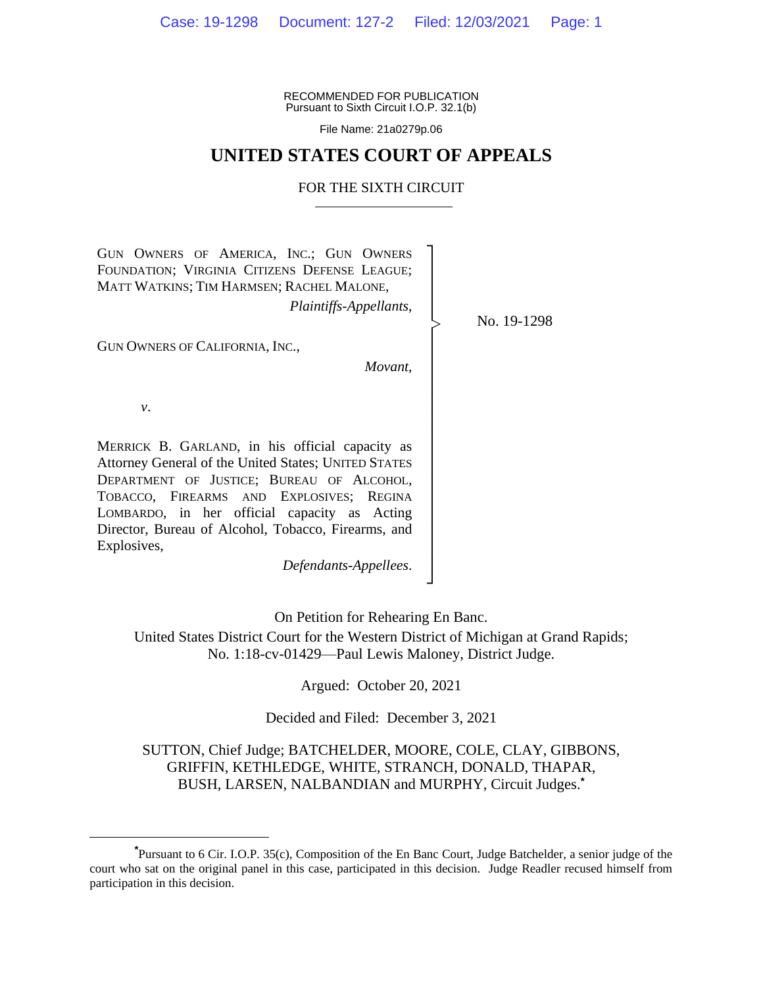RECOMMENDED FOR PUBLICATION Pursuant to Sixth Circuit I.O.P. 32.1(b)

File Name: 21a0279p.06

### **UNITED STATES COURT OF APPEALS**

#### FOR THE SIXTH CIRCUIT

┐ │ │ │ │ │ │ │ │ │ │ │ │ │ │ │ │ │ │ │ ┘

|<br>|<br>|

GUN OWNERS OF AMERICA, INC.; GUN OWNERS FOUNDATION; VIRGINIA CITIZENS DEFENSE LEAGUE; MATT WATKINS; TIM HARMSEN; RACHEL MALONE,

*Plaintiffs-Appellants*,

GUN OWNERS OF CALIFORNIA, INC.,

*Movant*,

*v*.

MERRICK B. GARLAND, in his official capacity as Attorney General of the United States; UNITED STATES DEPARTMENT OF JUSTICE; BUREAU OF ALCOHOL, TOBACCO, FIREARMS AND EXPLOSIVES; REGINA LOMBARDO, in her official capacity as Acting Director, Bureau of Alcohol, Tobacco, Firearms, and Explosives,

*Defendants-Appellees*.

On Petition for Rehearing En Banc.

United States District Court for the Western District of Michigan at Grand Rapids; No. 1:18-cv-01429—Paul Lewis Maloney, District Judge.

Argued: October 20, 2021

Decided and Filed: December 3, 2021

### SUTTON, Chief Judge; BATCHELDER, MOORE, COLE, CLAY, GIBBONS, GRIFFIN, KETHLEDGE, WHITE, STRANCH, DONALD, THAPAR, BUSH, LARSEN, NALBANDIAN and MURPHY, Circuit Judges.**\***

No. 19-1298

**<sup>\*</sup>**Pursuant to 6 Cir. I.O.P. 35(c), Composition of the En Banc Court, Judge Batchelder, a senior judge of the court who sat on the original panel in this case, participated in this decision. Judge Readler recused himself from participation in this decision.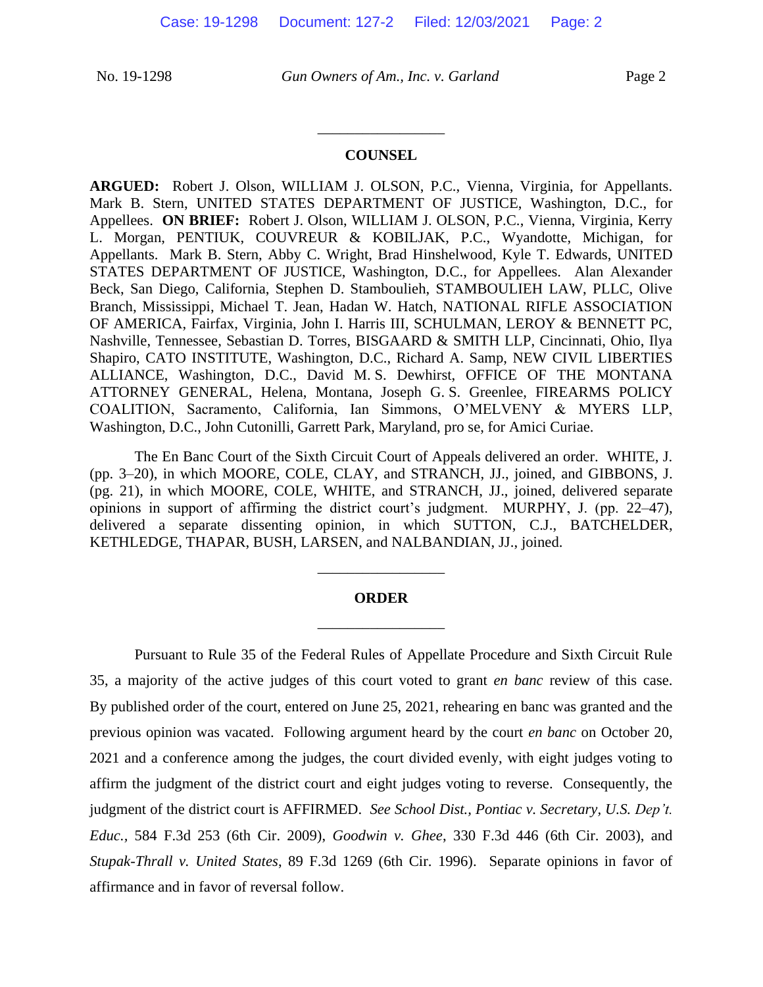#### **COUNSEL**

\_\_\_\_\_\_\_\_\_\_\_\_\_\_\_\_\_

**ARGUED:** Robert J. Olson, WILLIAM J. OLSON, P.C., Vienna, Virginia, for Appellants. Mark B. Stern, UNITED STATES DEPARTMENT OF JUSTICE, Washington, D.C., for Appellees. **ON BRIEF:** Robert J. Olson, WILLIAM J. OLSON, P.C., Vienna, Virginia, Kerry L. Morgan, PENTIUK, COUVREUR & KOBILJAK, P.C., Wyandotte, Michigan, for Appellants. Mark B. Stern, Abby C. Wright, Brad Hinshelwood, Kyle T. Edwards, UNITED STATES DEPARTMENT OF JUSTICE, Washington, D.C., for Appellees. Alan Alexander Beck, San Diego, California, Stephen D. Stamboulieh, STAMBOULIEH LAW, PLLC, Olive Branch, Mississippi, Michael T. Jean, Hadan W. Hatch, NATIONAL RIFLE ASSOCIATION OF AMERICA, Fairfax, Virginia, John I. Harris III, SCHULMAN, LEROY & BENNETT PC, Nashville, Tennessee, Sebastian D. Torres, BISGAARD & SMITH LLP, Cincinnati, Ohio, Ilya Shapiro, CATO INSTITUTE, Washington, D.C., Richard A. Samp, NEW CIVIL LIBERTIES ALLIANCE, Washington, D.C., David M. S. Dewhirst, OFFICE OF THE MONTANA ATTORNEY GENERAL, Helena, Montana, Joseph G. S. Greenlee, FIREARMS POLICY COALITION, Sacramento, California, Ian Simmons, O'MELVENY & MYERS LLP, Washington, D.C., John Cutonilli, Garrett Park, Maryland, pro se, for Amici Curiae.

The En Banc Court of the Sixth Circuit Court of Appeals delivered an order. WHITE, J. (pp. 3–20), in which MOORE, COLE, CLAY, and STRANCH, JJ., joined, and GIBBONS, J. (pg. 21), in which MOORE, COLE, WHITE, and STRANCH, JJ., joined, delivered separate opinions in support of affirming the district court's judgment. MURPHY, J. (pp. 22–47), delivered a separate dissenting opinion, in which SUTTON, C.J., BATCHELDER, KETHLEDGE, THAPAR, BUSH, LARSEN, and NALBANDIAN, JJ., joined.

## **ORDER** \_\_\_\_\_\_\_\_\_\_\_\_\_\_\_\_\_

\_\_\_\_\_\_\_\_\_\_\_\_\_\_\_\_\_

Pursuant to Rule 35 of the Federal Rules of Appellate Procedure and Sixth Circuit Rule 35, a majority of the active judges of this court voted to grant *en banc* review of this case. By published order of the court, entered on June 25, 2021, rehearing en banc was granted and the previous opinion was vacated. Following argument heard by the court *en banc* on October 20, 2021 and a conference among the judges, the court divided evenly, with eight judges voting to affirm the judgment of the district court and eight judges voting to reverse. Consequently, the judgment of the district court is AFFIRMED. *See School Dist., Pontiac v. Secretary, U.S. Dep't. Educ.,* 584 F.3d 253 (6th Cir. 2009), *Goodwin v. Ghee*, 330 F.3d 446 (6th Cir. 2003), and *Stupak-Thrall v. United States*, 89 F.3d 1269 (6th Cir. 1996). Separate opinions in favor of affirmance and in favor of reversal follow.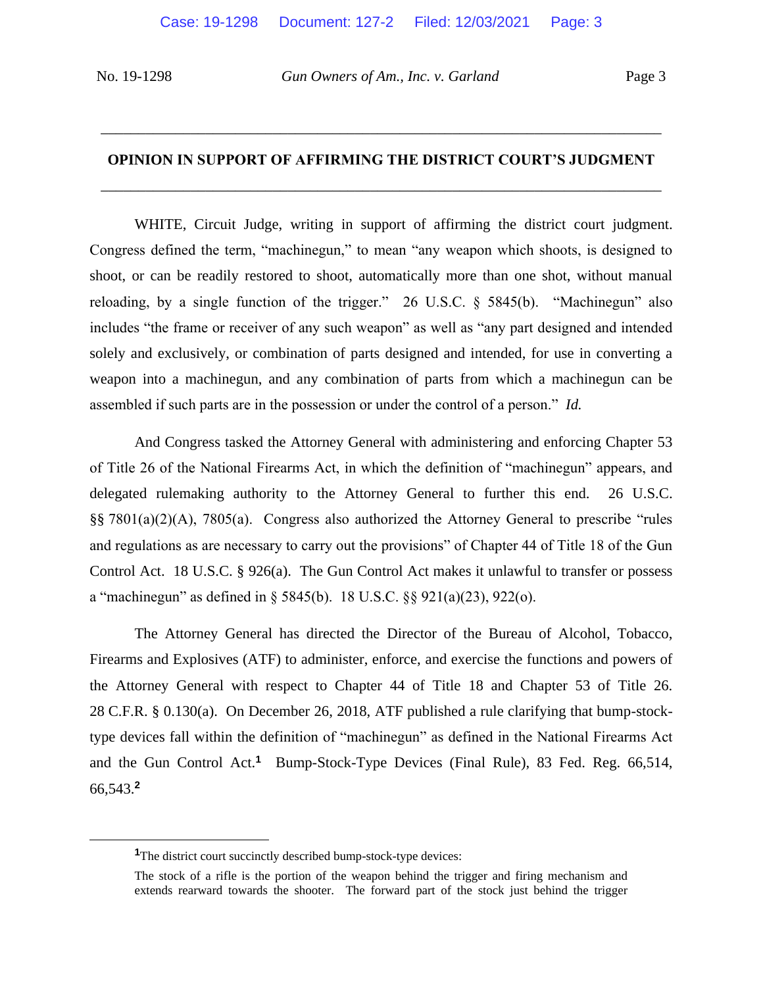# **OPINION IN SUPPORT OF AFFIRMING THE DISTRICT COURT'S JUDGMENT** \_\_\_\_\_\_\_\_\_\_\_\_\_\_\_\_\_\_\_\_\_\_\_\_\_\_\_\_\_\_\_\_\_\_\_\_\_\_\_\_\_\_\_\_\_\_\_\_\_\_\_\_\_\_\_\_\_\_\_\_\_\_\_\_\_\_\_\_\_\_\_\_\_\_\_

\_\_\_\_\_\_\_\_\_\_\_\_\_\_\_\_\_\_\_\_\_\_\_\_\_\_\_\_\_\_\_\_\_\_\_\_\_\_\_\_\_\_\_\_\_\_\_\_\_\_\_\_\_\_\_\_\_\_\_\_\_\_\_\_\_\_\_\_\_\_\_\_\_\_\_

WHITE, Circuit Judge, writing in support of affirming the district court judgment. Congress defined the term, "machinegun," to mean "any weapon which shoots, is designed to shoot, or can be readily restored to shoot, automatically more than one shot, without manual reloading, by a single function of the trigger." 26 U.S.C. § 5845(b). "Machinegun" also includes "the frame or receiver of any such weapon" as well as "any part designed and intended solely and exclusively, or combination of parts designed and intended, for use in converting a weapon into a machinegun, and any combination of parts from which a machinegun can be assembled if such parts are in the possession or under the control of a person." *Id.* 

And Congress tasked the Attorney General with administering and enforcing Chapter 53 of Title 26 of the National Firearms Act, in which the definition of "machinegun" appears, and delegated rulemaking authority to the Attorney General to further this end. 26 U.S.C. §§ 7801(a)(2)(A), 7805(a). Congress also authorized the Attorney General to prescribe "rules and regulations as are necessary to carry out the provisions" of Chapter 44 of Title 18 of the Gun Control Act. 18 U.S.C. § 926(a). The Gun Control Act makes it unlawful to transfer or possess a "machinegun" as defined in § 5845(b). 18 U.S.C. §§ 921(a)(23), 922(o).

The Attorney General has directed the Director of the Bureau of Alcohol, Tobacco, Firearms and Explosives (ATF) to administer, enforce, and exercise the functions and powers of the Attorney General with respect to Chapter 44 of Title 18 and Chapter 53 of Title 26. 28 C.F.R. § 0.130(a). On December 26, 2018, ATF published a rule clarifying that bump-stocktype devices fall within the definition of "machinegun" as defined in the National Firearms Act and the Gun Control Act.**<sup>1</sup>** Bump-Stock-Type Devices (Final Rule), 83 Fed. Reg. 66,514, 66,543.**<sup>2</sup>**

<sup>&</sup>lt;sup>1</sup>The district court succinctly described bump-stock-type devices:

The stock of a rifle is the portion of the weapon behind the trigger and firing mechanism and extends rearward towards the shooter. The forward part of the stock just behind the trigger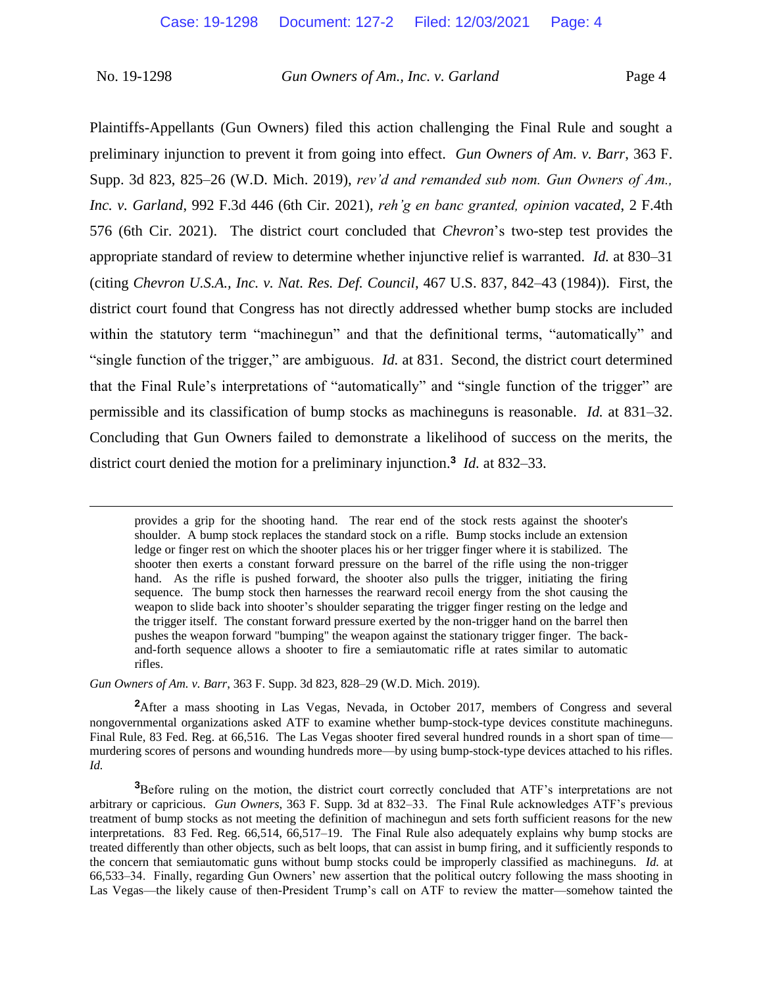Plaintiffs-Appellants (Gun Owners) filed this action challenging the Final Rule and sought a preliminary injunction to prevent it from going into effect. *Gun Owners of Am. v. Barr*, 363 F. Supp. 3d 823, 825–26 (W.D. Mich. 2019), *rev'd and remanded sub nom. Gun Owners of Am., Inc. v. Garland*, 992 F.3d 446 (6th Cir. 2021), *reh'g en banc granted, opinion vacated*, 2 F.4th 576 (6th Cir. 2021). The district court concluded that *Chevron*'s two-step test provides the appropriate standard of review to determine whether injunctive relief is warranted. *Id.* at 830–31 (citing *Chevron U.S.A., Inc. v. Nat. Res. Def. Council*, 467 U.S. 837, 842–43 (1984)). First, the district court found that Congress has not directly addressed whether bump stocks are included within the statutory term "machinegun" and that the definitional terms, "automatically" and "single function of the trigger," are ambiguous. *Id.* at 831. Second, the district court determined that the Final Rule's interpretations of "automatically" and "single function of the trigger" are permissible and its classification of bump stocks as machineguns is reasonable. *Id.* at 831–32. Concluding that Gun Owners failed to demonstrate a likelihood of success on the merits, the district court denied the motion for a preliminary injunction.**<sup>3</sup>** *Id.* at 832–33.

*Gun Owners of Am. v. Barr*, 363 F. Supp. 3d 823, 828–29 (W.D. Mich. 2019).

<sup>2</sup>After a mass shooting in Las Vegas, Nevada, in October 2017, members of Congress and several nongovernmental organizations asked ATF to examine whether bump-stock-type devices constitute machineguns. Final Rule, 83 Fed. Reg. at 66,516. The Las Vegas shooter fired several hundred rounds in a short span of time murdering scores of persons and wounding hundreds more—by using bump-stock-type devices attached to his rifles. *Id.* 

**<sup>3</sup>**Before ruling on the motion, the district court correctly concluded that ATF's interpretations are not arbitrary or capricious. *Gun Owners*, 363 F. Supp. 3d at 832–33. The Final Rule acknowledges ATF's previous treatment of bump stocks as not meeting the definition of machinegun and sets forth sufficient reasons for the new interpretations. 83 Fed. Reg. 66,514, 66,517–19. The Final Rule also adequately explains why bump stocks are treated differently than other objects, such as belt loops, that can assist in bump firing, and it sufficiently responds to the concern that semiautomatic guns without bump stocks could be improperly classified as machineguns. *Id.* at 66,533–34. Finally, regarding Gun Owners' new assertion that the political outcry following the mass shooting in Las Vegas—the likely cause of then-President Trump's call on ATF to review the matter—somehow tainted the

provides a grip for the shooting hand. The rear end of the stock rests against the shooter's shoulder. A bump stock replaces the standard stock on a rifle. Bump stocks include an extension ledge or finger rest on which the shooter places his or her trigger finger where it is stabilized. The shooter then exerts a constant forward pressure on the barrel of the rifle using the non-trigger hand. As the rifle is pushed forward, the shooter also pulls the trigger, initiating the firing sequence. The bump stock then harnesses the rearward recoil energy from the shot causing the weapon to slide back into shooter's shoulder separating the trigger finger resting on the ledge and the trigger itself. The constant forward pressure exerted by the non-trigger hand on the barrel then pushes the weapon forward "bumping" the weapon against the stationary trigger finger. The backand-forth sequence allows a shooter to fire a semiautomatic rifle at rates similar to automatic rifles.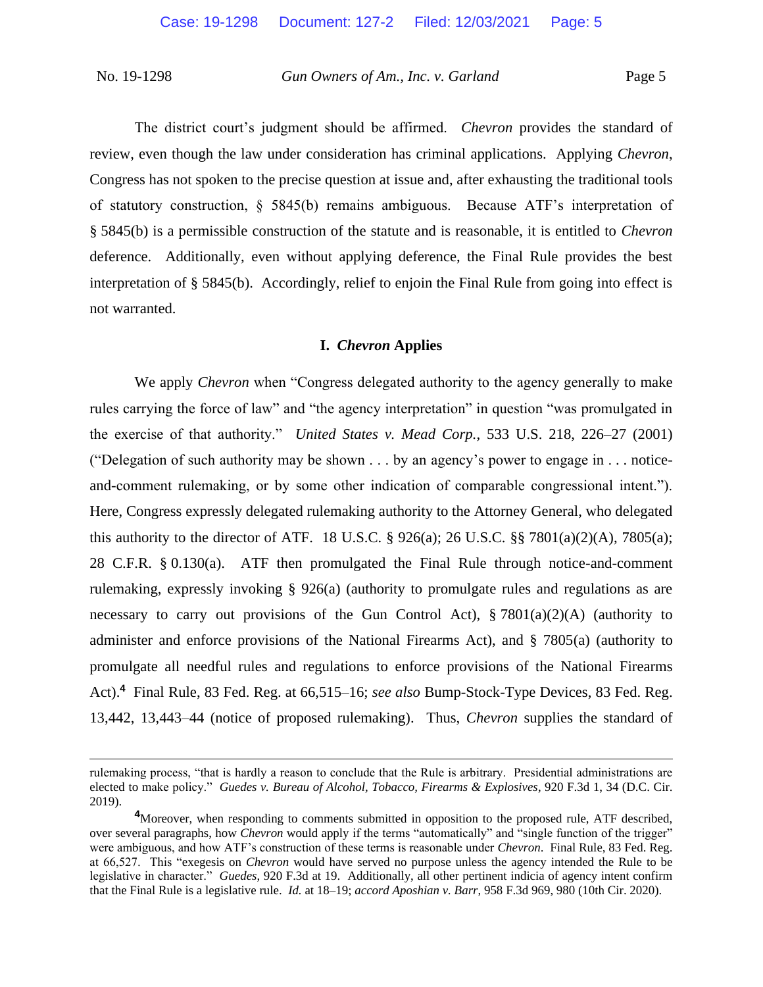The district court's judgment should be affirmed. *Chevron* provides the standard of review, even though the law under consideration has criminal applications. Applying *Chevron*, Congress has not spoken to the precise question at issue and, after exhausting the traditional tools of statutory construction, § 5845(b) remains ambiguous. Because ATF's interpretation of § 5845(b) is a permissible construction of the statute and is reasonable, it is entitled to *Chevron*  deference. Additionally, even without applying deference, the Final Rule provides the best interpretation of § 5845(b). Accordingly, relief to enjoin the Final Rule from going into effect is not warranted.

#### **I.** *Chevron* **Applies**

We apply *Chevron* when "Congress delegated authority to the agency generally to make rules carrying the force of law" and "the agency interpretation" in question "was promulgated in the exercise of that authority." *United States v. Mead Corp.*, 533 U.S. 218, 226–27 (2001) ("Delegation of such authority may be shown . . . by an agency's power to engage in . . . noticeand-comment rulemaking, or by some other indication of comparable congressional intent."). Here, Congress expressly delegated rulemaking authority to the Attorney General, who delegated this authority to the director of ATF. 18 U.S.C.  $\S$  926(a); 26 U.S.C.  $\S$  7801(a)(2)(A), 7805(a); 28 C.F.R. § 0.130(a). ATF then promulgated the Final Rule through notice-and-comment rulemaking, expressly invoking § 926(a) (authority to promulgate rules and regulations as are necessary to carry out provisions of the Gun Control Act),  $\S 7801(a)(2)(A)$  (authority to administer and enforce provisions of the National Firearms Act), and § 7805(a) (authority to promulgate all needful rules and regulations to enforce provisions of the National Firearms Act).**<sup>4</sup>** Final Rule, 83 Fed. Reg. at 66,515–16; *see also* Bump-Stock-Type Devices, 83 Fed. Reg. 13,442, 13,443–44 (notice of proposed rulemaking). Thus, *Chevron* supplies the standard of

rulemaking process, "that is hardly a reason to conclude that the Rule is arbitrary. Presidential administrations are elected to make policy." *Guedes v. Bureau of Alcohol, Tobacco, Firearms & Explosives*, 920 F.3d 1, 34 (D.C. Cir. 2019).

**<sup>4</sup>**Moreover, when responding to comments submitted in opposition to the proposed rule, ATF described, over several paragraphs, how *Chevron* would apply if the terms "automatically" and "single function of the trigger" were ambiguous, and how ATF's construction of these terms is reasonable under *Chevron*. Final Rule, 83 Fed. Reg. at 66,527. This "exegesis on *Chevron* would have served no purpose unless the agency intended the Rule to be legislative in character." *Guedes*, 920 F.3d at 19. Additionally, all other pertinent indicia of agency intent confirm that the Final Rule is a legislative rule. *Id.* at 18–19; *accord Aposhian v. Barr*, 958 F.3d 969, 980 (10th Cir. 2020).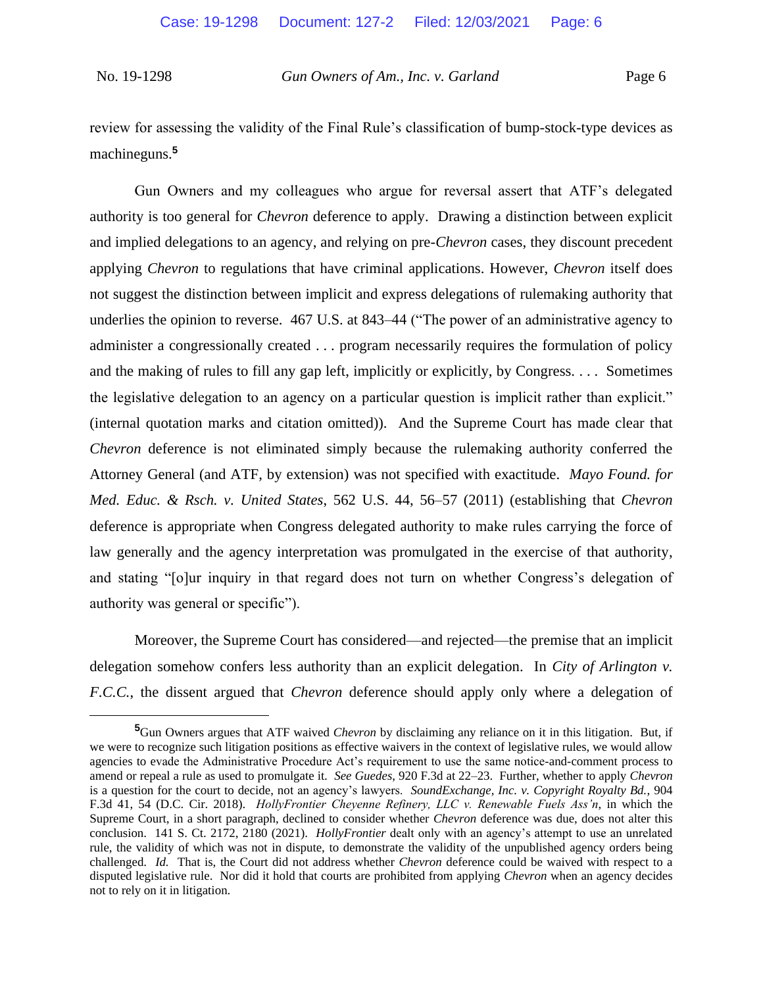review for assessing the validity of the Final Rule's classification of bump-stock-type devices as machineguns.**<sup>5</sup>**

Gun Owners and my colleagues who argue for reversal assert that ATF's delegated authority is too general for *Chevron* deference to apply. Drawing a distinction between explicit and implied delegations to an agency, and relying on pre-*Chevron* cases, they discount precedent applying *Chevron* to regulations that have criminal applications. However, *Chevron* itself does not suggest the distinction between implicit and express delegations of rulemaking authority that underlies the opinion to reverse. 467 U.S. at 843–44 ("The power of an administrative agency to administer a congressionally created . . . program necessarily requires the formulation of policy and the making of rules to fill any gap left, implicitly or explicitly, by Congress. . . . Sometimes the legislative delegation to an agency on a particular question is implicit rather than explicit." (internal quotation marks and citation omitted)). And the Supreme Court has made clear that *Chevron* deference is not eliminated simply because the rulemaking authority conferred the Attorney General (and ATF, by extension) was not specified with exactitude. *Mayo Found. for Med. Educ. & Rsch. v. United States*, 562 U.S. 44, 56–57 (2011) (establishing that *Chevron* deference is appropriate when Congress delegated authority to make rules carrying the force of law generally and the agency interpretation was promulgated in the exercise of that authority, and stating "[o]ur inquiry in that regard does not turn on whether Congress's delegation of authority was general or specific").

Moreover, the Supreme Court has considered—and rejected—the premise that an implicit delegation somehow confers less authority than an explicit delegation. In *City of Arlington v. F.C.C.*, the dissent argued that *Chevron* deference should apply only where a delegation of

**<sup>5</sup>**Gun Owners argues that ATF waived *Chevron* by disclaiming any reliance on it in this litigation. But, if we were to recognize such litigation positions as effective waivers in the context of legislative rules, we would allow agencies to evade the Administrative Procedure Act's requirement to use the same notice-and-comment process to amend or repeal a rule as used to promulgate it. *See Guedes*, 920 F.3d at 22–23. Further, whether to apply *Chevron*  is a question for the court to decide, not an agency's lawyers. *SoundExchange, Inc. v. Copyright Royalty Bd.*, 904 F.3d 41, 54 (D.C. Cir. 2018). *HollyFrontier Cheyenne Refinery, LLC v. Renewable Fuels Ass'n*, in which the Supreme Court, in a short paragraph, declined to consider whether *Chevron* deference was due, does not alter this conclusion. 141 S. Ct. 2172, 2180 (2021). *HollyFrontier* dealt only with an agency's attempt to use an unrelated rule, the validity of which was not in dispute, to demonstrate the validity of the unpublished agency orders being challenged. *Id.* That is, the Court did not address whether *Chevron* deference could be waived with respect to a disputed legislative rule. Nor did it hold that courts are prohibited from applying *Chevron* when an agency decides not to rely on it in litigation.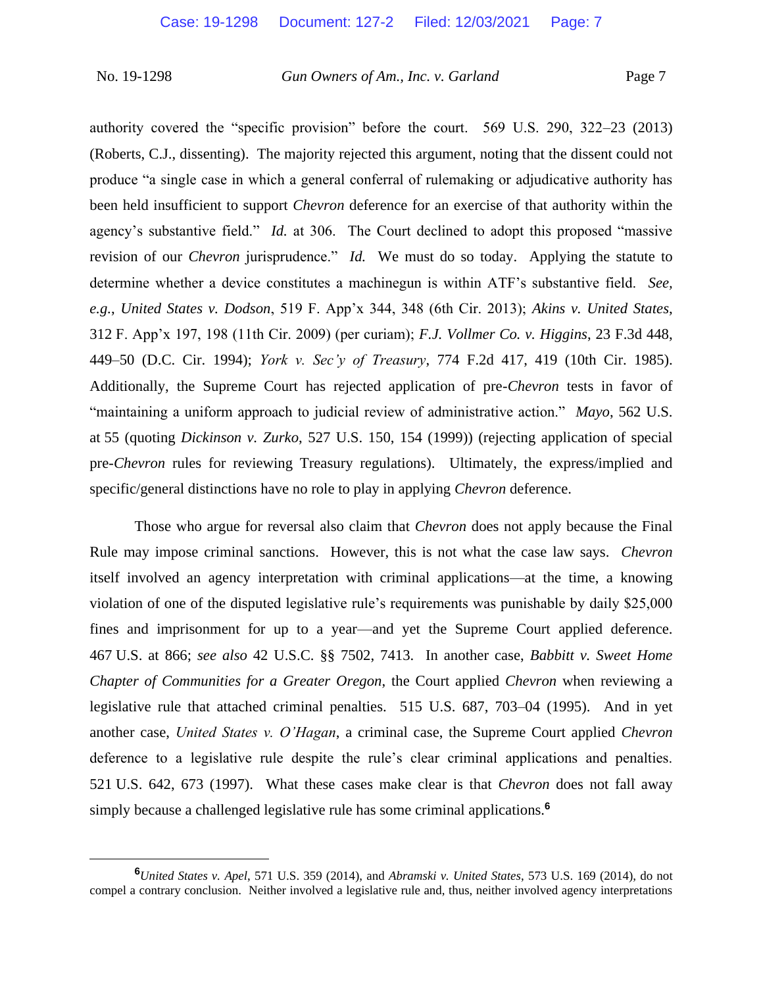authority covered the "specific provision" before the court. 569 U.S. 290, 322–23 (2013) (Roberts, C.J., dissenting). The majority rejected this argument, noting that the dissent could not produce "a single case in which a general conferral of rulemaking or adjudicative authority has been held insufficient to support *Chevron* deference for an exercise of that authority within the agency's substantive field." *Id.* at 306. The Court declined to adopt this proposed "massive revision of our *Chevron* jurisprudence." *Id.* We must do so today. Applying the statute to determine whether a device constitutes a machinegun is within ATF's substantive field. *See, e.g.*, *United States v. Dodson*, 519 F. App'x 344, 348 (6th Cir. 2013); *Akins v. United States*, 312 F. App'x 197, 198 (11th Cir. 2009) (per curiam); *F.J. Vollmer Co. v. Higgins*, 23 F.3d 448, 449–50 (D.C. Cir. 1994); *York v. Sec'y of Treasury*, 774 F.2d 417, 419 (10th Cir. 1985). Additionally, the Supreme Court has rejected application of pre-*Chevron* tests in favor of "maintaining a uniform approach to judicial review of administrative action." *Mayo*, 562 U.S. at 55 (quoting *Dickinson v. Zurko*, 527 U.S. 150, 154 (1999)) (rejecting application of special pre-*Chevron* rules for reviewing Treasury regulations). Ultimately, the express/implied and specific/general distinctions have no role to play in applying *Chevron* deference.

Those who argue for reversal also claim that *Chevron* does not apply because the Final Rule may impose criminal sanctions. However, this is not what the case law says. *Chevron*  itself involved an agency interpretation with criminal applications—at the time, a knowing violation of one of the disputed legislative rule's requirements was punishable by daily \$25,000 fines and imprisonment for up to a year—and yet the Supreme Court applied deference. 467 U.S. at 866; *see also* 42 U.S.C. §§ 7502, 7413. In another case, *Babbitt v. Sweet Home Chapter of Communities for a Greater Oregon*, the Court applied *Chevron* when reviewing a legislative rule that attached criminal penalties. 515 U.S. 687, 703–04 (1995). And in yet another case, *United States v. O'Hagan*, a criminal case, the Supreme Court applied *Chevron*  deference to a legislative rule despite the rule's clear criminal applications and penalties. 521 U.S. 642, 673 (1997). What these cases make clear is that *Chevron* does not fall away simply because a challenged legislative rule has some criminal applications.**<sup>6</sup>**

**<sup>6</sup>***United States v. Apel*, 571 U.S. 359 (2014), and *Abramski v. United States*, 573 U.S. 169 (2014), do not compel a contrary conclusion. Neither involved a legislative rule and, thus, neither involved agency interpretations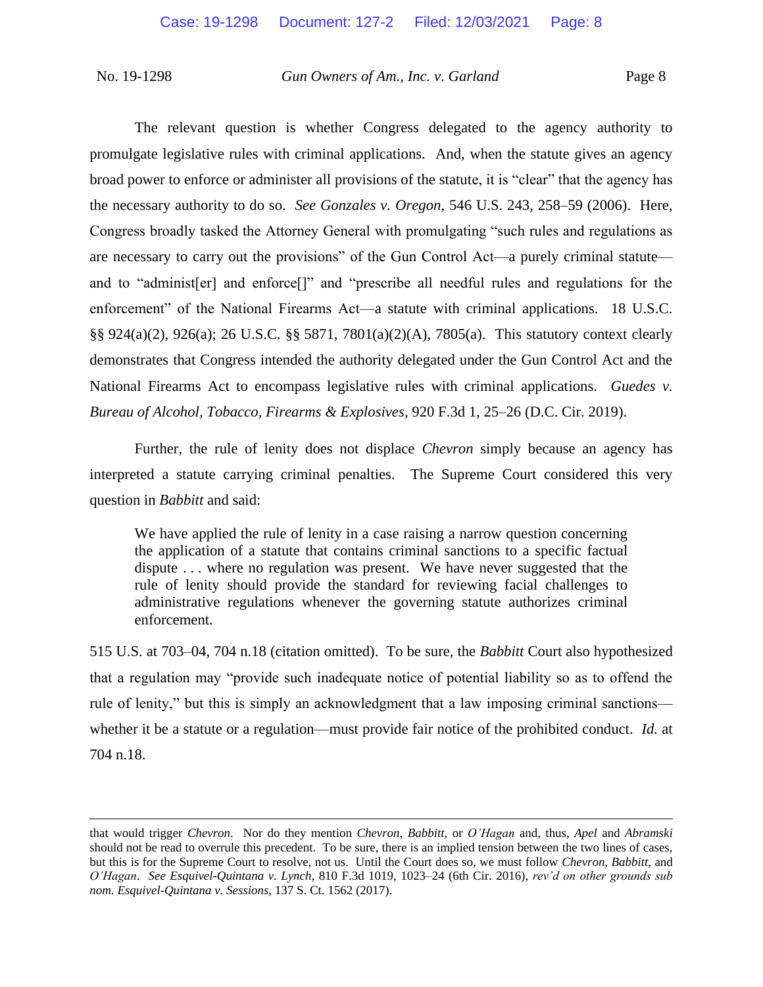The relevant question is whether Congress delegated to the agency authority to promulgate legislative rules with criminal applications. And, when the statute gives an agency broad power to enforce or administer all provisions of the statute, it is "clear" that the agency has the necessary authority to do so. *See Gonzales v. Oregon*, 546 U.S. 243, 258–59 (2006). Here, Congress broadly tasked the Attorney General with promulgating "such rules and regulations as are necessary to carry out the provisions" of the Gun Control Act—a purely criminal statute and to "administ[er] and enforce[]" and "prescribe all needful rules and regulations for the enforcement" of the National Firearms Act—a statute with criminal applications. 18 U.S.C. §§ 924(a)(2), 926(a); 26 U.S.C. §§ 5871, 7801(a)(2)(A), 7805(a). This statutory context clearly demonstrates that Congress intended the authority delegated under the Gun Control Act and the National Firearms Act to encompass legislative rules with criminal applications. *Guedes v. Bureau of Alcohol, Tobacco, Firearms & Explosives*, 920 F.3d 1, 25–26 (D.C. Cir. 2019).

Further, the rule of lenity does not displace *Chevron* simply because an agency has interpreted a statute carrying criminal penalties. The Supreme Court considered this very question in *Babbitt* and said:

We have applied the rule of lenity in a case raising a narrow question concerning the application of a statute that contains criminal sanctions to a specific factual dispute . . . where no regulation was present. We have never suggested that the rule of lenity should provide the standard for reviewing facial challenges to administrative regulations whenever the governing statute authorizes criminal enforcement.

515 U.S. at 703–04, 704 n.18 (citation omitted). To be sure, the *Babbitt* Court also hypothesized that a regulation may "provide such inadequate notice of potential liability so as to offend the rule of lenity," but this is simply an acknowledgment that a law imposing criminal sanctions whether it be a statute or a regulation—must provide fair notice of the prohibited conduct. *Id.* at 704 n.18.

that would trigger *Chevron*. Nor do they mention *Chevron*, *Babbitt*, or *O'Hagan* and, thus, *Apel* and *Abramski* should not be read to overrule this precedent. To be sure, there is an implied tension between the two lines of cases, but this is for the Supreme Court to resolve, not us. Until the Court does so, we must follow *Chevron*, *Babbitt*, and *O'Hagan*. *See Esquivel-Quintana v. Lynch*, 810 F.3d 1019, 1023–24 (6th Cir. 2016), *rev'd on other grounds sub nom. Esquivel-Quintana v. Sessions*, 137 S. Ct. 1562 (2017).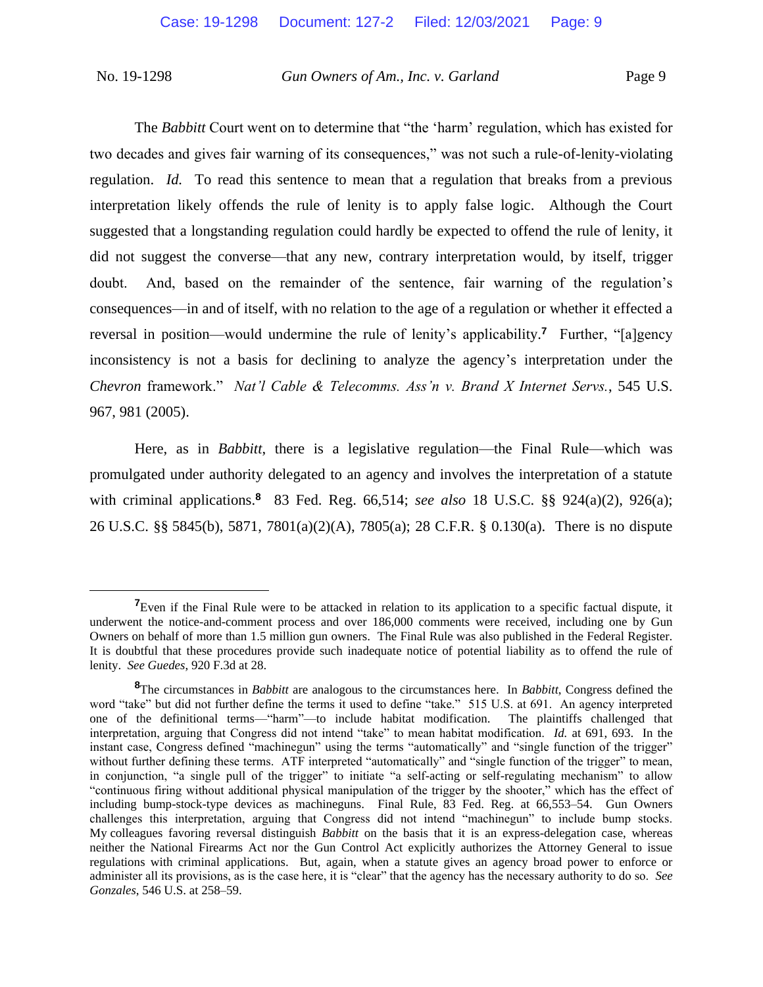The *Babbitt* Court went on to determine that "the 'harm' regulation, which has existed for two decades and gives fair warning of its consequences," was not such a rule-of-lenity-violating regulation. *Id.* To read this sentence to mean that a regulation that breaks from a previous interpretation likely offends the rule of lenity is to apply false logic. Although the Court suggested that a longstanding regulation could hardly be expected to offend the rule of lenity, it did not suggest the converse—that any new, contrary interpretation would, by itself, trigger doubt. And, based on the remainder of the sentence, fair warning of the regulation's consequences—in and of itself, with no relation to the age of a regulation or whether it effected a reversal in position—would undermine the rule of lenity's applicability.**<sup>7</sup>** Further, "[a]gency inconsistency is not a basis for declining to analyze the agency's interpretation under the *Chevron* framework." *Nat'l Cable & Telecomms. Ass'n v. Brand X Internet Servs.*, 545 U.S. 967, 981 (2005).

Here, as in *Babbitt*, there is a legislative regulation—the Final Rule—which was promulgated under authority delegated to an agency and involves the interpretation of a statute with criminal applications.**<sup>8</sup>** 83 Fed. Reg. 66,514; *see also* 18 U.S.C. §§ 924(a)(2), 926(a); 26 U.S.C. §§ 5845(b), 5871, 7801(a)(2)(A), 7805(a); 28 C.F.R. § 0.130(a). There is no dispute

**<sup>7</sup>**Even if the Final Rule were to be attacked in relation to its application to a specific factual dispute, it underwent the notice-and-comment process and over 186,000 comments were received, including one by Gun Owners on behalf of more than 1.5 million gun owners. The Final Rule was also published in the Federal Register. It is doubtful that these procedures provide such inadequate notice of potential liability as to offend the rule of lenity. *See Guedes*, 920 F.3d at 28.

**<sup>8</sup>**The circumstances in *Babbitt* are analogous to the circumstances here. In *Babbitt*, Congress defined the word "take" but did not further define the terms it used to define "take." 515 U.S. at 691. An agency interpreted one of the definitional terms—"harm"—to include habitat modification. The plaintiffs challenged that interpretation, arguing that Congress did not intend "take" to mean habitat modification. *Id.* at 691, 693. In the instant case, Congress defined "machinegun" using the terms "automatically" and "single function of the trigger" without further defining these terms. ATF interpreted "automatically" and "single function of the trigger" to mean, in conjunction, "a single pull of the trigger" to initiate "a self-acting or self-regulating mechanism" to allow "continuous firing without additional physical manipulation of the trigger by the shooter," which has the effect of including bump-stock-type devices as machineguns. Final Rule, 83 Fed. Reg. at 66,553–54. Gun Owners challenges this interpretation, arguing that Congress did not intend "machinegun" to include bump stocks. My colleagues favoring reversal distinguish *Babbitt* on the basis that it is an express-delegation case, whereas neither the National Firearms Act nor the Gun Control Act explicitly authorizes the Attorney General to issue regulations with criminal applications. But, again, when a statute gives an agency broad power to enforce or administer all its provisions, as is the case here, it is "clear" that the agency has the necessary authority to do so. *See Gonzales*, 546 U.S. at 258–59.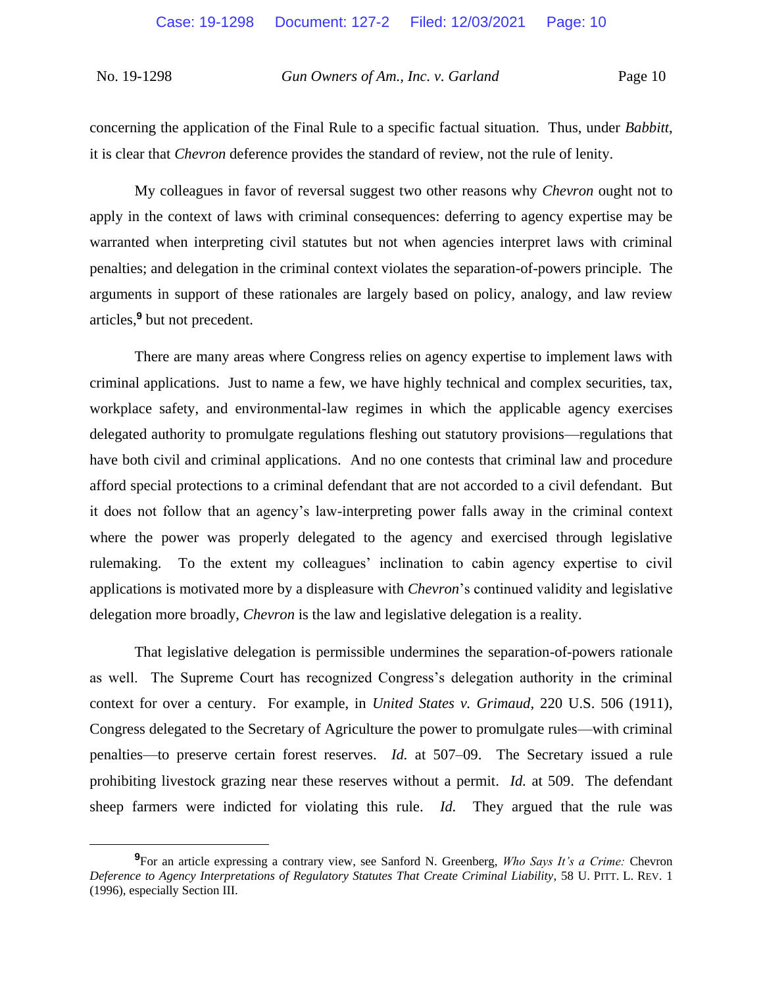concerning the application of the Final Rule to a specific factual situation. Thus, under *Babbitt*, it is clear that *Chevron* deference provides the standard of review, not the rule of lenity.

My colleagues in favor of reversal suggest two other reasons why *Chevron* ought not to apply in the context of laws with criminal consequences: deferring to agency expertise may be warranted when interpreting civil statutes but not when agencies interpret laws with criminal penalties; and delegation in the criminal context violates the separation-of-powers principle. The arguments in support of these rationales are largely based on policy, analogy, and law review articles,**<sup>9</sup>** but not precedent.

There are many areas where Congress relies on agency expertise to implement laws with criminal applications. Just to name a few, we have highly technical and complex securities, tax, workplace safety, and environmental-law regimes in which the applicable agency exercises delegated authority to promulgate regulations fleshing out statutory provisions—regulations that have both civil and criminal applications. And no one contests that criminal law and procedure afford special protections to a criminal defendant that are not accorded to a civil defendant. But it does not follow that an agency's law-interpreting power falls away in the criminal context where the power was properly delegated to the agency and exercised through legislative rulemaking. To the extent my colleagues' inclination to cabin agency expertise to civil applications is motivated more by a displeasure with *Chevron*'s continued validity and legislative delegation more broadly, *Chevron* is the law and legislative delegation is a reality.

That legislative delegation is permissible undermines the separation-of-powers rationale as well. The Supreme Court has recognized Congress's delegation authority in the criminal context for over a century. For example, in *United States v. Grimaud*, 220 U.S. 506 (1911), Congress delegated to the Secretary of Agriculture the power to promulgate rules—with criminal penalties—to preserve certain forest reserves. *Id.* at 507–09. The Secretary issued a rule prohibiting livestock grazing near these reserves without a permit. *Id.* at 509. The defendant sheep farmers were indicted for violating this rule. *Id.* They argued that the rule was

**<sup>9</sup>**For an article expressing a contrary view, see Sanford N. Greenberg, *Who Says It's a Crime:* Chevron *Deference to Agency Interpretations of Regulatory Statutes That Create Criminal Liability*, 58 U. PITT. L. REV. 1 (1996), especially Section III.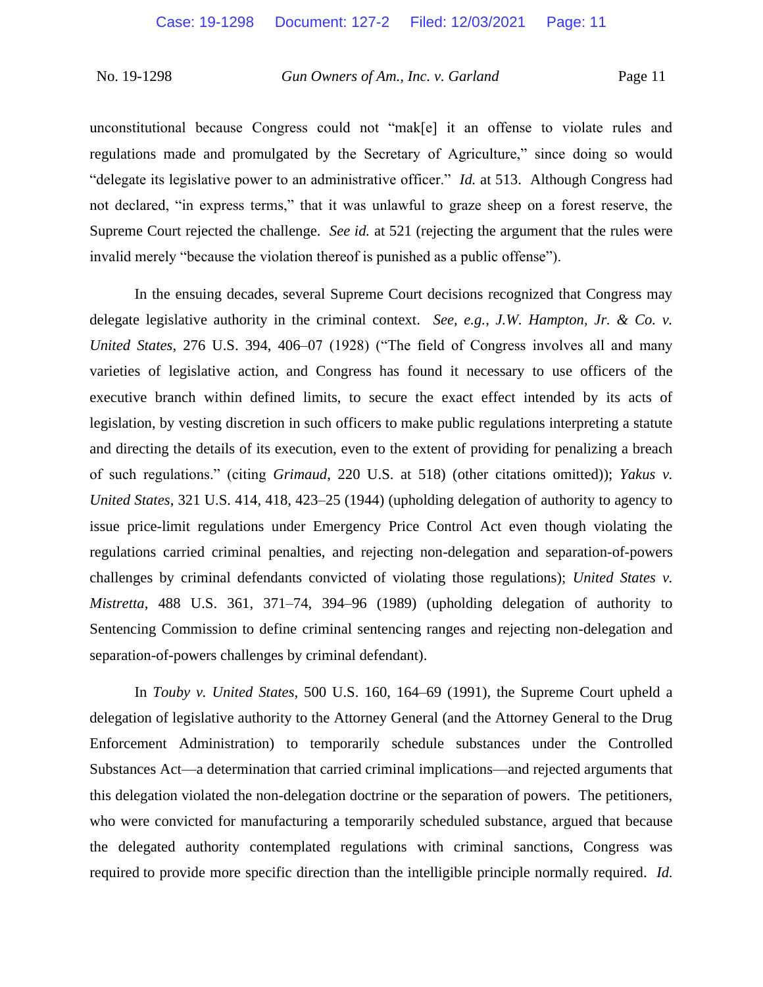unconstitutional because Congress could not "mak[e] it an offense to violate rules and regulations made and promulgated by the Secretary of Agriculture," since doing so would "delegate its legislative power to an administrative officer." *Id.* at 513. Although Congress had not declared, "in express terms," that it was unlawful to graze sheep on a forest reserve, the Supreme Court rejected the challenge. *See id.* at 521 (rejecting the argument that the rules were invalid merely "because the violation thereof is punished as a public offense").

In the ensuing decades, several Supreme Court decisions recognized that Congress may delegate legislative authority in the criminal context. *See, e.g.*, *J.W. Hampton, Jr. & Co. v. United States*, 276 U.S. 394, 406–07 (1928) ("The field of Congress involves all and many varieties of legislative action, and Congress has found it necessary to use officers of the executive branch within defined limits, to secure the exact effect intended by its acts of legislation, by vesting discretion in such officers to make public regulations interpreting a statute and directing the details of its execution, even to the extent of providing for penalizing a breach of such regulations." (citing *Grimaud*, 220 U.S. at 518) (other citations omitted)); *Yakus v. United States*, 321 U.S. 414, 418, 423–25 (1944) (upholding delegation of authority to agency to issue price-limit regulations under Emergency Price Control Act even though violating the regulations carried criminal penalties, and rejecting non-delegation and separation-of-powers challenges by criminal defendants convicted of violating those regulations); *United States v. Mistretta*, 488 U.S. 361, 371–74, 394–96 (1989) (upholding delegation of authority to Sentencing Commission to define criminal sentencing ranges and rejecting non-delegation and separation-of-powers challenges by criminal defendant).

In *Touby v. United States*, 500 U.S. 160, 164–69 (1991), the Supreme Court upheld a delegation of legislative authority to the Attorney General (and the Attorney General to the Drug Enforcement Administration) to temporarily schedule substances under the Controlled Substances Act—a determination that carried criminal implications—and rejected arguments that this delegation violated the non-delegation doctrine or the separation of powers. The petitioners, who were convicted for manufacturing a temporarily scheduled substance, argued that because the delegated authority contemplated regulations with criminal sanctions, Congress was required to provide more specific direction than the intelligible principle normally required. *Id.*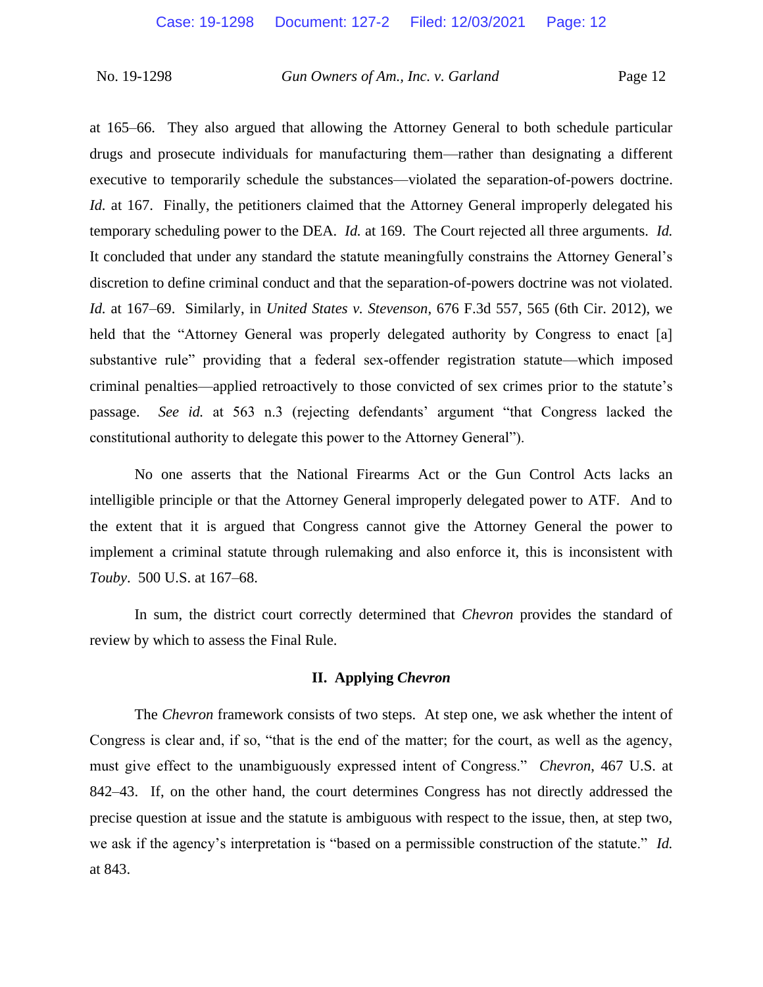at 165–66. They also argued that allowing the Attorney General to both schedule particular drugs and prosecute individuals for manufacturing them—rather than designating a different executive to temporarily schedule the substances—violated the separation-of-powers doctrine. *Id.* at 167. Finally, the petitioners claimed that the Attorney General improperly delegated his temporary scheduling power to the DEA. *Id.* at 169. The Court rejected all three arguments. *Id.* It concluded that under any standard the statute meaningfully constrains the Attorney General's discretion to define criminal conduct and that the separation-of-powers doctrine was not violated. *Id.* at 167–69. Similarly, in *United States v. Stevenson*, 676 F.3d 557, 565 (6th Cir. 2012), we held that the "Attorney General was properly delegated authority by Congress to enact [a] substantive rule" providing that a federal sex-offender registration statute—which imposed criminal penalties—applied retroactively to those convicted of sex crimes prior to the statute's passage. *See id.* at 563 n.3 (rejecting defendants' argument "that Congress lacked the constitutional authority to delegate this power to the Attorney General").

No one asserts that the National Firearms Act or the Gun Control Acts lacks an intelligible principle or that the Attorney General improperly delegated power to ATF. And to the extent that it is argued that Congress cannot give the Attorney General the power to implement a criminal statute through rulemaking and also enforce it, this is inconsistent with *Touby*. 500 U.S. at 167–68.

In sum, the district court correctly determined that *Chevron* provides the standard of review by which to assess the Final Rule.

#### **II. Applying** *Chevron*

The *Chevron* framework consists of two steps. At step one, we ask whether the intent of Congress is clear and, if so, "that is the end of the matter; for the court, as well as the agency, must give effect to the unambiguously expressed intent of Congress." *Chevron*, 467 U.S. at 842–43. If, on the other hand, the court determines Congress has not directly addressed the precise question at issue and the statute is ambiguous with respect to the issue, then, at step two, we ask if the agency's interpretation is "based on a permissible construction of the statute." *Id.*  at 843.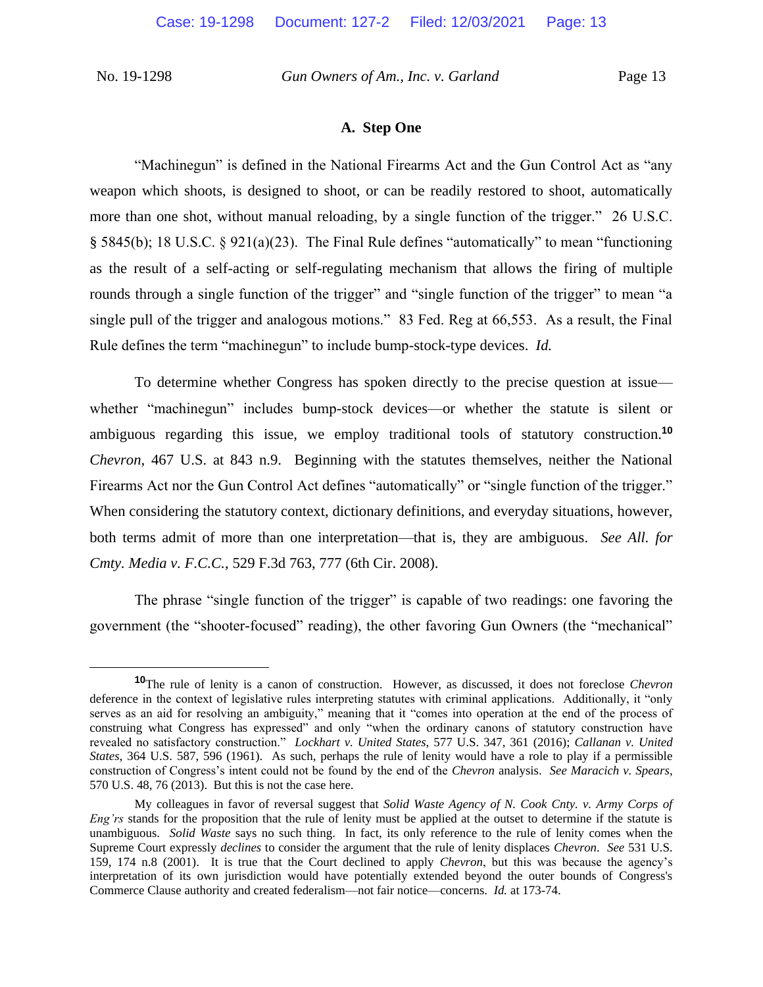### **A. Step One**

"Machinegun" is defined in the National Firearms Act and the Gun Control Act as "any weapon which shoots, is designed to shoot, or can be readily restored to shoot, automatically more than one shot, without manual reloading, by a single function of the trigger." 26 U.S.C. § 5845(b); 18 U.S.C. § 921(a)(23). The Final Rule defines "automatically" to mean "functioning as the result of a self-acting or self-regulating mechanism that allows the firing of multiple rounds through a single function of the trigger" and "single function of the trigger" to mean "a single pull of the trigger and analogous motions." 83 Fed. Reg at 66,553. As a result, the Final Rule defines the term "machinegun" to include bump-stock-type devices. *Id.*

To determine whether Congress has spoken directly to the precise question at issue whether "machinegun" includes bump-stock devices—or whether the statute is silent or ambiguous regarding this issue, we employ traditional tools of statutory construction.**<sup>10</sup>** *Chevron*, 467 U.S. at 843 n.9. Beginning with the statutes themselves, neither the National Firearms Act nor the Gun Control Act defines "automatically" or "single function of the trigger." When considering the statutory context, dictionary definitions, and everyday situations, however, both terms admit of more than one interpretation—that is, they are ambiguous. *See All. for Cmty. Media v. F.C.C.*, 529 F.3d 763, 777 (6th Cir. 2008).

The phrase "single function of the trigger" is capable of two readings: one favoring the government (the "shooter-focused" reading), the other favoring Gun Owners (the "mechanical"

**<sup>10</sup>**The rule of lenity is a canon of construction. However, as discussed, it does not foreclose *Chevron*  deference in the context of legislative rules interpreting statutes with criminal applications. Additionally, it "only serves as an aid for resolving an ambiguity," meaning that it "comes into operation at the end of the process of construing what Congress has expressed" and only "when the ordinary canons of statutory construction have revealed no satisfactory construction." *Lockhart v. United States*, 577 U.S. 347, 361 (2016); *Callanan v. United States*, 364 U.S. 587, 596 (1961). As such, perhaps the rule of lenity would have a role to play if a permissible construction of Congress's intent could not be found by the end of the *Chevron* analysis. *See Maracich v. Spears*, 570 U.S. 48, 76 (2013). But this is not the case here.

My colleagues in favor of reversal suggest that *Solid Waste Agency of N. Cook Cnty. v. Army Corps of Eng'rs* stands for the proposition that the rule of lenity must be applied at the outset to determine if the statute is unambiguous. *Solid Waste* says no such thing. In fact, its only reference to the rule of lenity comes when the Supreme Court expressly *declines* to consider the argument that the rule of lenity displaces *Chevron*. *See* 531 U.S. 159, 174 n.8 (2001). It is true that the Court declined to apply *Chevron*, but this was because the agency's interpretation of its own jurisdiction would have potentially extended beyond the outer bounds of Congress's Commerce Clause authority and created federalism—not fair notice—concerns. *Id.* at 173-74.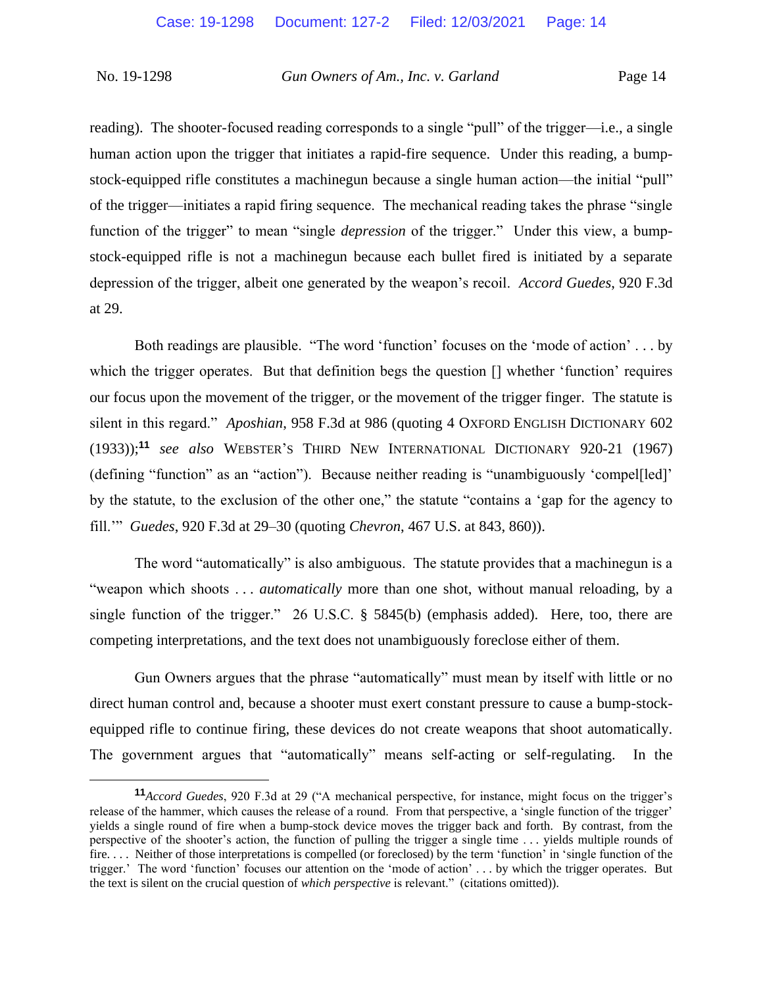reading). The shooter-focused reading corresponds to a single "pull" of the trigger—i.e., a single human action upon the trigger that initiates a rapid-fire sequence. Under this reading, a bumpstock-equipped rifle constitutes a machinegun because a single human action—the initial "pull" of the trigger—initiates a rapid firing sequence. The mechanical reading takes the phrase "single function of the trigger" to mean "single *depression* of the trigger." Under this view, a bumpstock-equipped rifle is not a machinegun because each bullet fired is initiated by a separate depression of the trigger, albeit one generated by the weapon's recoil. *Accord Guedes*, 920 F.3d at 29.

Both readings are plausible. "The word 'function' focuses on the 'mode of action' . . . by which the trigger operates. But that definition begs the question  $\eta$  whether 'function' requires our focus upon the movement of the trigger, or the movement of the trigger finger. The statute is silent in this regard." *Aposhian*, 958 F.3d at 986 (quoting 4 OXFORD ENGLISH DICTIONARY 602 (1933));**<sup>11</sup>** *see also* WEBSTER'S THIRD NEW INTERNATIONAL DICTIONARY 920-21 (1967) (defining "function" as an "action"). Because neither reading is "unambiguously 'compel[led]' by the statute, to the exclusion of the other one," the statute "contains a 'gap for the agency to fill.'" *Guedes*, 920 F.3d at 29–30 (quoting *Chevron*, 467 U.S. at 843, 860)).

The word "automatically" is also ambiguous. The statute provides that a machinegun is a "weapon which shoots . . . *automatically* more than one shot, without manual reloading, by a single function of the trigger." 26 U.S.C. § 5845(b) (emphasis added). Here, too, there are competing interpretations, and the text does not unambiguously foreclose either of them.

Gun Owners argues that the phrase "automatically" must mean by itself with little or no direct human control and, because a shooter must exert constant pressure to cause a bump-stockequipped rifle to continue firing, these devices do not create weapons that shoot automatically. The government argues that "automatically" means self-acting or self-regulating. In the

**<sup>11</sup>***Accord Guedes*, 920 F.3d at 29 ("A mechanical perspective, for instance, might focus on the trigger's release of the hammer, which causes the release of a round. From that perspective, a 'single function of the trigger' yields a single round of fire when a bump-stock device moves the trigger back and forth. By contrast, from the perspective of the shooter's action, the function of pulling the trigger a single time . . . yields multiple rounds of fire. . . . Neither of those interpretations is compelled (or foreclosed) by the term 'function' in 'single function of the trigger.' The word 'function' focuses our attention on the 'mode of action' . . . by which the trigger operates. But the text is silent on the crucial question of *which perspective* is relevant." (citations omitted)).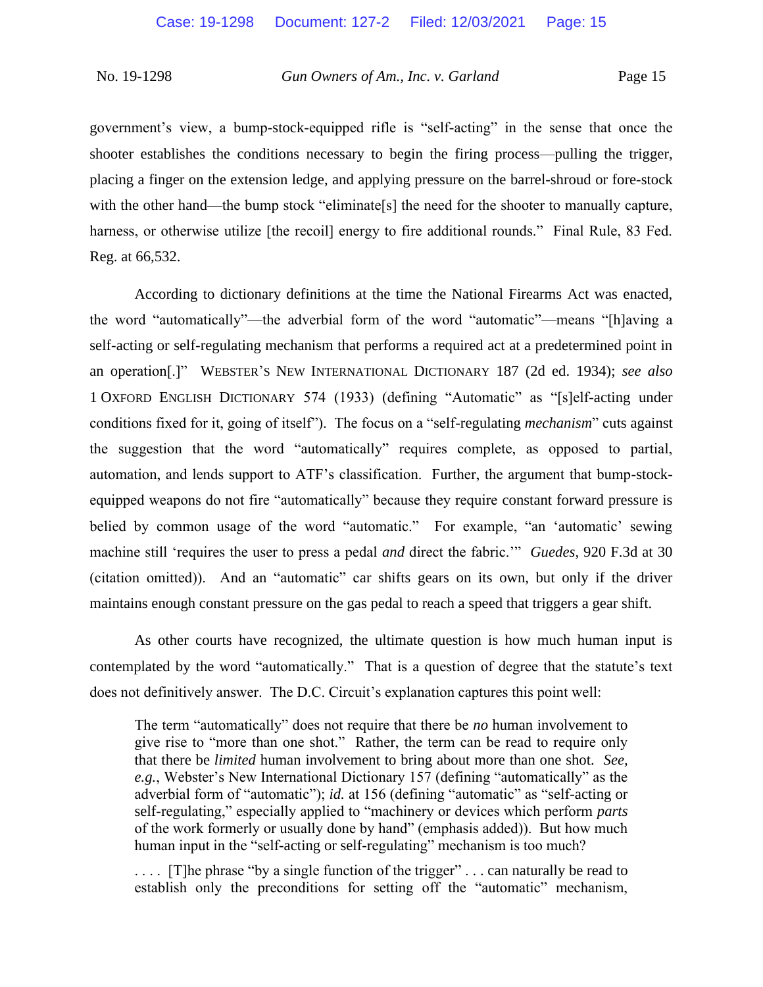government's view, a bump-stock-equipped rifle is "self-acting" in the sense that once the shooter establishes the conditions necessary to begin the firing process—pulling the trigger, placing a finger on the extension ledge, and applying pressure on the barrel-shroud or fore-stock with the other hand—the bump stock "eliminate[s] the need for the shooter to manually capture, harness, or otherwise utilize [the recoil] energy to fire additional rounds." Final Rule, 83 Fed. Reg. at 66,532.

According to dictionary definitions at the time the National Firearms Act was enacted, the word "automatically"—the adverbial form of the word "automatic"—means "[h]aving a self-acting or self-regulating mechanism that performs a required act at a predetermined point in an operation[.]" WEBSTER'S NEW INTERNATIONAL DICTIONARY 187 (2d ed. 1934); *see also*  1 OXFORD ENGLISH DICTIONARY 574 (1933) (defining "Automatic" as "[s]elf-acting under conditions fixed for it, going of itself"). The focus on a "self-regulating *mechanism*" cuts against the suggestion that the word "automatically" requires complete, as opposed to partial, automation, and lends support to ATF's classification. Further, the argument that bump-stockequipped weapons do not fire "automatically" because they require constant forward pressure is belied by common usage of the word "automatic." For example, "an 'automatic' sewing machine still 'requires the user to press a pedal *and* direct the fabric.'" *Guedes*, 920 F.3d at 30 (citation omitted)). And an "automatic" car shifts gears on its own, but only if the driver maintains enough constant pressure on the gas pedal to reach a speed that triggers a gear shift.

As other courts have recognized, the ultimate question is how much human input is contemplated by the word "automatically." That is a question of degree that the statute's text does not definitively answer. The D.C. Circuit's explanation captures this point well:

The term "automatically" does not require that there be *no* human involvement to give rise to "more than one shot." Rather, the term can be read to require only that there be *limited* human involvement to bring about more than one shot. *See, e.g.*, Webster's New International Dictionary 157 (defining "automatically" as the adverbial form of "automatic"); *id.* at 156 (defining "automatic" as "self-acting or self-regulating," especially applied to "machinery or devices which perform *parts* of the work formerly or usually done by hand" (emphasis added)). But how much human input in the "self-acting or self-regulating" mechanism is too much?

.... [T]he phrase "by a single function of the trigger" ... can naturally be read to establish only the preconditions for setting off the "automatic" mechanism,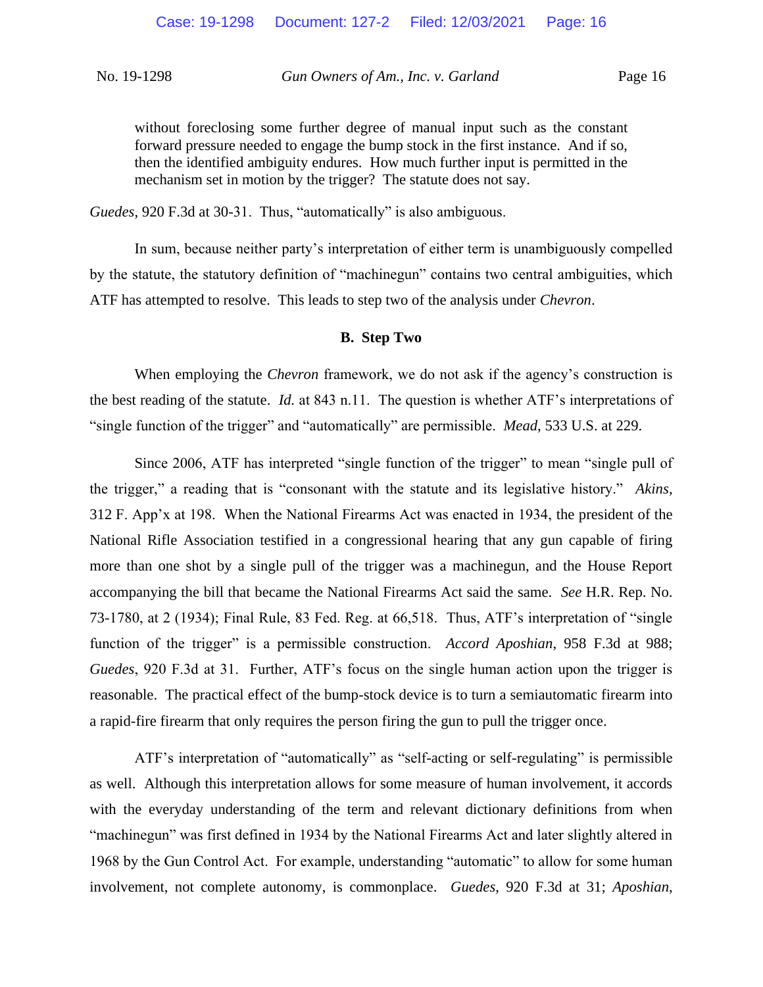without foreclosing some further degree of manual input such as the constant forward pressure needed to engage the bump stock in the first instance. And if so, then the identified ambiguity endures. How much further input is permitted in the mechanism set in motion by the trigger? The statute does not say.

*Guedes*, 920 F.3d at 30-31. Thus, "automatically" is also ambiguous.

In sum, because neither party's interpretation of either term is unambiguously compelled by the statute, the statutory definition of "machinegun" contains two central ambiguities, which ATF has attempted to resolve. This leads to step two of the analysis under *Chevron*.

### **B. Step Two**

When employing the *Chevron* framework, we do not ask if the agency's construction is the best reading of the statute. *Id.* at 843 n.11. The question is whether ATF's interpretations of "single function of the trigger" and "automatically" are permissible. *Mead*, 533 U.S. at 229.

Since 2006, ATF has interpreted "single function of the trigger" to mean "single pull of the trigger," a reading that is "consonant with the statute and its legislative history." *Akins*, 312 F. App'x at 198. When the National Firearms Act was enacted in 1934, the president of the National Rifle Association testified in a congressional hearing that any gun capable of firing more than one shot by a single pull of the trigger was a machinegun, and the House Report accompanying the bill that became the National Firearms Act said the same. *See* H.R. Rep. No. 73-1780, at 2 (1934); Final Rule, 83 Fed. Reg. at 66,518. Thus, ATF's interpretation of "single function of the trigger" is a permissible construction. *Accord Aposhian*, 958 F.3d at 988; *Guedes*, 920 F.3d at 31. Further, ATF's focus on the single human action upon the trigger is reasonable. The practical effect of the bump-stock device is to turn a semiautomatic firearm into a rapid-fire firearm that only requires the person firing the gun to pull the trigger once.

ATF's interpretation of "automatically" as "self-acting or self-regulating" is permissible as well. Although this interpretation allows for some measure of human involvement, it accords with the everyday understanding of the term and relevant dictionary definitions from when "machinegun" was first defined in 1934 by the National Firearms Act and later slightly altered in 1968 by the Gun Control Act. For example, understanding "automatic" to allow for some human involvement, not complete autonomy, is commonplace. *Guedes*, 920 F.3d at 31; *Aposhian*,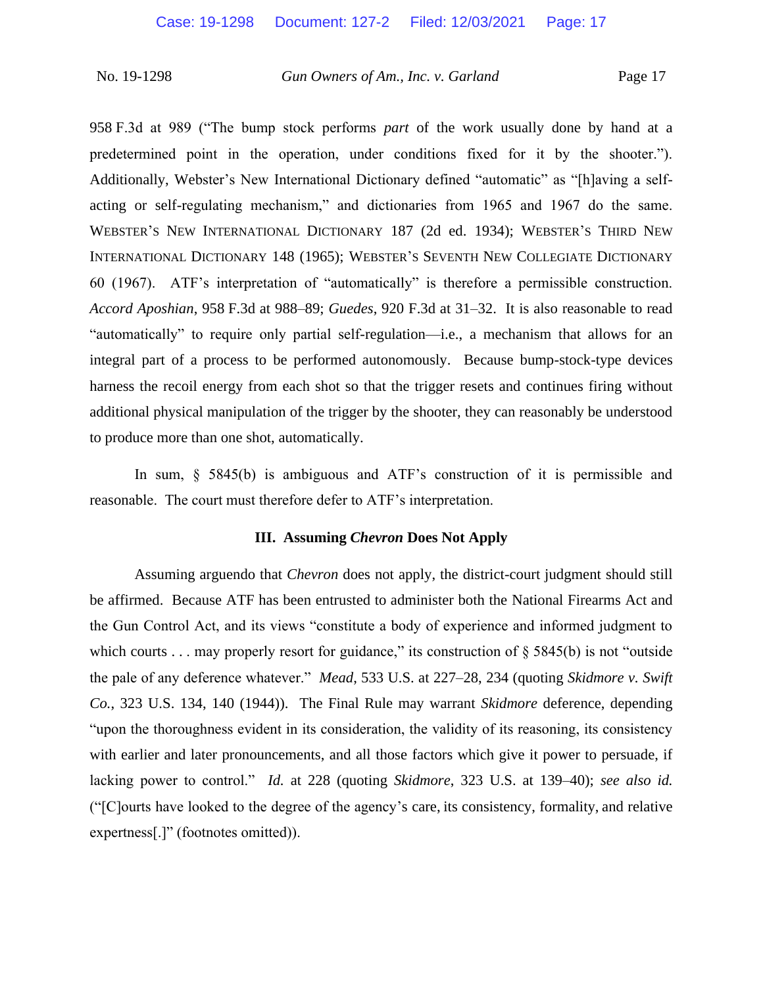958 F.3d at 989 ("The bump stock performs *part* of the work usually done by hand at a predetermined point in the operation, under conditions fixed for it by the shooter."). Additionally, Webster's New International Dictionary defined "automatic" as "[h]aving a selfacting or self-regulating mechanism," and dictionaries from 1965 and 1967 do the same. WEBSTER'S NEW INTERNATIONAL DICTIONARY 187 (2d ed. 1934); WEBSTER'S THIRD NEW INTERNATIONAL DICTIONARY 148 (1965); WEBSTER'S SEVENTH NEW COLLEGIATE DICTIONARY 60 (1967). ATF's interpretation of "automatically" is therefore a permissible construction. *Accord Aposhian*, 958 F.3d at 988–89; *Guedes*, 920 F.3d at 31–32. It is also reasonable to read "automatically" to require only partial self-regulation—i.e., a mechanism that allows for an integral part of a process to be performed autonomously. Because bump-stock-type devices harness the recoil energy from each shot so that the trigger resets and continues firing without additional physical manipulation of the trigger by the shooter, they can reasonably be understood to produce more than one shot, automatically.

In sum, § 5845(b) is ambiguous and ATF's construction of it is permissible and reasonable. The court must therefore defer to ATF's interpretation.

#### **III. Assuming** *Chevron* **Does Not Apply**

Assuming arguendo that *Chevron* does not apply, the district-court judgment should still be affirmed. Because ATF has been entrusted to administer both the National Firearms Act and the Gun Control Act, and its views "constitute a body of experience and informed judgment to which courts . . . may properly resort for guidance," its construction of  $\S$  5845(b) is not "outside the pale of any deference whatever." *Mead*, 533 U.S. at 227–28, 234 (quoting *Skidmore v. Swift Co.*, 323 U.S. 134, 140 (1944)). The Final Rule may warrant *Skidmore* deference, depending "upon the thoroughness evident in its consideration, the validity of its reasoning, its consistency with earlier and later pronouncements, and all those factors which give it power to persuade, if lacking power to control." *Id.* at 228 (quoting *Skidmore*, 323 U.S. at 139–40); *see also id.*  ("[C]ourts have looked to the degree of the agency's care, its consistency, formality, and relative expertness[.]" (footnotes omitted)).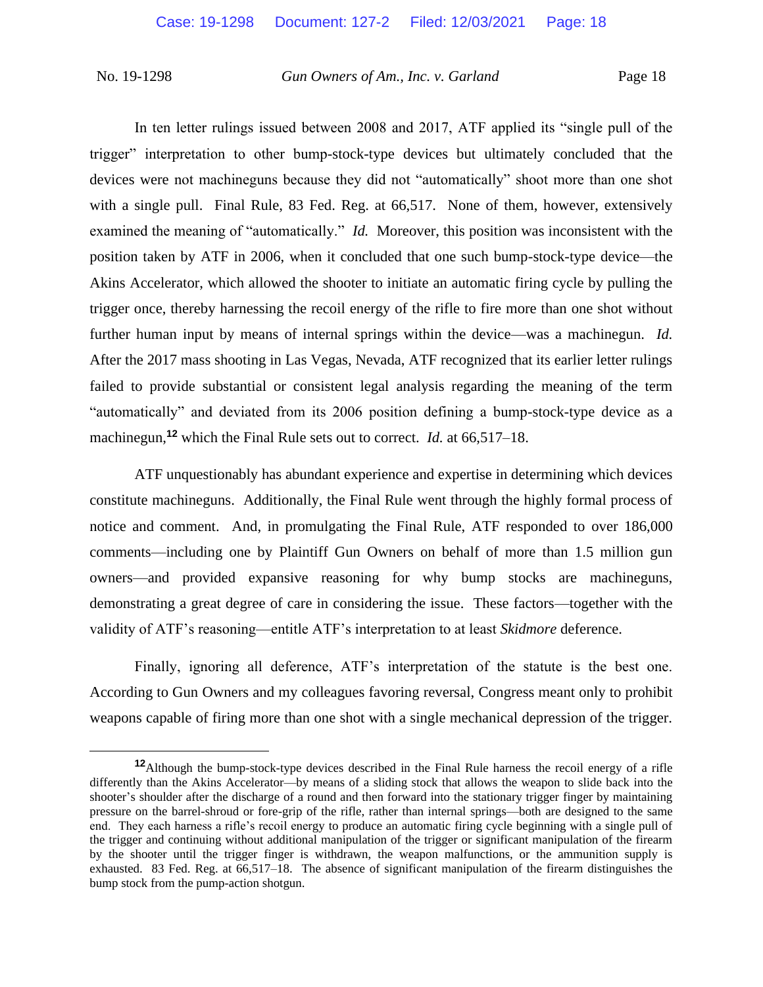In ten letter rulings issued between 2008 and 2017, ATF applied its "single pull of the trigger" interpretation to other bump-stock-type devices but ultimately concluded that the devices were not machineguns because they did not "automatically" shoot more than one shot with a single pull. Final Rule, 83 Fed. Reg. at 66,517. None of them, however, extensively examined the meaning of "automatically." *Id.* Moreover, this position was inconsistent with the position taken by ATF in 2006, when it concluded that one such bump-stock-type device—the Akins Accelerator, which allowed the shooter to initiate an automatic firing cycle by pulling the trigger once, thereby harnessing the recoil energy of the rifle to fire more than one shot without further human input by means of internal springs within the device—was a machinegun. *Id.*  After the 2017 mass shooting in Las Vegas, Nevada, ATF recognized that its earlier letter rulings failed to provide substantial or consistent legal analysis regarding the meaning of the term "automatically" and deviated from its 2006 position defining a bump-stock-type device as a machinegun,**<sup>12</sup>** which the Final Rule sets out to correct. *Id.* at 66,517–18.

ATF unquestionably has abundant experience and expertise in determining which devices constitute machineguns. Additionally, the Final Rule went through the highly formal process of notice and comment. And, in promulgating the Final Rule, ATF responded to over 186,000 comments—including one by Plaintiff Gun Owners on behalf of more than 1.5 million gun owners—and provided expansive reasoning for why bump stocks are machineguns, demonstrating a great degree of care in considering the issue. These factors—together with the validity of ATF's reasoning—entitle ATF's interpretation to at least *Skidmore* deference.

Finally, ignoring all deference, ATF's interpretation of the statute is the best one. According to Gun Owners and my colleagues favoring reversal, Congress meant only to prohibit weapons capable of firing more than one shot with a single mechanical depression of the trigger.

**<sup>12</sup>**Although the bump-stock-type devices described in the Final Rule harness the recoil energy of a rifle differently than the Akins Accelerator—by means of a sliding stock that allows the weapon to slide back into the shooter's shoulder after the discharge of a round and then forward into the stationary trigger finger by maintaining pressure on the barrel-shroud or fore-grip of the rifle, rather than internal springs—both are designed to the same end. They each harness a rifle's recoil energy to produce an automatic firing cycle beginning with a single pull of the trigger and continuing without additional manipulation of the trigger or significant manipulation of the firearm by the shooter until the trigger finger is withdrawn, the weapon malfunctions, or the ammunition supply is exhausted. 83 Fed. Reg. at 66,517–18. The absence of significant manipulation of the firearm distinguishes the bump stock from the pump-action shotgun.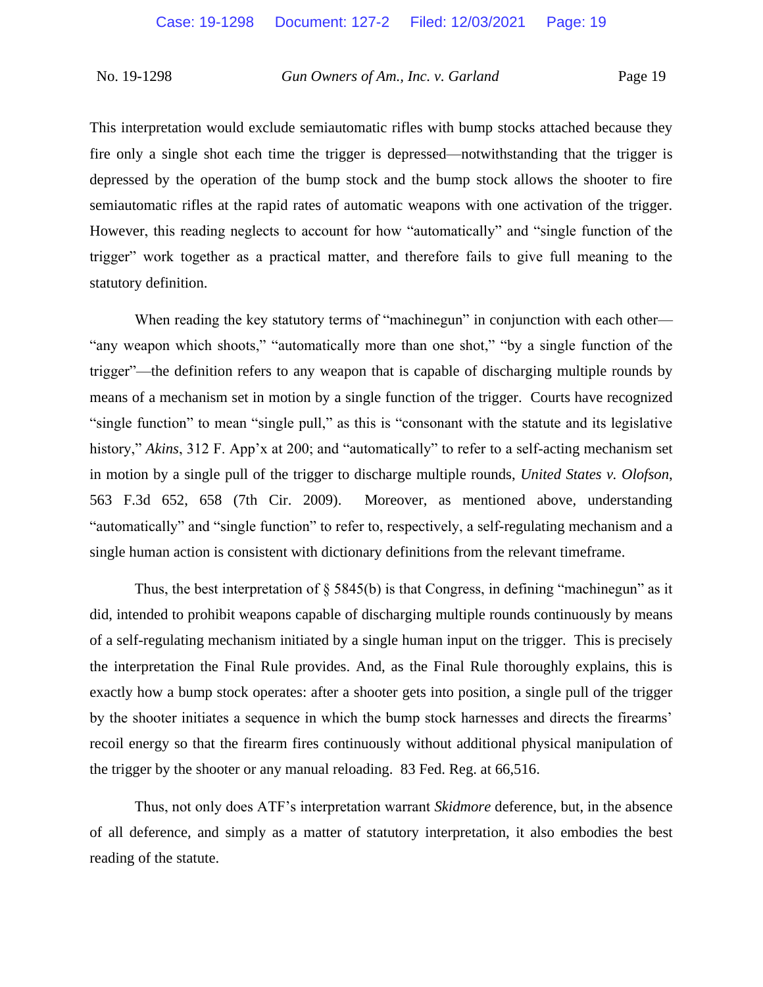This interpretation would exclude semiautomatic rifles with bump stocks attached because they fire only a single shot each time the trigger is depressed—notwithstanding that the trigger is depressed by the operation of the bump stock and the bump stock allows the shooter to fire semiautomatic rifles at the rapid rates of automatic weapons with one activation of the trigger. However, this reading neglects to account for how "automatically" and "single function of the trigger" work together as a practical matter, and therefore fails to give full meaning to the statutory definition.

When reading the key statutory terms of "machinegun" in conjunction with each other— "any weapon which shoots," "automatically more than one shot," "by a single function of the trigger"—the definition refers to any weapon that is capable of discharging multiple rounds by means of a mechanism set in motion by a single function of the trigger. Courts have recognized "single function" to mean "single pull," as this is "consonant with the statute and its legislative history," *Akins*, 312 F. App'x at 200; and "automatically" to refer to a self-acting mechanism set in motion by a single pull of the trigger to discharge multiple rounds, *United States v. Olofson*, 563 F.3d 652, 658 (7th Cir. 2009). Moreover, as mentioned above, understanding "automatically" and "single function" to refer to, respectively, a self-regulating mechanism and a single human action is consistent with dictionary definitions from the relevant timeframe.

Thus, the best interpretation of  $\S$  5845(b) is that Congress, in defining "machinegun" as it did, intended to prohibit weapons capable of discharging multiple rounds continuously by means of a self-regulating mechanism initiated by a single human input on the trigger. This is precisely the interpretation the Final Rule provides. And, as the Final Rule thoroughly explains, this is exactly how a bump stock operates: after a shooter gets into position, a single pull of the trigger by the shooter initiates a sequence in which the bump stock harnesses and directs the firearms' recoil energy so that the firearm fires continuously without additional physical manipulation of the trigger by the shooter or any manual reloading. 83 Fed. Reg. at 66,516.

Thus, not only does ATF's interpretation warrant *Skidmore* deference, but, in the absence of all deference, and simply as a matter of statutory interpretation, it also embodies the best reading of the statute.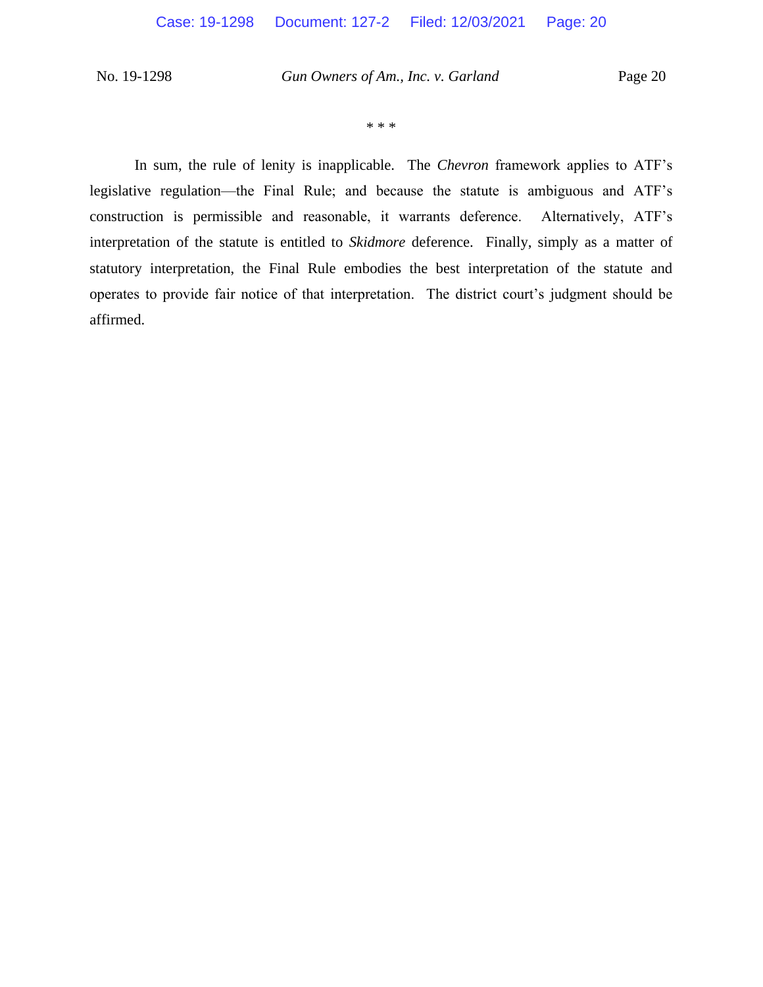\* \* \*

In sum, the rule of lenity is inapplicable. The *Chevron* framework applies to ATF's legislative regulation—the Final Rule; and because the statute is ambiguous and ATF's construction is permissible and reasonable, it warrants deference. Alternatively, ATF's interpretation of the statute is entitled to *Skidmore* deference. Finally, simply as a matter of statutory interpretation, the Final Rule embodies the best interpretation of the statute and operates to provide fair notice of that interpretation. The district court's judgment should be affirmed.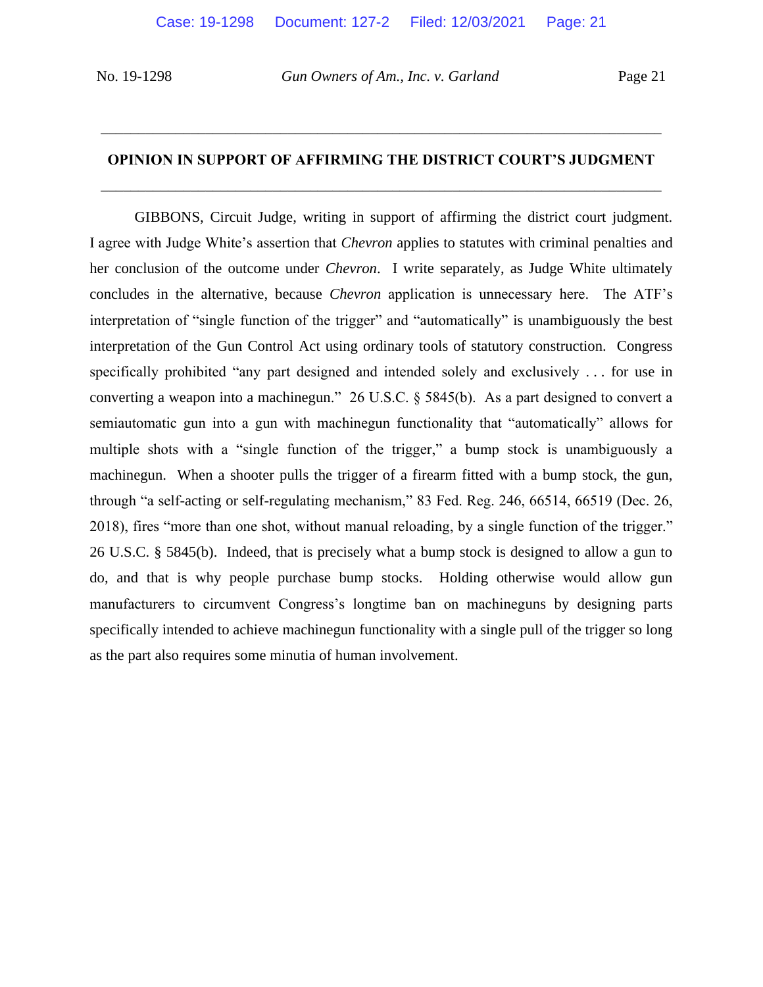# **OPINION IN SUPPORT OF AFFIRMING THE DISTRICT COURT'S JUDGMENT** \_\_\_\_\_\_\_\_\_\_\_\_\_\_\_\_\_\_\_\_\_\_\_\_\_\_\_\_\_\_\_\_\_\_\_\_\_\_\_\_\_\_\_\_\_\_\_\_\_\_\_\_\_\_\_\_\_\_\_\_\_\_\_\_\_\_\_\_\_\_\_\_\_\_\_

\_\_\_\_\_\_\_\_\_\_\_\_\_\_\_\_\_\_\_\_\_\_\_\_\_\_\_\_\_\_\_\_\_\_\_\_\_\_\_\_\_\_\_\_\_\_\_\_\_\_\_\_\_\_\_\_\_\_\_\_\_\_\_\_\_\_\_\_\_\_\_\_\_\_\_

GIBBONS, Circuit Judge, writing in support of affirming the district court judgment. I agree with Judge White's assertion that *Chevron* applies to statutes with criminal penalties and her conclusion of the outcome under *Chevron*. I write separately, as Judge White ultimately concludes in the alternative, because *Chevron* application is unnecessary here. The ATF's interpretation of "single function of the trigger" and "automatically" is unambiguously the best interpretation of the Gun Control Act using ordinary tools of statutory construction. Congress specifically prohibited "any part designed and intended solely and exclusively . . . for use in converting a weapon into a machinegun." 26 U.S.C. § 5845(b). As a part designed to convert a semiautomatic gun into a gun with machinegun functionality that "automatically" allows for multiple shots with a "single function of the trigger," a bump stock is unambiguously a machinegun. When a shooter pulls the trigger of a firearm fitted with a bump stock, the gun, through "a self-acting or self-regulating mechanism," 83 Fed. Reg. 246, 66514, 66519 (Dec. 26, 2018), fires "more than one shot, without manual reloading, by a single function of the trigger." 26 U.S.C. § 5845(b). Indeed, that is precisely what a bump stock is designed to allow a gun to do, and that is why people purchase bump stocks. Holding otherwise would allow gun manufacturers to circumvent Congress's longtime ban on machineguns by designing parts specifically intended to achieve machinegun functionality with a single pull of the trigger so long as the part also requires some minutia of human involvement.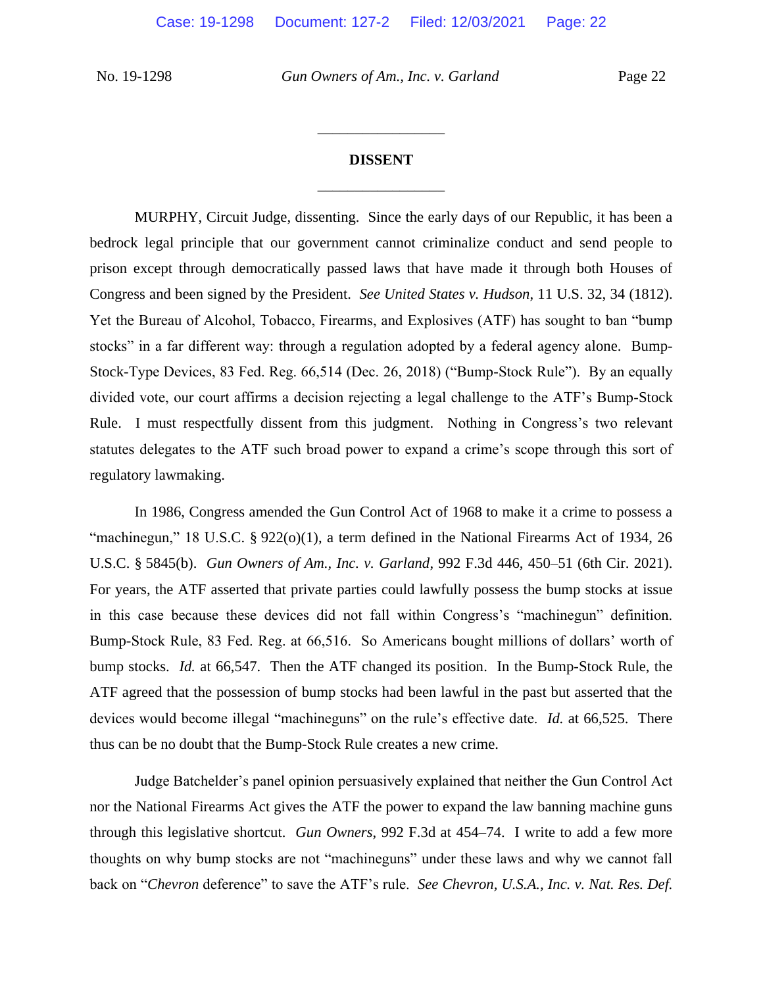### **DISSENT** \_\_\_\_\_\_\_\_\_\_\_\_\_\_\_\_\_

\_\_\_\_\_\_\_\_\_\_\_\_\_\_\_\_\_

MURPHY, Circuit Judge, dissenting. Since the early days of our Republic, it has been a bedrock legal principle that our government cannot criminalize conduct and send people to prison except through democratically passed laws that have made it through both Houses of Congress and been signed by the President. *See United States v. Hudson*, 11 U.S. 32, 34 (1812). Yet the Bureau of Alcohol, Tobacco, Firearms, and Explosives (ATF) has sought to ban "bump stocks" in a far different way: through a regulation adopted by a federal agency alone. Bump-Stock-Type Devices, 83 Fed. Reg. 66,514 (Dec. 26, 2018) ("Bump-Stock Rule"). By an equally divided vote, our court affirms a decision rejecting a legal challenge to the ATF's Bump-Stock Rule. I must respectfully dissent from this judgment. Nothing in Congress's two relevant statutes delegates to the ATF such broad power to expand a crime's scope through this sort of regulatory lawmaking.

In 1986, Congress amended the Gun Control Act of 1968 to make it a crime to possess a "machinegun," 18 U.S.C. § 922(o)(1), a term defined in the National Firearms Act of 1934, 26 U.S.C. § 5845(b). *Gun Owners of Am., Inc. v. Garland*, 992 F.3d 446, 450–51 (6th Cir. 2021). For years, the ATF asserted that private parties could lawfully possess the bump stocks at issue in this case because these devices did not fall within Congress's "machinegun" definition. Bump-Stock Rule, 83 Fed. Reg. at 66,516. So Americans bought millions of dollars' worth of bump stocks. *Id.* at 66,547. Then the ATF changed its position. In the Bump-Stock Rule, the ATF agreed that the possession of bump stocks had been lawful in the past but asserted that the devices would become illegal "machineguns" on the rule's effective date. *Id.* at 66,525. There thus can be no doubt that the Bump-Stock Rule creates a new crime.

Judge Batchelder's panel opinion persuasively explained that neither the Gun Control Act nor the National Firearms Act gives the ATF the power to expand the law banning machine guns through this legislative shortcut. *Gun Owners*, 992 F.3d at 454–74. I write to add a few more thoughts on why bump stocks are not "machineguns" under these laws and why we cannot fall back on "*Chevron* deference" to save the ATF's rule. *See Chevron, U.S.A., Inc. v. Nat. Res. Def.*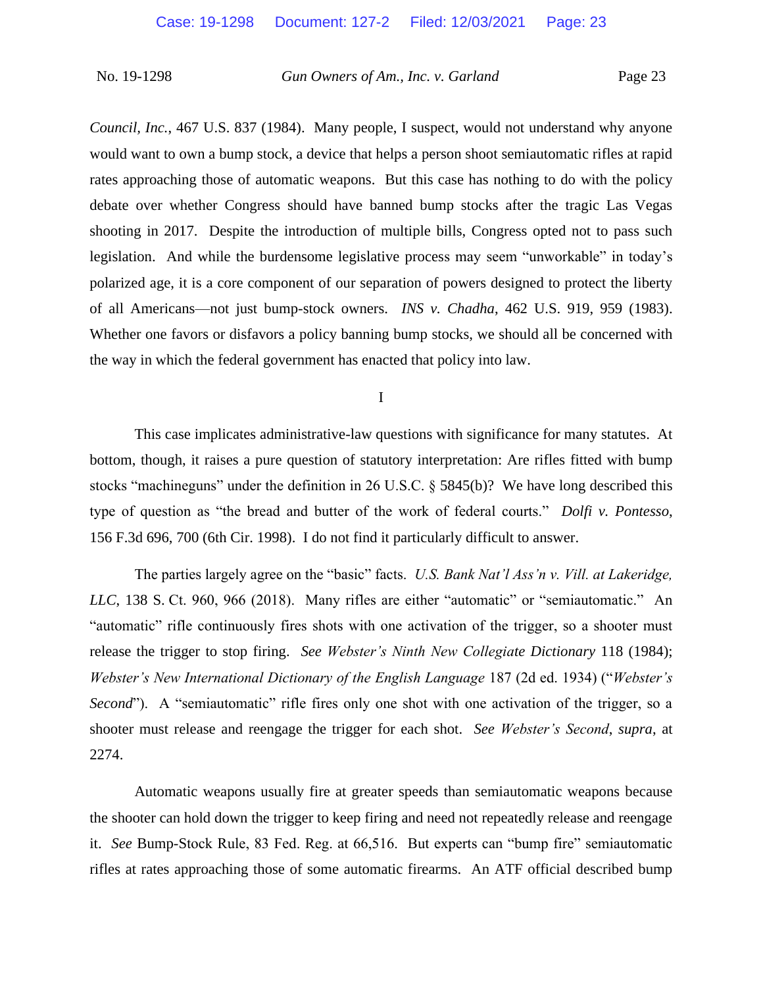*Council, Inc.*, 467 U.S. 837 (1984). Many people, I suspect, would not understand why anyone would want to own a bump stock, a device that helps a person shoot semiautomatic rifles at rapid rates approaching those of automatic weapons. But this case has nothing to do with the policy debate over whether Congress should have banned bump stocks after the tragic Las Vegas shooting in 2017. Despite the introduction of multiple bills, Congress opted not to pass such legislation. And while the burdensome legislative process may seem "unworkable" in today's polarized age, it is a core component of our separation of powers designed to protect the liberty of all Americans—not just bump-stock owners. *INS v. Chadha*, 462 U.S. 919, 959 (1983). Whether one favors or disfavors a policy banning bump stocks, we should all be concerned with the way in which the federal government has enacted that policy into law.

I

This case implicates administrative-law questions with significance for many statutes. At bottom, though, it raises a pure question of statutory interpretation: Are rifles fitted with bump stocks "machineguns" under the definition in 26 U.S.C. § 5845(b)? We have long described this type of question as "the bread and butter of the work of federal courts." *Dolfi v. Pontesso*, 156 F.3d 696, 700 (6th Cir. 1998). I do not find it particularly difficult to answer.

The parties largely agree on the "basic" facts. *U.S. Bank Nat'l Ass'n v. Vill. at Lakeridge, LLC*, 138 S. Ct. 960, 966 (2018). Many rifles are either "automatic" or "semiautomatic." An "automatic" rifle continuously fires shots with one activation of the trigger, so a shooter must release the trigger to stop firing. *See Webster's Ninth New Collegiate Dictionary* 118 (1984); *Webster's New International Dictionary of the English Language* 187 (2d ed. 1934) ("*Webster's Second*"). A "semiautomatic" rifle fires only one shot with one activation of the trigger, so a shooter must release and reengage the trigger for each shot. *See Webster's Second*, *supra*, at 2274.

Automatic weapons usually fire at greater speeds than semiautomatic weapons because the shooter can hold down the trigger to keep firing and need not repeatedly release and reengage it. *See* Bump-Stock Rule, 83 Fed. Reg. at 66,516. But experts can "bump fire" semiautomatic rifles at rates approaching those of some automatic firearms. An ATF official described bump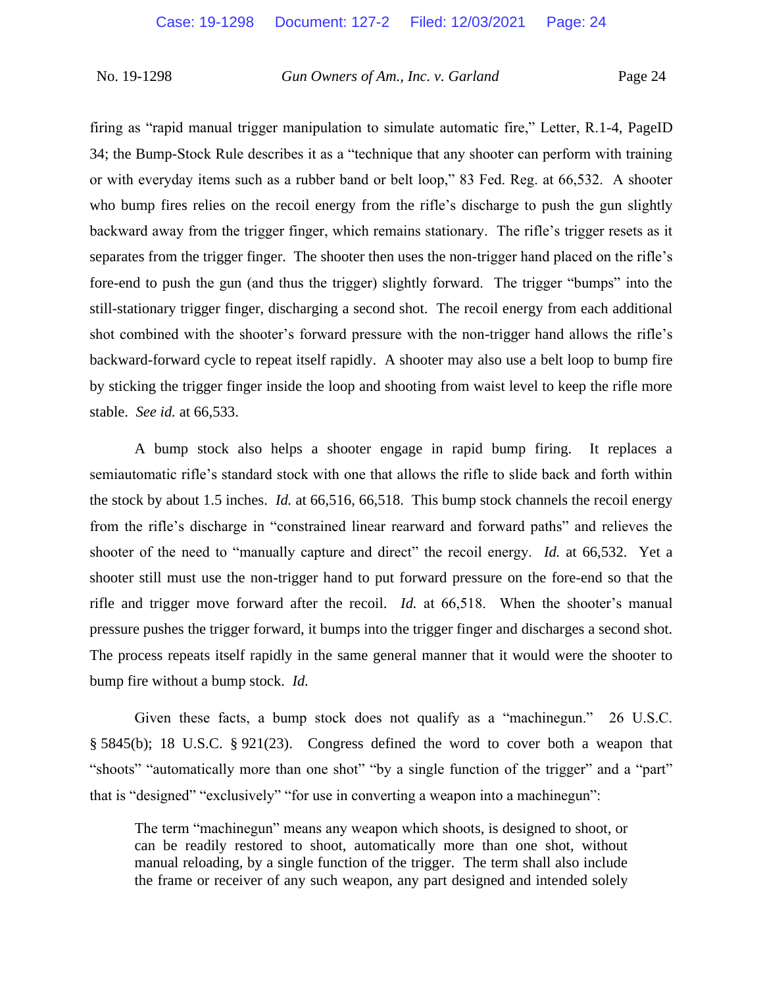firing as "rapid manual trigger manipulation to simulate automatic fire," Letter, R.1-4, PageID 34; the Bump-Stock Rule describes it as a "technique that any shooter can perform with training or with everyday items such as a rubber band or belt loop," 83 Fed. Reg. at 66,532. A shooter who bump fires relies on the recoil energy from the rifle's discharge to push the gun slightly backward away from the trigger finger, which remains stationary. The rifle's trigger resets as it separates from the trigger finger. The shooter then uses the non-trigger hand placed on the rifle's fore-end to push the gun (and thus the trigger) slightly forward. The trigger "bumps" into the still-stationary trigger finger, discharging a second shot. The recoil energy from each additional shot combined with the shooter's forward pressure with the non-trigger hand allows the rifle's backward-forward cycle to repeat itself rapidly. A shooter may also use a belt loop to bump fire by sticking the trigger finger inside the loop and shooting from waist level to keep the rifle more stable. *See id.* at 66,533.

A bump stock also helps a shooter engage in rapid bump firing. It replaces a semiautomatic rifle's standard stock with one that allows the rifle to slide back and forth within the stock by about 1.5 inches. *Id.* at 66,516, 66,518. This bump stock channels the recoil energy from the rifle's discharge in "constrained linear rearward and forward paths" and relieves the shooter of the need to "manually capture and direct" the recoil energy. *Id.* at 66,532. Yet a shooter still must use the non-trigger hand to put forward pressure on the fore-end so that the rifle and trigger move forward after the recoil. *Id.* at 66,518. When the shooter's manual pressure pushes the trigger forward, it bumps into the trigger finger and discharges a second shot. The process repeats itself rapidly in the same general manner that it would were the shooter to bump fire without a bump stock. *Id.*

Given these facts, a bump stock does not qualify as a "machinegun." 26 U.S.C. § 5845(b); 18 U.S.C. § 921(23). Congress defined the word to cover both a weapon that "shoots" "automatically more than one shot" "by a single function of the trigger" and a "part" that is "designed" "exclusively" "for use in converting a weapon into a machinegun":

The term "machinegun" means any weapon which shoots, is designed to shoot, or can be readily restored to shoot, automatically more than one shot, without manual reloading, by a single function of the trigger. The term shall also include the frame or receiver of any such weapon, any part designed and intended solely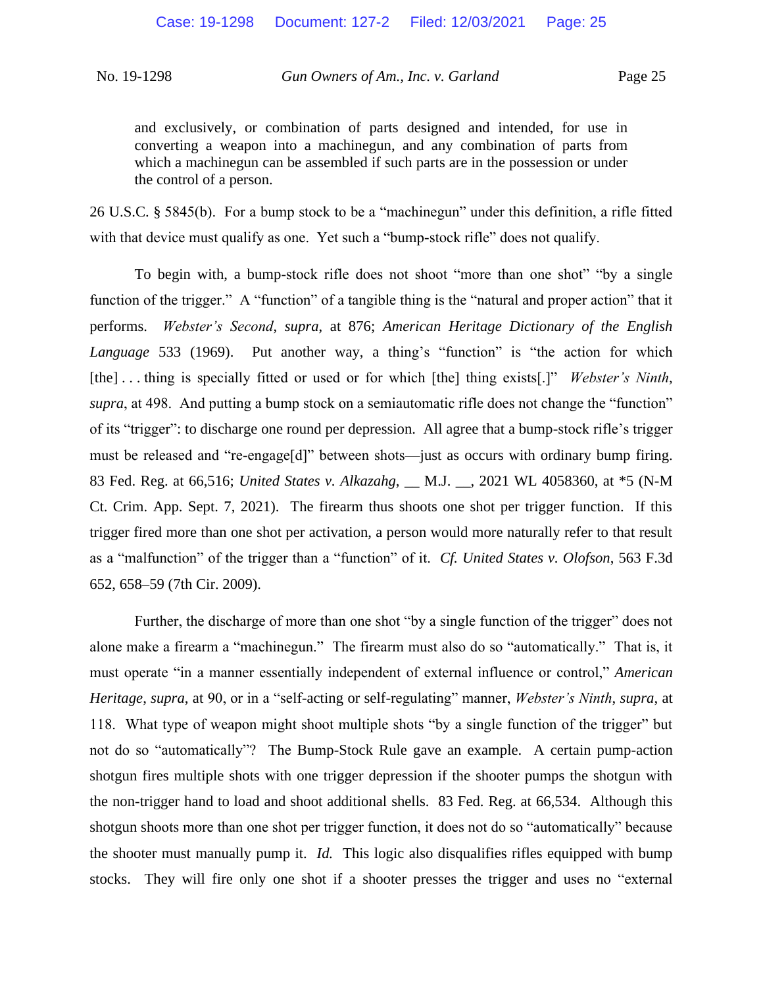and exclusively, or combination of parts designed and intended, for use in converting a weapon into a machinegun, and any combination of parts from which a machinegun can be assembled if such parts are in the possession or under the control of a person.

26 U.S.C. § 5845(b). For a bump stock to be a "machinegun" under this definition, a rifle fitted with that device must qualify as one. Yet such a "bump-stock rifle" does not qualify.

To begin with, a bump-stock rifle does not shoot "more than one shot" "by a single function of the trigger." A "function" of a tangible thing is the "natural and proper action" that it performs. *Webster's Second*, *supra*, at 876; *American Heritage Dictionary of the English Language* 533 (1969). Put another way, a thing's "function" is "the action for which [the] . . . thing is specially fitted or used or for which [the] thing exists[.]" *Webster's Ninth*, *supra*, at 498. And putting a bump stock on a semiautomatic rifle does not change the "function" of its "trigger": to discharge one round per depression. All agree that a bump-stock rifle's trigger must be released and "re-engage[d]" between shots—just as occurs with ordinary bump firing. 83 Fed. Reg. at 66,516; *United States v. Alkazahg*, \_\_ M.J. \_\_, 2021 WL 4058360, at \*5 (N-M Ct. Crim. App. Sept. 7, 2021). The firearm thus shoots one shot per trigger function. If this trigger fired more than one shot per activation, a person would more naturally refer to that result as a "malfunction" of the trigger than a "function" of it. *Cf. United States v. Olofson*, 563 F.3d 652, 658–59 (7th Cir. 2009).

Further, the discharge of more than one shot "by a single function of the trigger" does not alone make a firearm a "machinegun." The firearm must also do so "automatically." That is, it must operate "in a manner essentially independent of external influence or control," *American Heritage*, *supra*, at 90, or in a "self-acting or self-regulating" manner, *Webster's Ninth*, *supra*, at 118. What type of weapon might shoot multiple shots "by a single function of the trigger" but not do so "automatically"? The Bump-Stock Rule gave an example. A certain pump-action shotgun fires multiple shots with one trigger depression if the shooter pumps the shotgun with the non-trigger hand to load and shoot additional shells. 83 Fed. Reg. at 66,534. Although this shotgun shoots more than one shot per trigger function, it does not do so "automatically" because the shooter must manually pump it. *Id.* This logic also disqualifies rifles equipped with bump stocks. They will fire only one shot if a shooter presses the trigger and uses no "external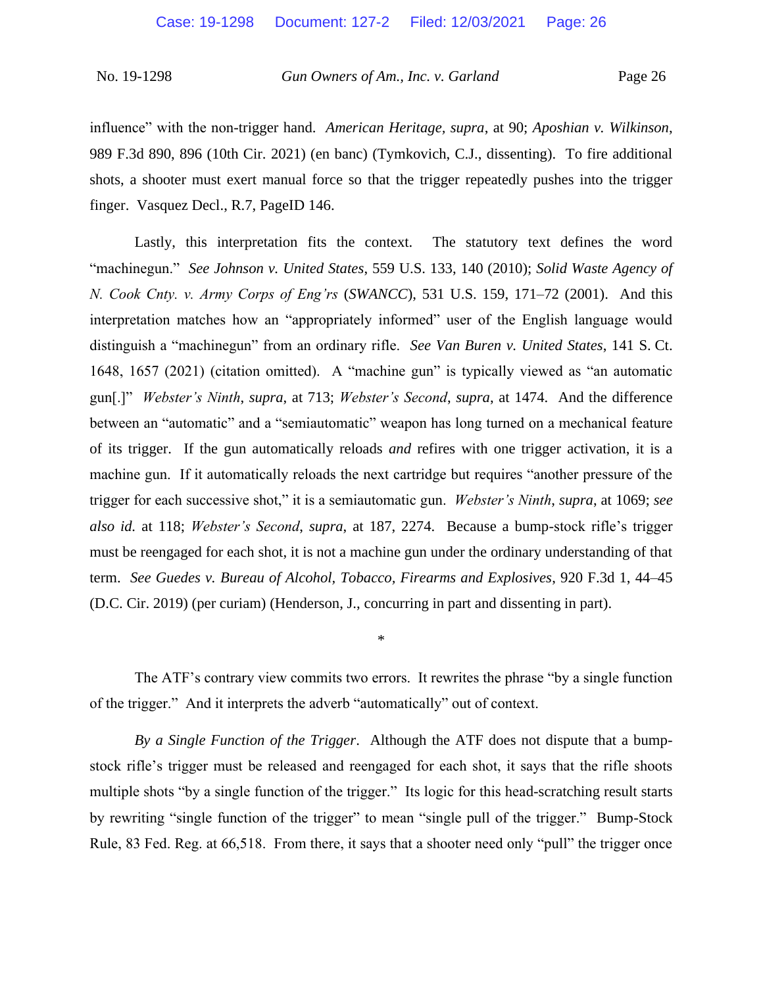influence" with the non-trigger hand. *American Heritage, supra*, at 90; *Aposhian v. Wilkinson*, 989 F.3d 890, 896 (10th Cir. 2021) (en banc) (Tymkovich, C.J., dissenting). To fire additional shots, a shooter must exert manual force so that the trigger repeatedly pushes into the trigger finger. Vasquez Decl., R.7, PageID 146.

Lastly, this interpretation fits the context. The statutory text defines the word "machinegun." *See Johnson v. United States*, 559 U.S. 133, 140 (2010); *Solid Waste Agency of N. Cook Cnty. v. Army Corps of Eng'rs* (*SWANCC*), 531 U.S. 159, 171–72 (2001). And this interpretation matches how an "appropriately informed" user of the English language would distinguish a "machinegun" from an ordinary rifle. *See Van Buren v. United States*, 141 S. Ct. 1648, 1657 (2021) (citation omitted). A "machine gun" is typically viewed as "an automatic gun[.]" *Webster's Ninth*, *supra*, at 713; *Webster's Second*, *supra*, at 1474. And the difference between an "automatic" and a "semiautomatic" weapon has long turned on a mechanical feature of its trigger. If the gun automatically reloads *and* refires with one trigger activation, it is a machine gun. If it automatically reloads the next cartridge but requires "another pressure of the trigger for each successive shot," it is a semiautomatic gun. *Webster's Ninth*, *supra*, at 1069; *see also id.* at 118; *Webster's Second*, *supra*, at 187, 2274. Because a bump-stock rifle's trigger must be reengaged for each shot, it is not a machine gun under the ordinary understanding of that term. *See Guedes v. Bureau of Alcohol, Tobacco, Firearms and Explosives*, 920 F.3d 1, 44–45 (D.C. Cir. 2019) (per curiam) (Henderson, J., concurring in part and dissenting in part).

The ATF's contrary view commits two errors. It rewrites the phrase "by a single function of the trigger." And it interprets the adverb "automatically" out of context.

\*

*By a Single Function of the Trigger*. Although the ATF does not dispute that a bumpstock rifle's trigger must be released and reengaged for each shot, it says that the rifle shoots multiple shots "by a single function of the trigger." Its logic for this head-scratching result starts by rewriting "single function of the trigger" to mean "single pull of the trigger." Bump-Stock Rule, 83 Fed. Reg. at 66,518. From there, it says that a shooter need only "pull" the trigger once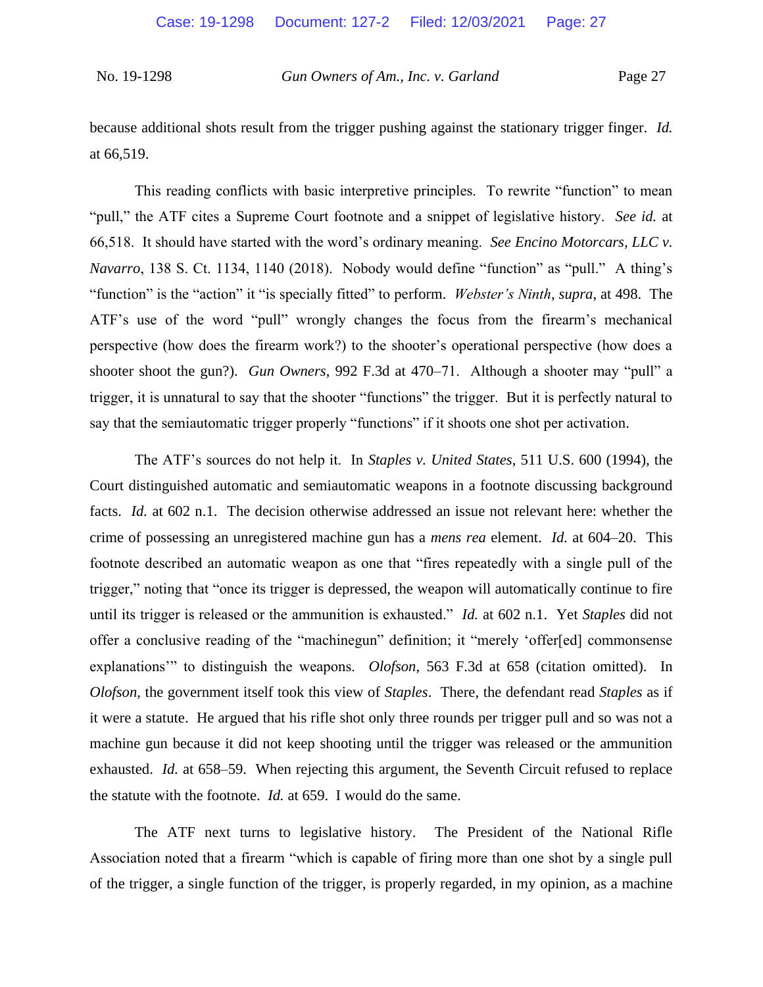because additional shots result from the trigger pushing against the stationary trigger finger. *Id.* at 66,519.

This reading conflicts with basic interpretive principles. To rewrite "function" to mean "pull," the ATF cites a Supreme Court footnote and a snippet of legislative history. *See id.* at 66,518. It should have started with the word's ordinary meaning. *See Encino Motorcars, LLC v. Navarro*, 138 S. Ct. 1134, 1140 (2018). Nobody would define "function" as "pull." A thing's "function" is the "action" it "is specially fitted" to perform. *Webster's Ninth*, *supra*, at 498. The ATF's use of the word "pull" wrongly changes the focus from the firearm's mechanical perspective (how does the firearm work?) to the shooter's operational perspective (how does a shooter shoot the gun?). *Gun Owners*, 992 F.3d at 470–71. Although a shooter may "pull" a trigger, it is unnatural to say that the shooter "functions" the trigger. But it is perfectly natural to say that the semiautomatic trigger properly "functions" if it shoots one shot per activation.

The ATF's sources do not help it. In *Staples v. United States*, 511 U.S. 600 (1994), the Court distinguished automatic and semiautomatic weapons in a footnote discussing background facts. *Id.* at 602 n.1. The decision otherwise addressed an issue not relevant here: whether the crime of possessing an unregistered machine gun has a *mens rea* element. *Id.* at 604–20. This footnote described an automatic weapon as one that "fires repeatedly with a single pull of the trigger," noting that "once its trigger is depressed, the weapon will automatically continue to fire until its trigger is released or the ammunition is exhausted." *Id.* at 602 n.1. Yet *Staples* did not offer a conclusive reading of the "machinegun" definition; it "merely 'offer[ed] commonsense explanations'" to distinguish the weapons. *Olofson*, 563 F.3d at 658 (citation omitted). In *Olofson*, the government itself took this view of *Staples*. There, the defendant read *Staples* as if it were a statute. He argued that his rifle shot only three rounds per trigger pull and so was not a machine gun because it did not keep shooting until the trigger was released or the ammunition exhausted. *Id.* at 658–59. When rejecting this argument, the Seventh Circuit refused to replace the statute with the footnote. *Id.* at 659. I would do the same.

The ATF next turns to legislative history. The President of the National Rifle Association noted that a firearm "which is capable of firing more than one shot by a single pull of the trigger, a single function of the trigger, is properly regarded, in my opinion, as a machine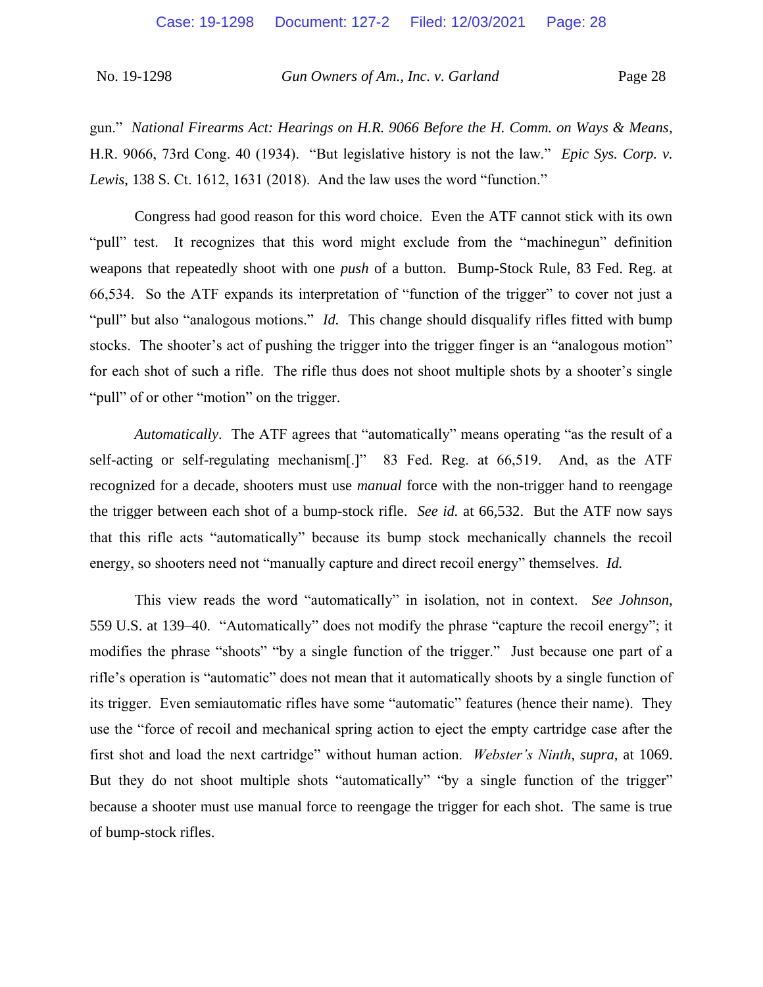gun." *National Firearms Act: Hearings on H.R. 9066 Before the H. Comm. on Ways & Means*, H.R. 9066, 73rd Cong. 40 (1934). "But legislative history is not the law." *Epic Sys. Corp. v. Lewis*, 138 S. Ct. 1612, 1631 (2018). And the law uses the word "function."

Congress had good reason for this word choice. Even the ATF cannot stick with its own "pull" test. It recognizes that this word might exclude from the "machinegun" definition weapons that repeatedly shoot with one *push* of a button. Bump-Stock Rule, 83 Fed. Reg. at 66,534. So the ATF expands its interpretation of "function of the trigger" to cover not just a "pull" but also "analogous motions." *Id.* This change should disqualify rifles fitted with bump stocks. The shooter's act of pushing the trigger into the trigger finger is an "analogous motion" for each shot of such a rifle. The rifle thus does not shoot multiple shots by a shooter's single "pull" of or other "motion" on the trigger.

*Automatically*. The ATF agrees that "automatically" means operating "as the result of a self-acting or self-regulating mechanism[.]" 83 Fed. Reg. at 66,519. And, as the ATF recognized for a decade, shooters must use *manual* force with the non-trigger hand to reengage the trigger between each shot of a bump-stock rifle. *See id.* at 66,532. But the ATF now says that this rifle acts "automatically" because its bump stock mechanically channels the recoil energy, so shooters need not "manually capture and direct recoil energy" themselves. *Id.*

This view reads the word "automatically" in isolation, not in context. *See Johnson*, 559 U.S. at 139–40. "Automatically" does not modify the phrase "capture the recoil energy"; it modifies the phrase "shoots" "by a single function of the trigger." Just because one part of a rifle's operation is "automatic" does not mean that it automatically shoots by a single function of its trigger. Even semiautomatic rifles have some "automatic" features (hence their name). They use the "force of recoil and mechanical spring action to eject the empty cartridge case after the first shot and load the next cartridge" without human action. *Webster's Ninth*, *supra*, at 1069. But they do not shoot multiple shots "automatically" "by a single function of the trigger" because a shooter must use manual force to reengage the trigger for each shot. The same is true of bump-stock rifles.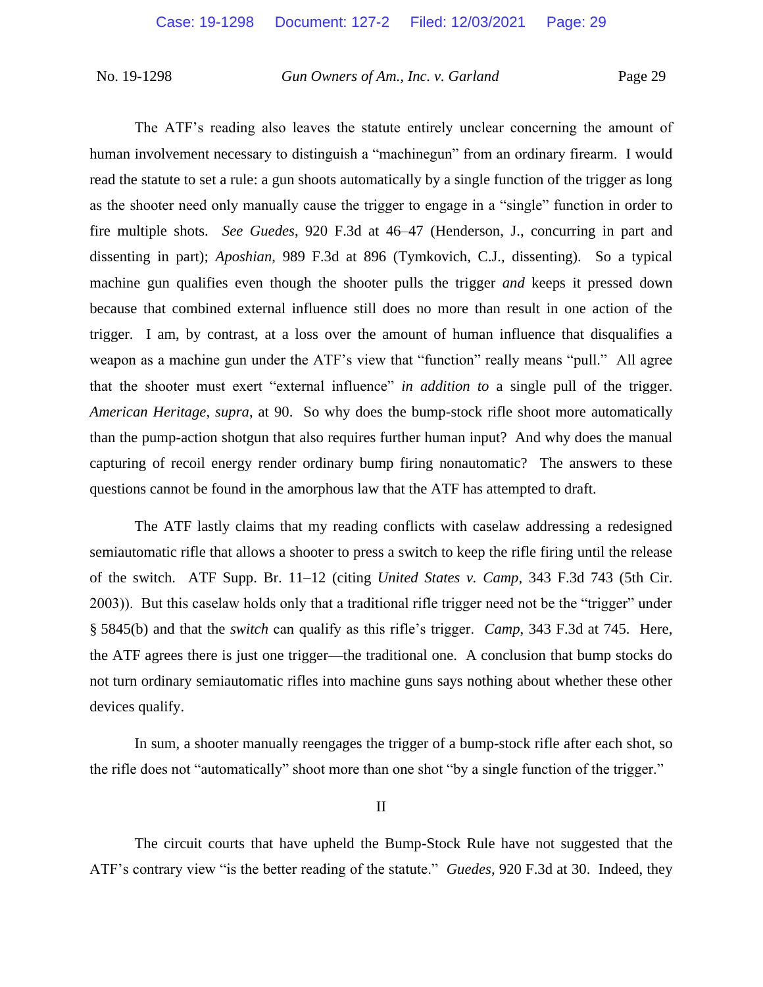The ATF's reading also leaves the statute entirely unclear concerning the amount of human involvement necessary to distinguish a "machinegun" from an ordinary firearm. I would read the statute to set a rule: a gun shoots automatically by a single function of the trigger as long as the shooter need only manually cause the trigger to engage in a "single" function in order to fire multiple shots. *See Guedes*, 920 F.3d at 46–47 (Henderson, J., concurring in part and dissenting in part); *Aposhian*, 989 F.3d at 896 (Tymkovich, C.J., dissenting). So a typical machine gun qualifies even though the shooter pulls the trigger *and* keeps it pressed down because that combined external influence still does no more than result in one action of the trigger. I am, by contrast, at a loss over the amount of human influence that disqualifies a weapon as a machine gun under the ATF's view that "function" really means "pull." All agree that the shooter must exert "external influence" *in addition to* a single pull of the trigger. *American Heritage*, *supra*, at 90. So why does the bump-stock rifle shoot more automatically than the pump-action shotgun that also requires further human input? And why does the manual capturing of recoil energy render ordinary bump firing nonautomatic? The answers to these questions cannot be found in the amorphous law that the ATF has attempted to draft.

The ATF lastly claims that my reading conflicts with caselaw addressing a redesigned semiautomatic rifle that allows a shooter to press a switch to keep the rifle firing until the release of the switch. ATF Supp. Br. 11–12 (citing *United States v. Camp*, 343 F.3d 743 (5th Cir. 2003)). But this caselaw holds only that a traditional rifle trigger need not be the "trigger" under § 5845(b) and that the *switch* can qualify as this rifle's trigger. *Camp*, 343 F.3d at 745. Here, the ATF agrees there is just one trigger—the traditional one. A conclusion that bump stocks do not turn ordinary semiautomatic rifles into machine guns says nothing about whether these other devices qualify.

In sum, a shooter manually reengages the trigger of a bump-stock rifle after each shot, so the rifle does not "automatically" shoot more than one shot "by a single function of the trigger."

II

The circuit courts that have upheld the Bump-Stock Rule have not suggested that the ATF's contrary view "is the better reading of the statute." *Guedes*, 920 F.3d at 30. Indeed, they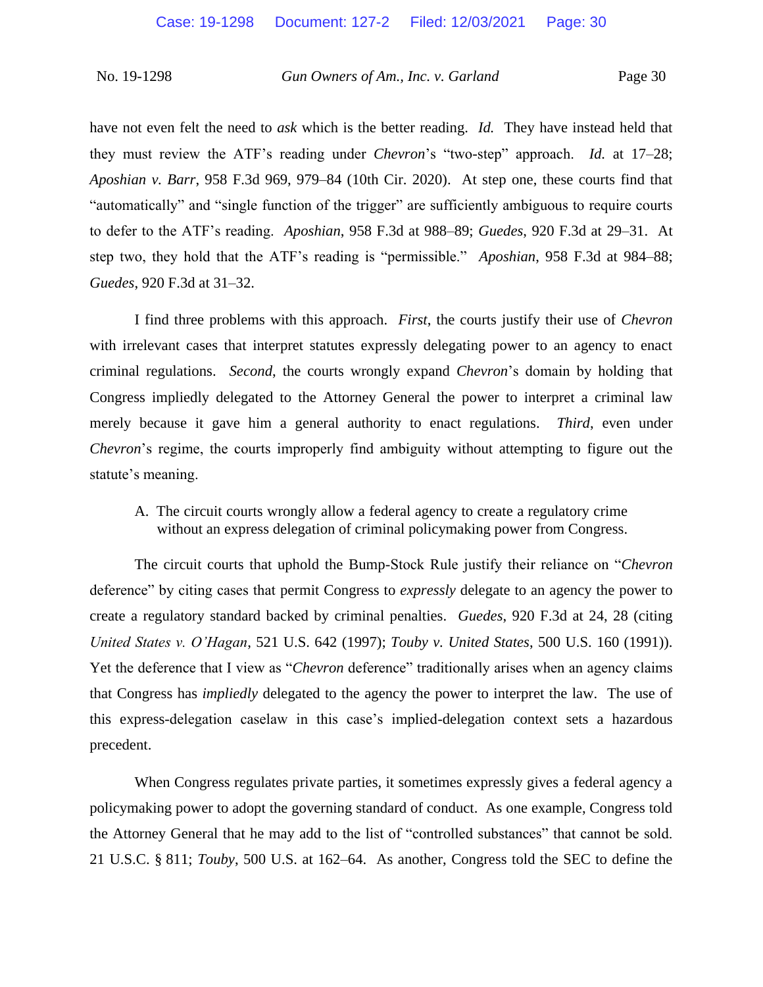have not even felt the need to *ask* which is the better reading. *Id.* They have instead held that they must review the ATF's reading under *Chevron*'s "two-step" approach. *Id.* at 17–28; *Aposhian v. Barr*, 958 F.3d 969, 979–84 (10th Cir. 2020). At step one, these courts find that "automatically" and "single function of the trigger" are sufficiently ambiguous to require courts to defer to the ATF's reading. *Aposhian*, 958 F.3d at 988–89; *Guedes*, 920 F.3d at 29–31. At step two, they hold that the ATF's reading is "permissible." *Aposhian*, 958 F.3d at 984–88; *Guedes*, 920 F.3d at 31–32.

I find three problems with this approach. *First*, the courts justify their use of *Chevron* with irrelevant cases that interpret statutes expressly delegating power to an agency to enact criminal regulations. *Second*, the courts wrongly expand *Chevron*'s domain by holding that Congress impliedly delegated to the Attorney General the power to interpret a criminal law merely because it gave him a general authority to enact regulations. *Third*, even under *Chevron*'s regime, the courts improperly find ambiguity without attempting to figure out the statute's meaning.

A. The circuit courts wrongly allow a federal agency to create a regulatory crime without an express delegation of criminal policymaking power from Congress.

The circuit courts that uphold the Bump-Stock Rule justify their reliance on "*Chevron*  deference" by citing cases that permit Congress to *expressly* delegate to an agency the power to create a regulatory standard backed by criminal penalties. *Guedes*, 920 F.3d at 24, 28 (citing *United States v. O'Hagan*, 521 U.S. 642 (1997); *Touby v. United States*, 500 U.S. 160 (1991)). Yet the deference that I view as "*Chevron* deference" traditionally arises when an agency claims that Congress has *impliedly* delegated to the agency the power to interpret the law. The use of this express-delegation caselaw in this case's implied-delegation context sets a hazardous precedent.

When Congress regulates private parties, it sometimes expressly gives a federal agency a policymaking power to adopt the governing standard of conduct. As one example, Congress told the Attorney General that he may add to the list of "controlled substances" that cannot be sold. 21 U.S.C. § 811; *Touby*, 500 U.S. at 162–64. As another, Congress told the SEC to define the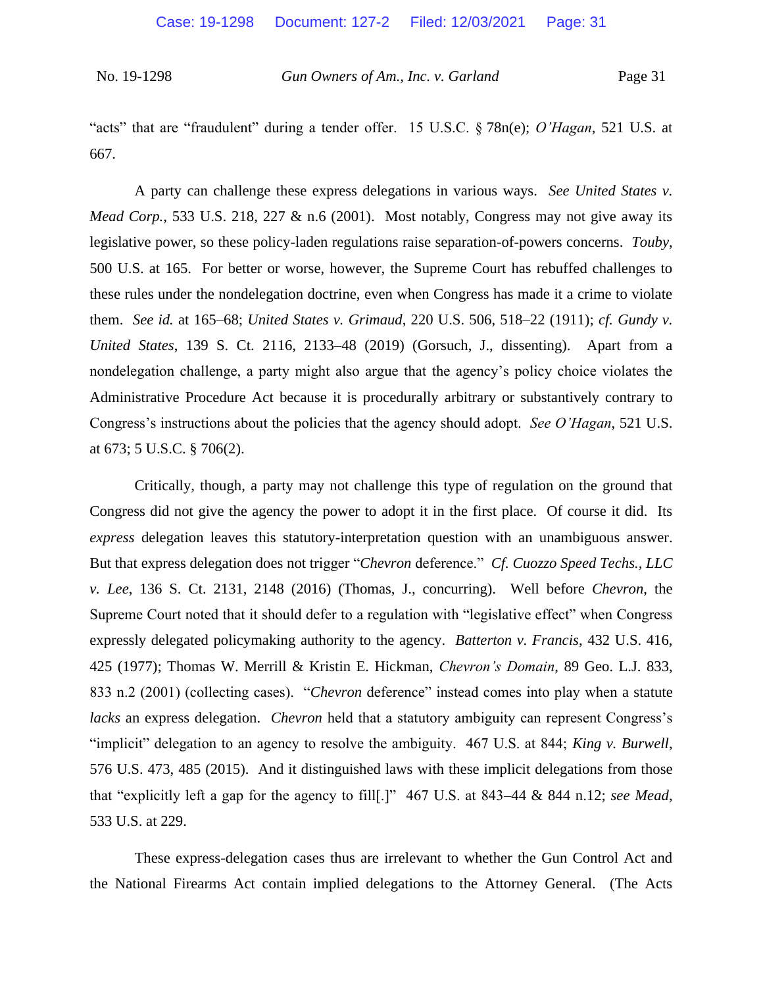"acts" that are "fraudulent" during a tender offer. 15 U.S.C. § 78n(e); *O'Hagan*, 521 U.S. at 667.

A party can challenge these express delegations in various ways. *See United States v. Mead Corp.*, 533 U.S. 218, 227 & n.6 (2001). Most notably, Congress may not give away its legislative power, so these policy-laden regulations raise separation-of-powers concerns. *Touby*, 500 U.S. at 165. For better or worse, however, the Supreme Court has rebuffed challenges to these rules under the nondelegation doctrine, even when Congress has made it a crime to violate them. *See id.* at 165–68; *United States v. Grimaud*, 220 U.S. 506, 518–22 (1911); *cf. Gundy v. United States*, 139 S. Ct. 2116, 2133–48 (2019) (Gorsuch, J., dissenting). Apart from a nondelegation challenge, a party might also argue that the agency's policy choice violates the Administrative Procedure Act because it is procedurally arbitrary or substantively contrary to Congress's instructions about the policies that the agency should adopt. *See O'Hagan*, 521 U.S. at 673; 5 U.S.C. § 706(2).

Critically, though, a party may not challenge this type of regulation on the ground that Congress did not give the agency the power to adopt it in the first place. Of course it did. Its *express* delegation leaves this statutory-interpretation question with an unambiguous answer. But that express delegation does not trigger "*Chevron* deference." *Cf. Cuozzo Speed Techs., LLC v. Lee*, 136 S. Ct. 2131, 2148 (2016) (Thomas, J., concurring). Well before *Chevron*, the Supreme Court noted that it should defer to a regulation with "legislative effect" when Congress expressly delegated policymaking authority to the agency. *Batterton v. Francis*, 432 U.S. 416, 425 (1977); Thomas W. Merrill & Kristin E. Hickman, *Chevron's Domain*, 89 Geo. L.J. 833, 833 n.2 (2001) (collecting cases). "*Chevron* deference" instead comes into play when a statute *lacks* an express delegation. *Chevron* held that a statutory ambiguity can represent Congress's "implicit" delegation to an agency to resolve the ambiguity. 467 U.S. at 844; *King v. Burwell*, 576 U.S. 473, 485 (2015). And it distinguished laws with these implicit delegations from those that "explicitly left a gap for the agency to fill[.]" 467 U.S. at 843–44 & 844 n.12; *see Mead*, 533 U.S. at 229.

These express-delegation cases thus are irrelevant to whether the Gun Control Act and the National Firearms Act contain implied delegations to the Attorney General. (The Acts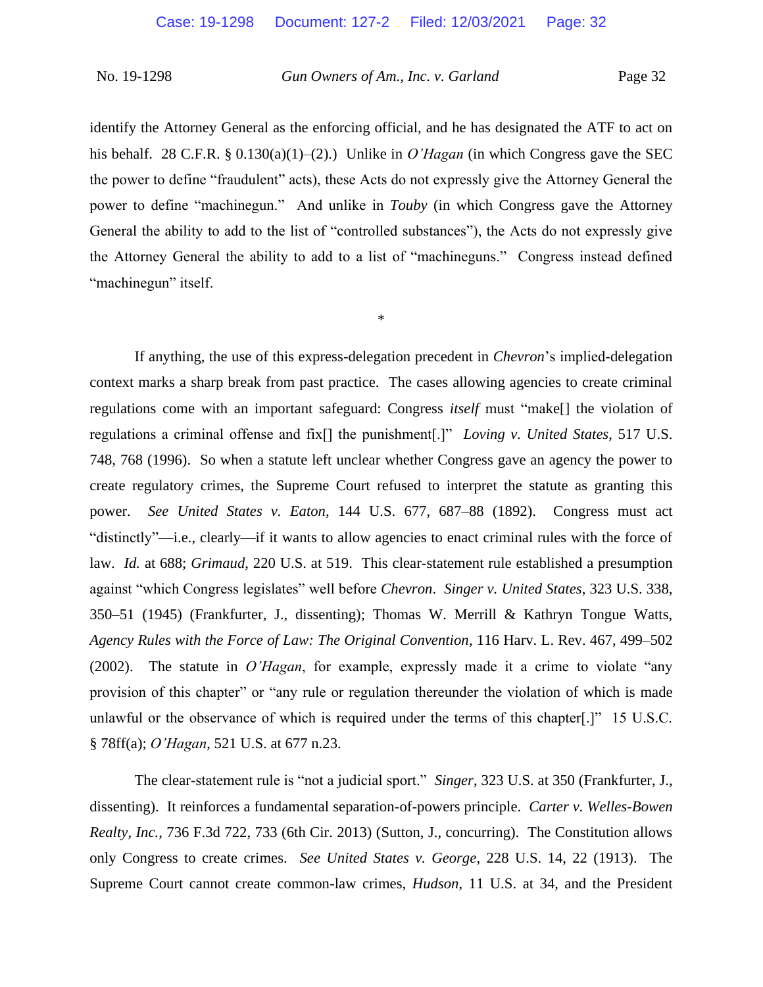identify the Attorney General as the enforcing official, and he has designated the ATF to act on his behalf. 28 C.F.R. § 0.130(a)(1)–(2).) Unlike in *O'Hagan* (in which Congress gave the SEC the power to define "fraudulent" acts), these Acts do not expressly give the Attorney General the power to define "machinegun." And unlike in *Touby* (in which Congress gave the Attorney General the ability to add to the list of "controlled substances"), the Acts do not expressly give the Attorney General the ability to add to a list of "machineguns." Congress instead defined "machinegun" itself.

\*

If anything, the use of this express-delegation precedent in *Chevron*'s implied-delegation context marks a sharp break from past practice. The cases allowing agencies to create criminal regulations come with an important safeguard: Congress *itself* must "make[] the violation of regulations a criminal offense and fix[] the punishment[.]" *Loving v. United States*, 517 U.S. 748, 768 (1996). So when a statute left unclear whether Congress gave an agency the power to create regulatory crimes, the Supreme Court refused to interpret the statute as granting this power. *See United States v. Eaton*, 144 U.S. 677, 687–88 (1892). Congress must act "distinctly"—i.e., clearly—if it wants to allow agencies to enact criminal rules with the force of law. *Id.* at 688; *Grimaud*, 220 U.S. at 519. This clear-statement rule established a presumption against "which Congress legislates" well before *Chevron*. *Singer v. United States*, 323 U.S. 338, 350–51 (1945) (Frankfurter, J., dissenting); Thomas W. Merrill & Kathryn Tongue Watts, *Agency Rules with the Force of Law: The Original Convention*, 116 Harv. L. Rev. 467, 499–502 (2002). The statute in *O'Hagan*, for example, expressly made it a crime to violate "any provision of this chapter" or "any rule or regulation thereunder the violation of which is made unlawful or the observance of which is required under the terms of this chapter[.]" 15 U.S.C. § 78ff(a); *O'Hagan*, 521 U.S. at 677 n.23.

The clear-statement rule is "not a judicial sport." *Singer*, 323 U.S. at 350 (Frankfurter, J., dissenting). It reinforces a fundamental separation-of-powers principle. *Carter v. Welles-Bowen Realty, Inc.*, 736 F.3d 722, 733 (6th Cir. 2013) (Sutton, J., concurring). The Constitution allows only Congress to create crimes. *See United States v. George*, 228 U.S. 14, 22 (1913). The Supreme Court cannot create common-law crimes, *Hudson*, 11 U.S. at 34, and the President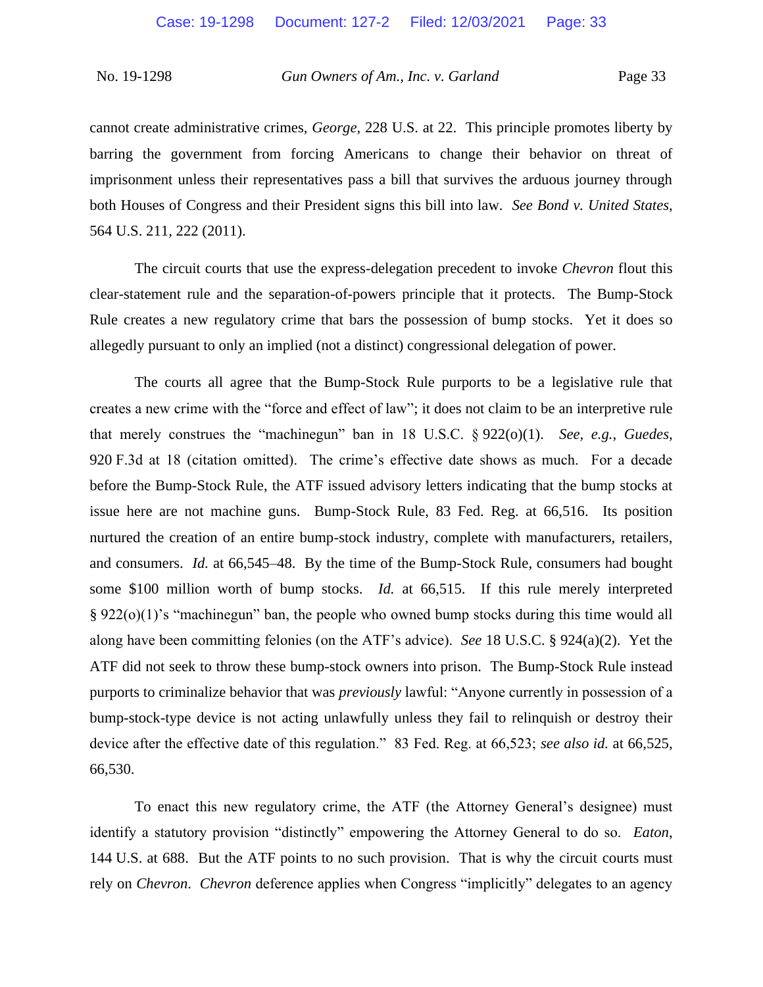cannot create administrative crimes, *George*, 228 U.S. at 22. This principle promotes liberty by barring the government from forcing Americans to change their behavior on threat of imprisonment unless their representatives pass a bill that survives the arduous journey through both Houses of Congress and their President signs this bill into law. *See Bond v. United States*, 564 U.S. 211, 222 (2011).

The circuit courts that use the express-delegation precedent to invoke *Chevron* flout this clear-statement rule and the separation-of-powers principle that it protects. The Bump-Stock Rule creates a new regulatory crime that bars the possession of bump stocks. Yet it does so allegedly pursuant to only an implied (not a distinct) congressional delegation of power.

The courts all agree that the Bump-Stock Rule purports to be a legislative rule that creates a new crime with the "force and effect of law"; it does not claim to be an interpretive rule that merely construes the "machinegun" ban in 18 U.S.C. § 922(o)(1). *See, e.g.*, *Guedes*, 920 F.3d at 18 (citation omitted). The crime's effective date shows as much. For a decade before the Bump-Stock Rule, the ATF issued advisory letters indicating that the bump stocks at issue here are not machine guns. Bump-Stock Rule, 83 Fed. Reg. at 66,516. Its position nurtured the creation of an entire bump-stock industry, complete with manufacturers, retailers, and consumers. *Id.* at 66,545–48. By the time of the Bump-Stock Rule, consumers had bought some \$100 million worth of bump stocks. *Id.* at 66,515. If this rule merely interpreted § 922(o)(1)'s "machinegun" ban, the people who owned bump stocks during this time would all along have been committing felonies (on the ATF's advice). *See* 18 U.S.C. § 924(a)(2). Yet the ATF did not seek to throw these bump-stock owners into prison. The Bump-Stock Rule instead purports to criminalize behavior that was *previously* lawful: "Anyone currently in possession of a bump-stock-type device is not acting unlawfully unless they fail to relinquish or destroy their device after the effective date of this regulation." 83 Fed. Reg. at 66,523; *see also id.* at 66,525, 66,530.

To enact this new regulatory crime, the ATF (the Attorney General's designee) must identify a statutory provision "distinctly" empowering the Attorney General to do so. *Eaton*, 144 U.S. at 688. But the ATF points to no such provision. That is why the circuit courts must rely on *Chevron*. *Chevron* deference applies when Congress "implicitly" delegates to an agency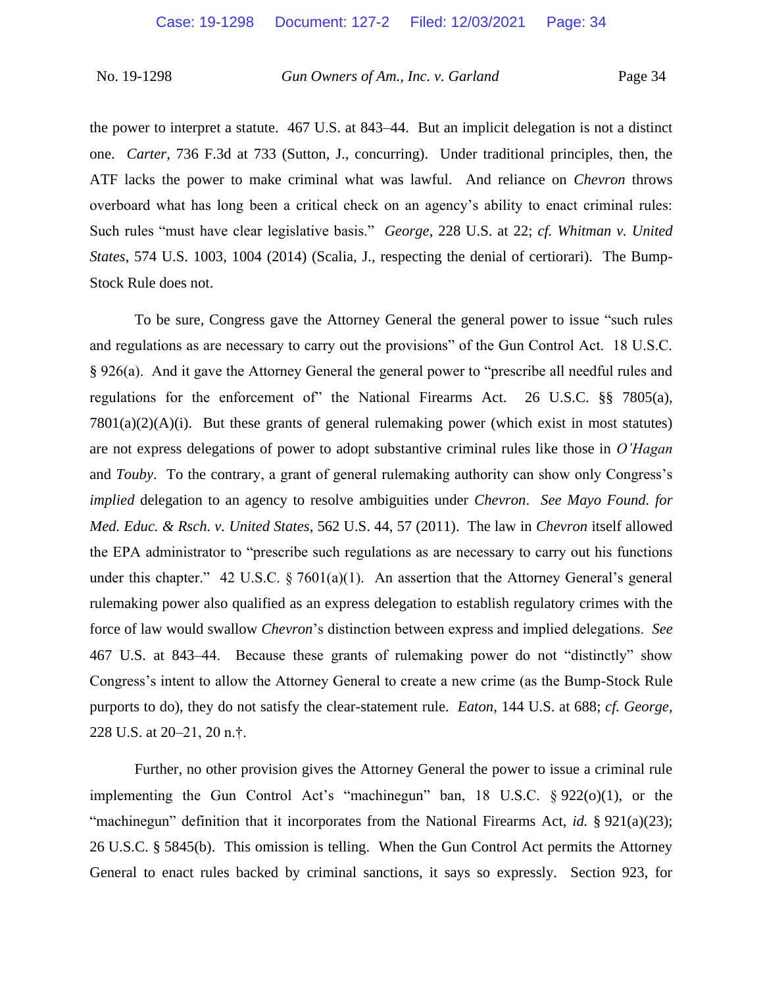the power to interpret a statute. 467 U.S. at 843–44. But an implicit delegation is not a distinct one. *Carter*, 736 F.3d at 733 (Sutton, J., concurring). Under traditional principles, then, the ATF lacks the power to make criminal what was lawful. And reliance on *Chevron* throws overboard what has long been a critical check on an agency's ability to enact criminal rules: Such rules "must have clear legislative basis." *George*, 228 U.S. at 22; *cf. Whitman v. United States*, 574 U.S. 1003, 1004 (2014) (Scalia, J., respecting the denial of certiorari). The Bump-Stock Rule does not.

To be sure, Congress gave the Attorney General the general power to issue "such rules and regulations as are necessary to carry out the provisions" of the Gun Control Act. 18 U.S.C. § 926(a). And it gave the Attorney General the general power to "prescribe all needful rules and regulations for the enforcement of" the National Firearms Act. 26 U.S.C. §§ 7805(a),  $7801(a)(2)(A)(i)$ . But these grants of general rulemaking power (which exist in most statutes) are not express delegations of power to adopt substantive criminal rules like those in *O'Hagan* and *Touby*. To the contrary, a grant of general rulemaking authority can show only Congress's *implied* delegation to an agency to resolve ambiguities under *Chevron*. *See Mayo Found. for Med. Educ. & Rsch. v. United States*, 562 U.S. 44, 57 (2011). The law in *Chevron* itself allowed the EPA administrator to "prescribe such regulations as are necessary to carry out his functions under this chapter." 42 U.S.C.  $\S 7601(a)(1)$ . An assertion that the Attorney General's general rulemaking power also qualified as an express delegation to establish regulatory crimes with the force of law would swallow *Chevron*'s distinction between express and implied delegations. *See*  467 U.S. at 843–44. Because these grants of rulemaking power do not "distinctly" show Congress's intent to allow the Attorney General to create a new crime (as the Bump-Stock Rule purports to do), they do not satisfy the clear-statement rule. *Eaton*, 144 U.S. at 688; *cf. George*, 228 U.S. at 20–21, 20 n.†.

Further, no other provision gives the Attorney General the power to issue a criminal rule implementing the Gun Control Act's "machinegun" ban, 18 U.S.C. § 922(o)(1), or the "machinegun" definition that it incorporates from the National Firearms Act, *id.* § 921(a)(23); 26 U.S.C. § 5845(b). This omission is telling. When the Gun Control Act permits the Attorney General to enact rules backed by criminal sanctions, it says so expressly. Section 923, for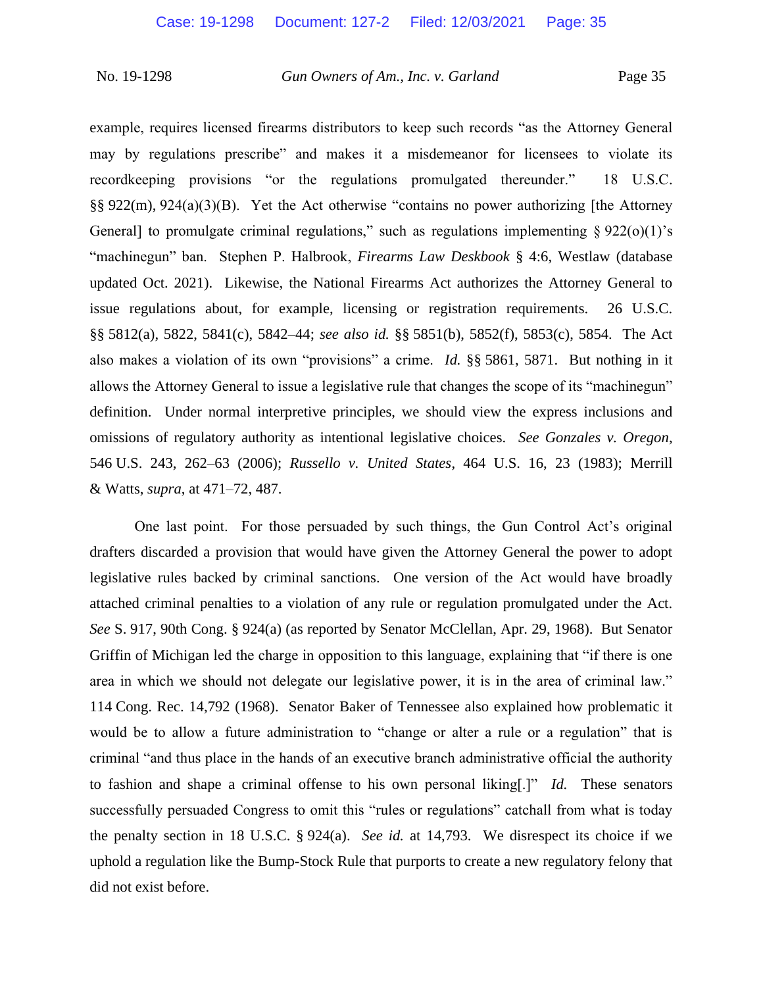example, requires licensed firearms distributors to keep such records "as the Attorney General may by regulations prescribe" and makes it a misdemeanor for licensees to violate its recordkeeping provisions "or the regulations promulgated thereunder." 18 U.S.C. §§ 922(m), 924(a)(3)(B). Yet the Act otherwise "contains no power authorizing [the Attorney General] to promulgate criminal regulations," such as regulations implementing  $\S 922(o)(1)$ 's "machinegun" ban. Stephen P. Halbrook, *Firearms Law Deskbook* § 4:6, Westlaw (database updated Oct. 2021). Likewise, the National Firearms Act authorizes the Attorney General to issue regulations about, for example, licensing or registration requirements. 26 U.S.C. §§ 5812(a), 5822, 5841(c), 5842–44; *see also id.* §§ 5851(b), 5852(f), 5853(c), 5854. The Act also makes a violation of its own "provisions" a crime. *Id.* §§ 5861, 5871. But nothing in it allows the Attorney General to issue a legislative rule that changes the scope of its "machinegun" definition. Under normal interpretive principles, we should view the express inclusions and omissions of regulatory authority as intentional legislative choices. *See Gonzales v. Oregon*, 546 U.S. 243, 262–63 (2006); *Russello v. United States*, 464 U.S. 16, 23 (1983); Merrill & Watts, *supra*, at 471–72, 487.

One last point. For those persuaded by such things, the Gun Control Act's original drafters discarded a provision that would have given the Attorney General the power to adopt legislative rules backed by criminal sanctions. One version of the Act would have broadly attached criminal penalties to a violation of any rule or regulation promulgated under the Act. *See* S. 917, 90th Cong. § 924(a) (as reported by Senator McClellan, Apr. 29, 1968). But Senator Griffin of Michigan led the charge in opposition to this language, explaining that "if there is one area in which we should not delegate our legislative power, it is in the area of criminal law." 114 Cong. Rec. 14,792 (1968). Senator Baker of Tennessee also explained how problematic it would be to allow a future administration to "change or alter a rule or a regulation" that is criminal "and thus place in the hands of an executive branch administrative official the authority to fashion and shape a criminal offense to his own personal liking[.]" *Id.* These senators successfully persuaded Congress to omit this "rules or regulations" catchall from what is today the penalty section in 18 U.S.C. § 924(a). *See id.* at 14,793. We disrespect its choice if we uphold a regulation like the Bump-Stock Rule that purports to create a new regulatory felony that did not exist before.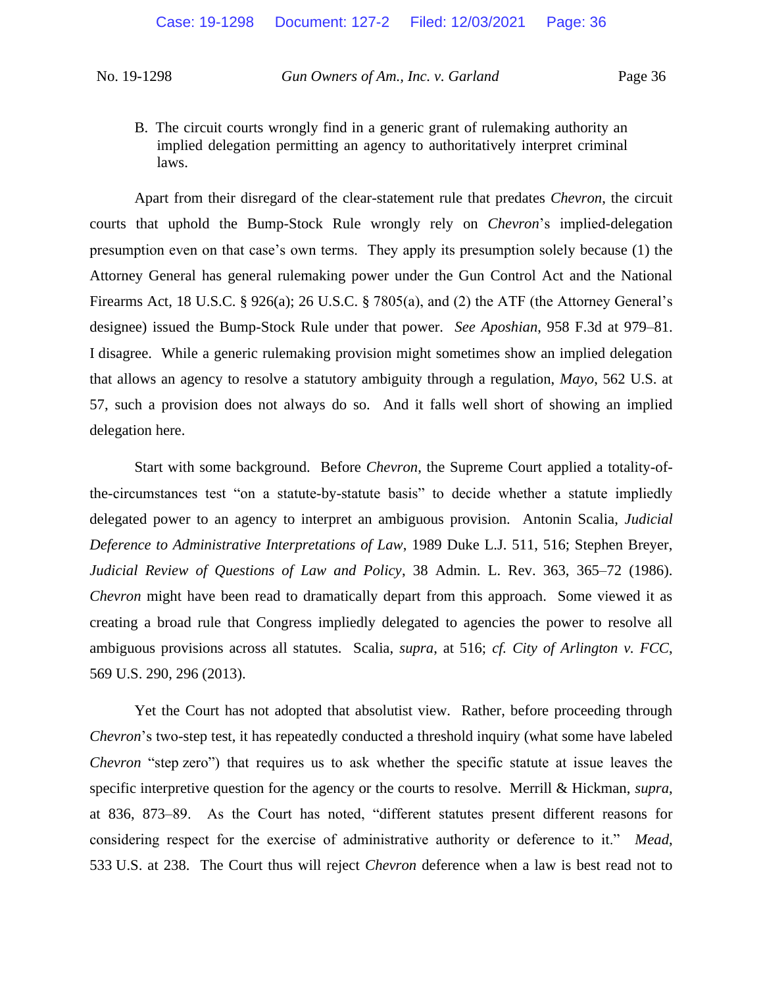B. The circuit courts wrongly find in a generic grant of rulemaking authority an implied delegation permitting an agency to authoritatively interpret criminal laws.

Apart from their disregard of the clear-statement rule that predates *Chevron*, the circuit courts that uphold the Bump-Stock Rule wrongly rely on *Chevron*'s implied-delegation presumption even on that case's own terms. They apply its presumption solely because (1) the Attorney General has general rulemaking power under the Gun Control Act and the National Firearms Act, 18 U.S.C. § 926(a); 26 U.S.C. § 7805(a), and (2) the ATF (the Attorney General's designee) issued the Bump-Stock Rule under that power. *See Aposhian*, 958 F.3d at 979–81. I disagree. While a generic rulemaking provision might sometimes show an implied delegation that allows an agency to resolve a statutory ambiguity through a regulation, *Mayo*, 562 U.S. at 57, such a provision does not always do so. And it falls well short of showing an implied delegation here.

Start with some background. Before *Chevron*, the Supreme Court applied a totality-ofthe-circumstances test "on a statute-by-statute basis" to decide whether a statute impliedly delegated power to an agency to interpret an ambiguous provision. Antonin Scalia, *Judicial Deference to Administrative Interpretations of Law*, 1989 Duke L.J. 511, 516; Stephen Breyer, *Judicial Review of Questions of Law and Policy*, 38 Admin. L. Rev. 363, 365–72 (1986). *Chevron* might have been read to dramatically depart from this approach. Some viewed it as creating a broad rule that Congress impliedly delegated to agencies the power to resolve all ambiguous provisions across all statutes. Scalia, *supra*, at 516; *cf. City of Arlington v. FCC*, 569 U.S. 290, 296 (2013).

Yet the Court has not adopted that absolutist view. Rather, before proceeding through *Chevron*'s two-step test, it has repeatedly conducted a threshold inquiry (what some have labeled *Chevron* "step zero") that requires us to ask whether the specific statute at issue leaves the specific interpretive question for the agency or the courts to resolve. Merrill & Hickman, *supra*, at 836, 873–89. As the Court has noted, "different statutes present different reasons for considering respect for the exercise of administrative authority or deference to it." *Mead*, 533 U.S. at 238. The Court thus will reject *Chevron* deference when a law is best read not to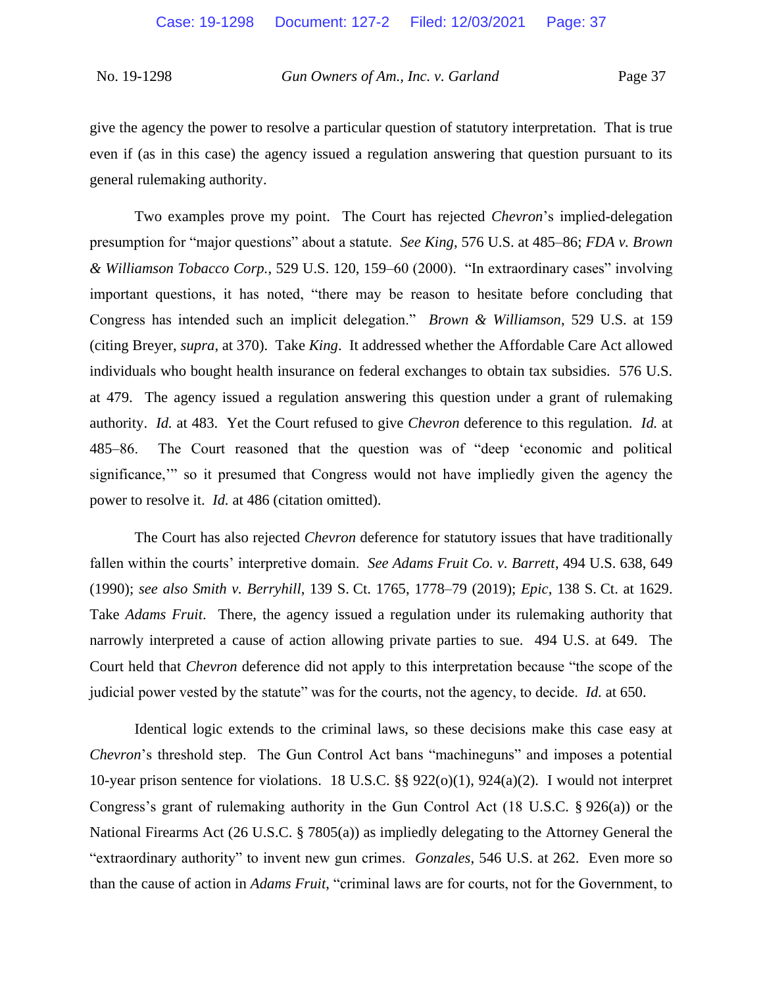give the agency the power to resolve a particular question of statutory interpretation. That is true even if (as in this case) the agency issued a regulation answering that question pursuant to its general rulemaking authority.

Two examples prove my point. The Court has rejected *Chevron*'s implied-delegation presumption for "major questions" about a statute. *See King*, 576 U.S. at 485–86; *FDA v. Brown & Williamson Tobacco Corp.*, 529 U.S. 120, 159–60 (2000). "In extraordinary cases" involving important questions, it has noted, "there may be reason to hesitate before concluding that Congress has intended such an implicit delegation." *Brown & Williamson*, 529 U.S. at 159 (citing Breyer, *supra*, at 370). Take *King*. It addressed whether the Affordable Care Act allowed individuals who bought health insurance on federal exchanges to obtain tax subsidies. 576 U.S. at 479. The agency issued a regulation answering this question under a grant of rulemaking authority. *Id.* at 483. Yet the Court refused to give *Chevron* deference to this regulation. *Id.* at 485–86. The Court reasoned that the question was of "deep 'economic and political significance,'" so it presumed that Congress would not have impliedly given the agency the power to resolve it. *Id.* at 486 (citation omitted).

The Court has also rejected *Chevron* deference for statutory issues that have traditionally fallen within the courts' interpretive domain. *See Adams Fruit Co. v. Barrett*, 494 U.S. 638, 649 (1990); *see also Smith v. Berryhill*, 139 S. Ct. 1765, 1778–79 (2019); *Epic*, 138 S. Ct. at 1629. Take *Adams Fruit*. There, the agency issued a regulation under its rulemaking authority that narrowly interpreted a cause of action allowing private parties to sue. 494 U.S. at 649. The Court held that *Chevron* deference did not apply to this interpretation because "the scope of the judicial power vested by the statute" was for the courts, not the agency, to decide. *Id.* at 650.

Identical logic extends to the criminal laws, so these decisions make this case easy at *Chevron*'s threshold step. The Gun Control Act bans "machineguns" and imposes a potential 10-year prison sentence for violations. 18 U.S.C. §§ 922(o)(1), 924(a)(2). I would not interpret Congress's grant of rulemaking authority in the Gun Control Act (18 U.S.C. § 926(a)) or the National Firearms Act (26 U.S.C. § 7805(a)) as impliedly delegating to the Attorney General the "extraordinary authority" to invent new gun crimes. *Gonzales*, 546 U.S. at 262. Even more so than the cause of action in *Adams Fruit*, "criminal laws are for courts, not for the Government, to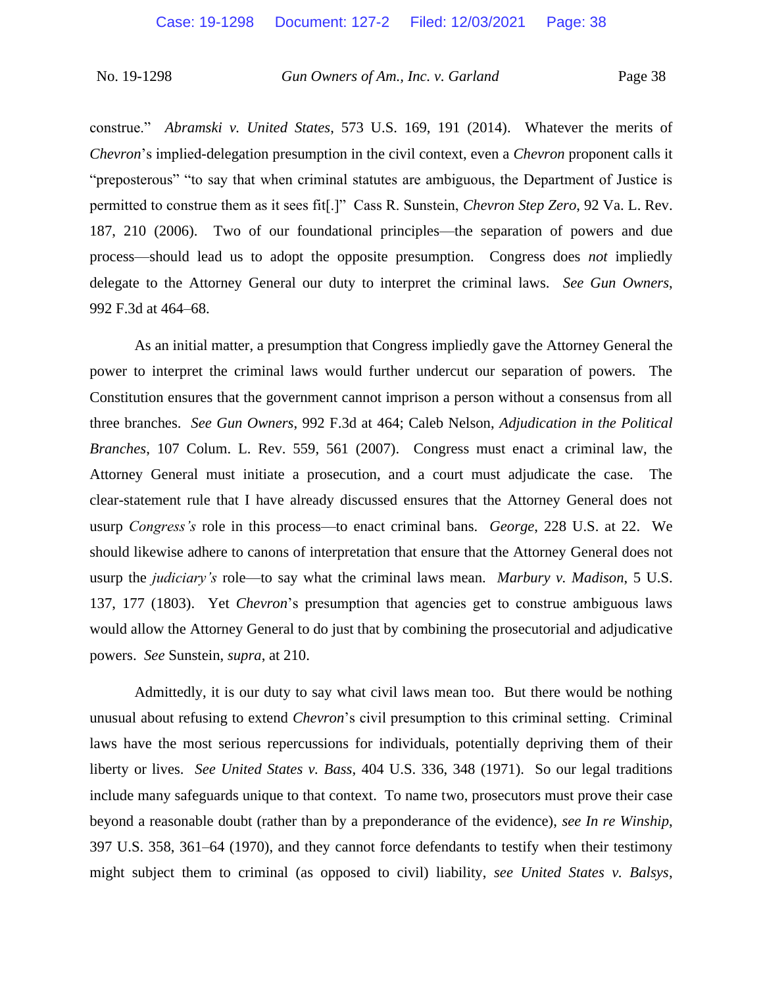construe." *Abramski v. United States*, 573 U.S. 169, 191 (2014). Whatever the merits of *Chevron*'s implied-delegation presumption in the civil context, even a *Chevron* proponent calls it "preposterous" "to say that when criminal statutes are ambiguous, the Department of Justice is permitted to construe them as it sees fit[.]" Cass R. Sunstein, *Chevron Step Zero*, 92 Va. L. Rev. 187, 210 (2006). Two of our foundational principles—the separation of powers and due process—should lead us to adopt the opposite presumption. Congress does *not* impliedly delegate to the Attorney General our duty to interpret the criminal laws. *See Gun Owners*, 992 F.3d at 464–68.

As an initial matter, a presumption that Congress impliedly gave the Attorney General the power to interpret the criminal laws would further undercut our separation of powers. The Constitution ensures that the government cannot imprison a person without a consensus from all three branches. *See Gun Owners*, 992 F.3d at 464; Caleb Nelson, *Adjudication in the Political Branches*, 107 Colum. L. Rev. 559, 561 (2007). Congress must enact a criminal law, the Attorney General must initiate a prosecution, and a court must adjudicate the case. The clear-statement rule that I have already discussed ensures that the Attorney General does not usurp *Congress's* role in this process—to enact criminal bans. *George*, 228 U.S. at 22. We should likewise adhere to canons of interpretation that ensure that the Attorney General does not usurp the *judiciary's* role—to say what the criminal laws mean. *Marbury v. Madison*, 5 U.S. 137, 177 (1803). Yet *Chevron*'s presumption that agencies get to construe ambiguous laws would allow the Attorney General to do just that by combining the prosecutorial and adjudicative powers. *See* Sunstein, *supra*, at 210.

Admittedly, it is our duty to say what civil laws mean too. But there would be nothing unusual about refusing to extend *Chevron*'s civil presumption to this criminal setting. Criminal laws have the most serious repercussions for individuals, potentially depriving them of their liberty or lives. *See United States v. Bass*, 404 U.S. 336, 348 (1971). So our legal traditions include many safeguards unique to that context. To name two, prosecutors must prove their case beyond a reasonable doubt (rather than by a preponderance of the evidence), *see In re Winship*, 397 U.S. 358, 361–64 (1970), and they cannot force defendants to testify when their testimony might subject them to criminal (as opposed to civil) liability, *see United States v. Balsys*,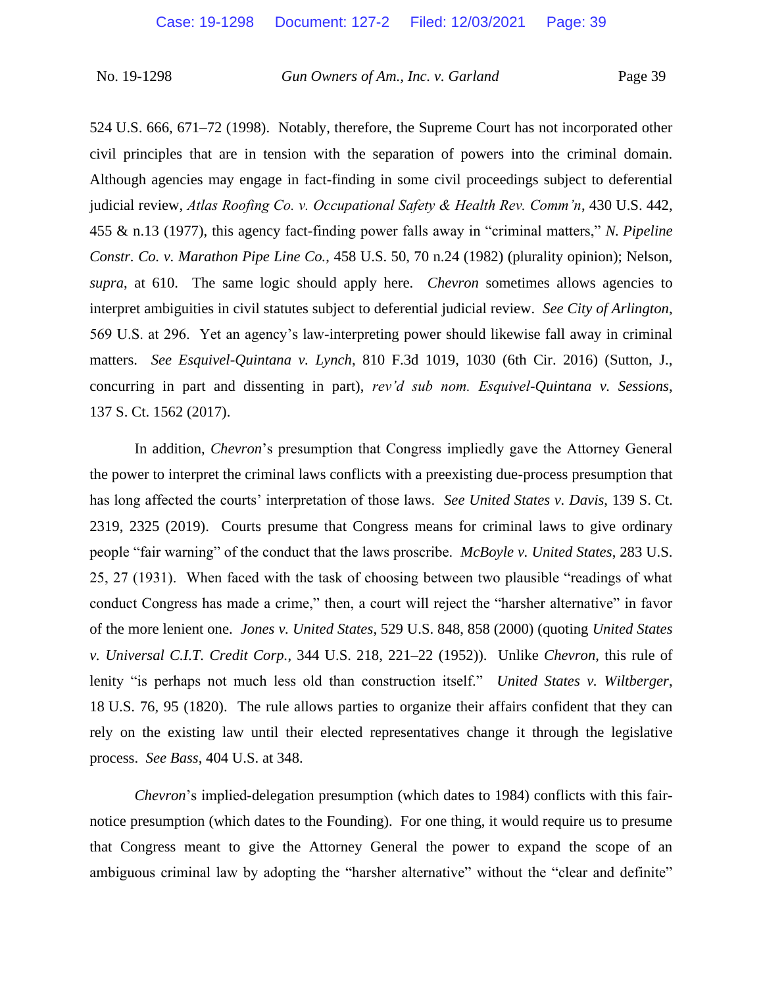524 U.S. 666, 671–72 (1998). Notably, therefore, the Supreme Court has not incorporated other civil principles that are in tension with the separation of powers into the criminal domain. Although agencies may engage in fact-finding in some civil proceedings subject to deferential judicial review, *Atlas Roofing Co. v. Occupational Safety & Health Rev. Comm'n*, 430 U.S. 442, 455 & n.13 (1977), this agency fact-finding power falls away in "criminal matters," *N. Pipeline Constr. Co. v. Marathon Pipe Line Co.*, 458 U.S. 50, 70 n.24 (1982) (plurality opinion); Nelson, *supra*, at 610. The same logic should apply here. *Chevron* sometimes allows agencies to interpret ambiguities in civil statutes subject to deferential judicial review. *See City of Arlington*, 569 U.S. at 296. Yet an agency's law-interpreting power should likewise fall away in criminal matters. *See Esquivel-Quintana v. Lynch*, 810 F.3d 1019, 1030 (6th Cir. 2016) (Sutton, J., concurring in part and dissenting in part), *rev'd sub nom. Esquivel-Quintana v. Sessions*, 137 S. Ct. 1562 (2017).

In addition, *Chevron*'s presumption that Congress impliedly gave the Attorney General the power to interpret the criminal laws conflicts with a preexisting due-process presumption that has long affected the courts' interpretation of those laws. *See United States v. Davis*, 139 S. Ct. 2319, 2325 (2019). Courts presume that Congress means for criminal laws to give ordinary people "fair warning" of the conduct that the laws proscribe. *McBoyle v. United States*, 283 U.S. 25, 27 (1931). When faced with the task of choosing between two plausible "readings of what conduct Congress has made a crime," then, a court will reject the "harsher alternative" in favor of the more lenient one. *Jones v. United States*, 529 U.S. 848, 858 (2000) (quoting *United States v. Universal C.I.T. Credit Corp.*, 344 U.S. 218, 221–22 (1952)). Unlike *Chevron*, this rule of lenity "is perhaps not much less old than construction itself." *United States v. Wiltberger*, 18 U.S. 76, 95 (1820). The rule allows parties to organize their affairs confident that they can rely on the existing law until their elected representatives change it through the legislative process. *See Bass*, 404 U.S. at 348.

*Chevron*'s implied-delegation presumption (which dates to 1984) conflicts with this fairnotice presumption (which dates to the Founding). For one thing, it would require us to presume that Congress meant to give the Attorney General the power to expand the scope of an ambiguous criminal law by adopting the "harsher alternative" without the "clear and definite"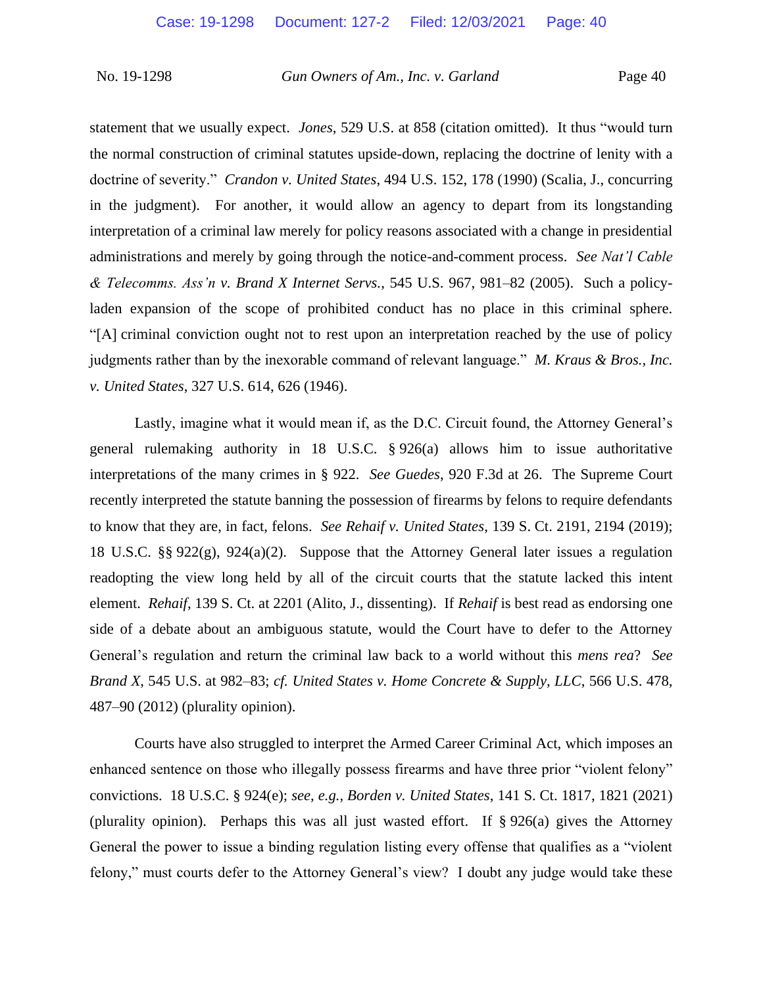statement that we usually expect. *Jones*, 529 U.S. at 858 (citation omitted). It thus "would turn the normal construction of criminal statutes upside-down, replacing the doctrine of lenity with a doctrine of severity." *Crandon v. United States*, 494 U.S. 152, 178 (1990) (Scalia, J., concurring in the judgment). For another, it would allow an agency to depart from its longstanding interpretation of a criminal law merely for policy reasons associated with a change in presidential administrations and merely by going through the notice-and-comment process. *See Nat'l Cable & Telecomms. Ass'n v. Brand X Internet Servs.*, 545 U.S. 967, 981–82 (2005). Such a policyladen expansion of the scope of prohibited conduct has no place in this criminal sphere. "[A] criminal conviction ought not to rest upon an interpretation reached by the use of policy judgments rather than by the inexorable command of relevant language." *M. Kraus & Bros., Inc. v. United States*, 327 U.S. 614, 626 (1946).

Lastly, imagine what it would mean if, as the D.C. Circuit found, the Attorney General's general rulemaking authority in 18 U.S.C. § 926(a) allows him to issue authoritative interpretations of the many crimes in § 922. *See Guedes*, 920 F.3d at 26. The Supreme Court recently interpreted the statute banning the possession of firearms by felons to require defendants to know that they are, in fact, felons. *See Rehaif v. United States*, 139 S. Ct. 2191, 2194 (2019); 18 U.S.C. §§ 922(g), 924(a)(2). Suppose that the Attorney General later issues a regulation readopting the view long held by all of the circuit courts that the statute lacked this intent element. *Rehaif*, 139 S. Ct. at 2201 (Alito, J., dissenting). If *Rehaif* is best read as endorsing one side of a debate about an ambiguous statute, would the Court have to defer to the Attorney General's regulation and return the criminal law back to a world without this *mens rea*? *See Brand X*, 545 U.S. at 982–83; *cf. United States v. Home Concrete & Supply, LLC*, 566 U.S. 478, 487–90 (2012) (plurality opinion).

Courts have also struggled to interpret the Armed Career Criminal Act, which imposes an enhanced sentence on those who illegally possess firearms and have three prior "violent felony" convictions. 18 U.S.C. § 924(e); *see, e.g.*, *Borden v. United States*, 141 S. Ct. 1817, 1821 (2021) (plurality opinion). Perhaps this was all just wasted effort. If § 926(a) gives the Attorney General the power to issue a binding regulation listing every offense that qualifies as a "violent felony," must courts defer to the Attorney General's view? I doubt any judge would take these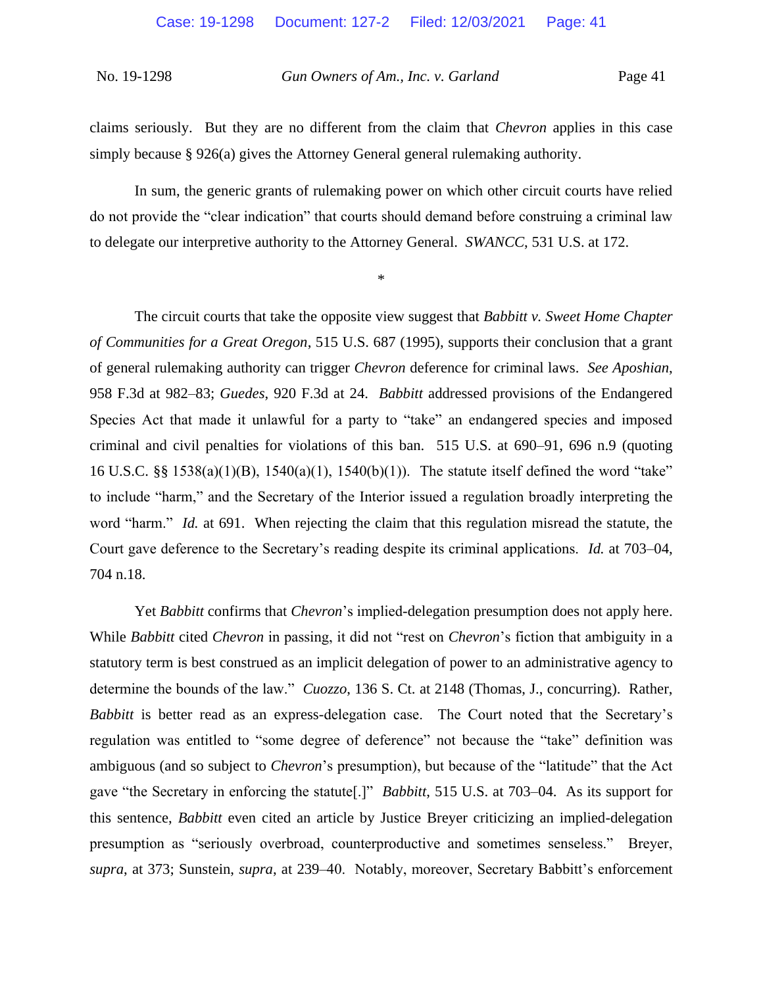claims seriously. But they are no different from the claim that *Chevron* applies in this case simply because  $\S 926(a)$  gives the Attorney General general rulemaking authority.

In sum, the generic grants of rulemaking power on which other circuit courts have relied do not provide the "clear indication" that courts should demand before construing a criminal law to delegate our interpretive authority to the Attorney General. *SWANCC*, 531 U.S. at 172.

\*

The circuit courts that take the opposite view suggest that *Babbitt v. Sweet Home Chapter of Communities for a Great Oregon*, 515 U.S. 687 (1995), supports their conclusion that a grant of general rulemaking authority can trigger *Chevron* deference for criminal laws. *See Aposhian*, 958 F.3d at 982–83; *Guedes*, 920 F.3d at 24. *Babbitt* addressed provisions of the Endangered Species Act that made it unlawful for a party to "take" an endangered species and imposed criminal and civil penalties for violations of this ban. 515 U.S. at 690–91, 696 n.9 (quoting 16 U.S.C. §§ 1538(a)(1)(B), 1540(a)(1), 1540(b)(1)). The statute itself defined the word "take" to include "harm," and the Secretary of the Interior issued a regulation broadly interpreting the word "harm." *Id.* at 691. When rejecting the claim that this regulation misread the statute, the Court gave deference to the Secretary's reading despite its criminal applications. *Id.* at 703–04, 704 n.18.

Yet *Babbitt* confirms that *Chevron*'s implied-delegation presumption does not apply here. While *Babbitt* cited *Chevron* in passing, it did not "rest on *Chevron*'s fiction that ambiguity in a statutory term is best construed as an implicit delegation of power to an administrative agency to determine the bounds of the law." *Cuozzo*, 136 S. Ct. at 2148 (Thomas, J., concurring). Rather, *Babbitt* is better read as an express-delegation case. The Court noted that the Secretary's regulation was entitled to "some degree of deference" not because the "take" definition was ambiguous (and so subject to *Chevron*'s presumption), but because of the "latitude" that the Act gave "the Secretary in enforcing the statute[.]" *Babbitt*, 515 U.S. at 703–04. As its support for this sentence, *Babbitt* even cited an article by Justice Breyer criticizing an implied-delegation presumption as "seriously overbroad, counterproductive and sometimes senseless." Breyer, *supra*, at 373; Sunstein, *supra*, at 239–40. Notably, moreover, Secretary Babbitt's enforcement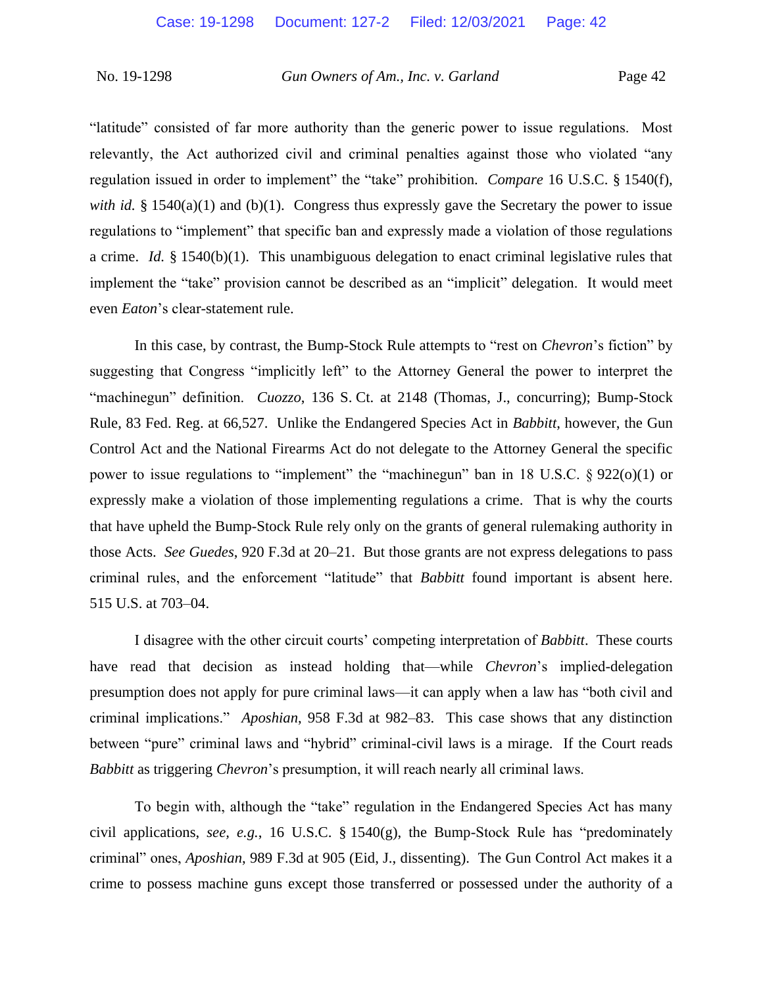"latitude" consisted of far more authority than the generic power to issue regulations. Most relevantly, the Act authorized civil and criminal penalties against those who violated "any regulation issued in order to implement" the "take" prohibition. *Compare* 16 U.S.C. § 1540(f), *with id.* § 1540(a)(1) and (b)(1). Congress thus expressly gave the Secretary the power to issue regulations to "implement" that specific ban and expressly made a violation of those regulations a crime. *Id.* § 1540(b)(1). This unambiguous delegation to enact criminal legislative rules that implement the "take" provision cannot be described as an "implicit" delegation. It would meet even *Eaton*'s clear-statement rule.

In this case, by contrast, the Bump-Stock Rule attempts to "rest on *Chevron*'s fiction" by suggesting that Congress "implicitly left" to the Attorney General the power to interpret the "machinegun" definition. *Cuozzo*, 136 S. Ct. at 2148 (Thomas, J., concurring); Bump-Stock Rule, 83 Fed. Reg. at 66,527. Unlike the Endangered Species Act in *Babbitt*, however, the Gun Control Act and the National Firearms Act do not delegate to the Attorney General the specific power to issue regulations to "implement" the "machinegun" ban in 18 U.S.C. § 922(o)(1) or expressly make a violation of those implementing regulations a crime. That is why the courts that have upheld the Bump-Stock Rule rely only on the grants of general rulemaking authority in those Acts. *See Guedes*, 920 F.3d at 20–21. But those grants are not express delegations to pass criminal rules, and the enforcement "latitude" that *Babbitt* found important is absent here. 515 U.S. at 703–04.

I disagree with the other circuit courts' competing interpretation of *Babbitt*. These courts have read that decision as instead holding that—while *Chevron*'s implied-delegation presumption does not apply for pure criminal laws—it can apply when a law has "both civil and criminal implications." *Aposhian*, 958 F.3d at 982–83. This case shows that any distinction between "pure" criminal laws and "hybrid" criminal-civil laws is a mirage. If the Court reads *Babbitt* as triggering *Chevron*'s presumption, it will reach nearly all criminal laws.

To begin with, although the "take" regulation in the Endangered Species Act has many civil applications, *see, e.g.*, 16 U.S.C. § 1540(g), the Bump-Stock Rule has "predominately criminal" ones, *Aposhian*, 989 F.3d at 905 (Eid, J., dissenting). The Gun Control Act makes it a crime to possess machine guns except those transferred or possessed under the authority of a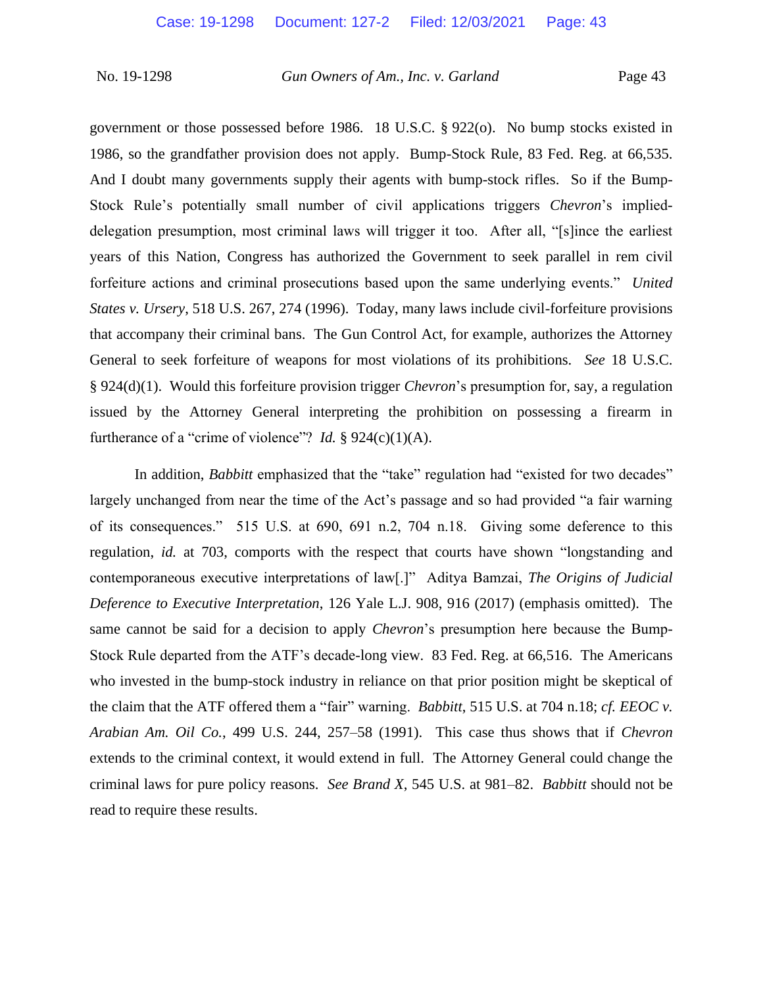government or those possessed before 1986. 18 U.S.C. § 922(o). No bump stocks existed in 1986, so the grandfather provision does not apply. Bump-Stock Rule, 83 Fed. Reg. at 66,535. And I doubt many governments supply their agents with bump-stock rifles. So if the Bump-Stock Rule's potentially small number of civil applications triggers *Chevron*'s implieddelegation presumption, most criminal laws will trigger it too. After all, "[s]ince the earliest years of this Nation, Congress has authorized the Government to seek parallel in rem civil forfeiture actions and criminal prosecutions based upon the same underlying events." *United States v. Ursery*, 518 U.S. 267, 274 (1996). Today, many laws include civil-forfeiture provisions that accompany their criminal bans. The Gun Control Act, for example, authorizes the Attorney General to seek forfeiture of weapons for most violations of its prohibitions. *See* 18 U.S.C. § 924(d)(1). Would this forfeiture provision trigger *Chevron*'s presumption for, say, a regulation issued by the Attorney General interpreting the prohibition on possessing a firearm in furtherance of a "crime of violence"? *Id.*  $\S 924(c)(1)(A)$ .

In addition, *Babbitt* emphasized that the "take" regulation had "existed for two decades" largely unchanged from near the time of the Act's passage and so had provided "a fair warning of its consequences." 515 U.S. at 690, 691 n.2, 704 n.18. Giving some deference to this regulation, *id.* at 703, comports with the respect that courts have shown "longstanding and contemporaneous executive interpretations of law[.]" Aditya Bamzai, *The Origins of Judicial Deference to Executive Interpretation*, 126 Yale L.J. 908, 916 (2017) (emphasis omitted). The same cannot be said for a decision to apply *Chevron*'s presumption here because the Bump-Stock Rule departed from the ATF's decade-long view. 83 Fed. Reg. at 66,516. The Americans who invested in the bump-stock industry in reliance on that prior position might be skeptical of the claim that the ATF offered them a "fair" warning. *Babbitt*, 515 U.S. at 704 n.18; *cf. EEOC v. Arabian Am. Oil Co.*, 499 U.S. 244, 257–58 (1991). This case thus shows that if *Chevron* extends to the criminal context, it would extend in full. The Attorney General could change the criminal laws for pure policy reasons. *See Brand X*, 545 U.S. at 981–82. *Babbitt* should not be read to require these results.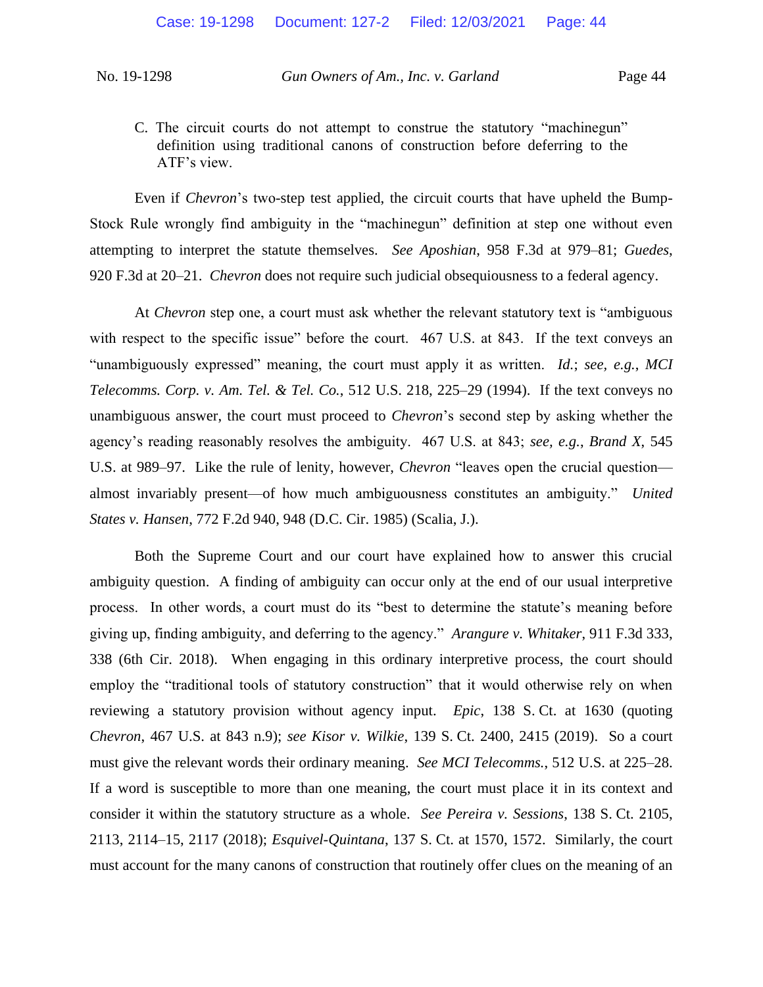C. The circuit courts do not attempt to construe the statutory "machinegun" definition using traditional canons of construction before deferring to the ATF's view.

Even if *Chevron*'s two-step test applied, the circuit courts that have upheld the Bump-Stock Rule wrongly find ambiguity in the "machinegun" definition at step one without even attempting to interpret the statute themselves. *See Aposhian*, 958 F.3d at 979–81; *Guedes*, 920 F.3d at 20–21. *Chevron* does not require such judicial obsequiousness to a federal agency.

At *Chevron* step one, a court must ask whether the relevant statutory text is "ambiguous with respect to the specific issue" before the court. 467 U.S. at 843. If the text conveys an "unambiguously expressed" meaning, the court must apply it as written. *Id.*; *see, e.g.*, *MCI Telecomms. Corp. v. Am. Tel. & Tel. Co.*, 512 U.S. 218, 225–29 (1994). If the text conveys no unambiguous answer, the court must proceed to *Chevron*'s second step by asking whether the agency's reading reasonably resolves the ambiguity. 467 U.S. at 843; *see, e.g.*, *Brand X*, 545 U.S. at 989–97. Like the rule of lenity, however, *Chevron* "leaves open the crucial question almost invariably present—of how much ambiguousness constitutes an ambiguity." *United States v. Hansen*, 772 F.2d 940, 948 (D.C. Cir. 1985) (Scalia, J.).

Both the Supreme Court and our court have explained how to answer this crucial ambiguity question. A finding of ambiguity can occur only at the end of our usual interpretive process. In other words, a court must do its "best to determine the statute's meaning before giving up, finding ambiguity, and deferring to the agency." *Arangure v. Whitaker*, 911 F.3d 333, 338 (6th Cir. 2018). When engaging in this ordinary interpretive process, the court should employ the "traditional tools of statutory construction" that it would otherwise rely on when reviewing a statutory provision without agency input. *Epic*, 138 S. Ct. at 1630 (quoting *Chevron*, 467 U.S. at 843 n.9); *see Kisor v. Wilkie*, 139 S. Ct. 2400, 2415 (2019). So a court must give the relevant words their ordinary meaning. *See MCI Telecomms.*, 512 U.S. at 225–28. If a word is susceptible to more than one meaning, the court must place it in its context and consider it within the statutory structure as a whole. *See Pereira v. Sessions*, 138 S. Ct. 2105, 2113, 2114–15, 2117 (2018); *Esquivel-Quintana*, 137 S. Ct. at 1570, 1572. Similarly, the court must account for the many canons of construction that routinely offer clues on the meaning of an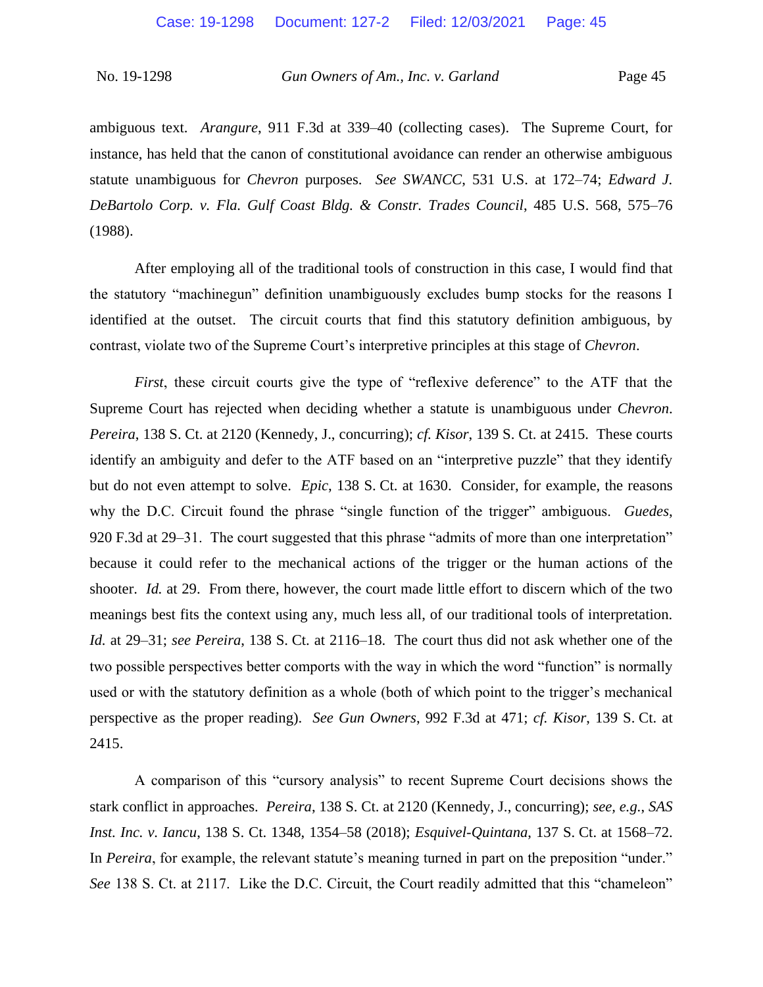ambiguous text. *Arangure*, 911 F.3d at 339–40 (collecting cases). The Supreme Court, for instance, has held that the canon of constitutional avoidance can render an otherwise ambiguous statute unambiguous for *Chevron* purposes. *See SWANCC*, 531 U.S. at 172–74; *Edward J. DeBartolo Corp. v. Fla. Gulf Coast Bldg. & Constr. Trades Council*, 485 U.S. 568, 575–76 (1988).

After employing all of the traditional tools of construction in this case, I would find that the statutory "machinegun" definition unambiguously excludes bump stocks for the reasons I identified at the outset. The circuit courts that find this statutory definition ambiguous, by contrast, violate two of the Supreme Court's interpretive principles at this stage of *Chevron*.

*First*, these circuit courts give the type of "reflexive deference" to the ATF that the Supreme Court has rejected when deciding whether a statute is unambiguous under *Chevron*. *Pereira*, 138 S. Ct. at 2120 (Kennedy, J., concurring); *cf. Kisor*, 139 S. Ct. at 2415. These courts identify an ambiguity and defer to the ATF based on an "interpretive puzzle" that they identify but do not even attempt to solve. *Epic*, 138 S. Ct. at 1630. Consider, for example, the reasons why the D.C. Circuit found the phrase "single function of the trigger" ambiguous. *Guedes*, 920 F.3d at 29–31. The court suggested that this phrase "admits of more than one interpretation" because it could refer to the mechanical actions of the trigger or the human actions of the shooter. *Id.* at 29. From there, however, the court made little effort to discern which of the two meanings best fits the context using any, much less all, of our traditional tools of interpretation. *Id.* at 29–31; *see Pereira*, 138 S. Ct. at 2116–18. The court thus did not ask whether one of the two possible perspectives better comports with the way in which the word "function" is normally used or with the statutory definition as a whole (both of which point to the trigger's mechanical perspective as the proper reading). *See Gun Owners*, 992 F.3d at 471; *cf. Kisor*, 139 S. Ct. at 2415.

A comparison of this "cursory analysis" to recent Supreme Court decisions shows the stark conflict in approaches. *Pereira*, 138 S. Ct. at 2120 (Kennedy, J., concurring); *see, e.g.*, *SAS Inst. Inc. v. Iancu*, 138 S. Ct. 1348, 1354–58 (2018); *Esquivel-Quintana*, 137 S. Ct. at 1568–72. In *Pereira*, for example, the relevant statute's meaning turned in part on the preposition "under." *See* 138 S. Ct. at 2117. Like the D.C. Circuit, the Court readily admitted that this "chameleon"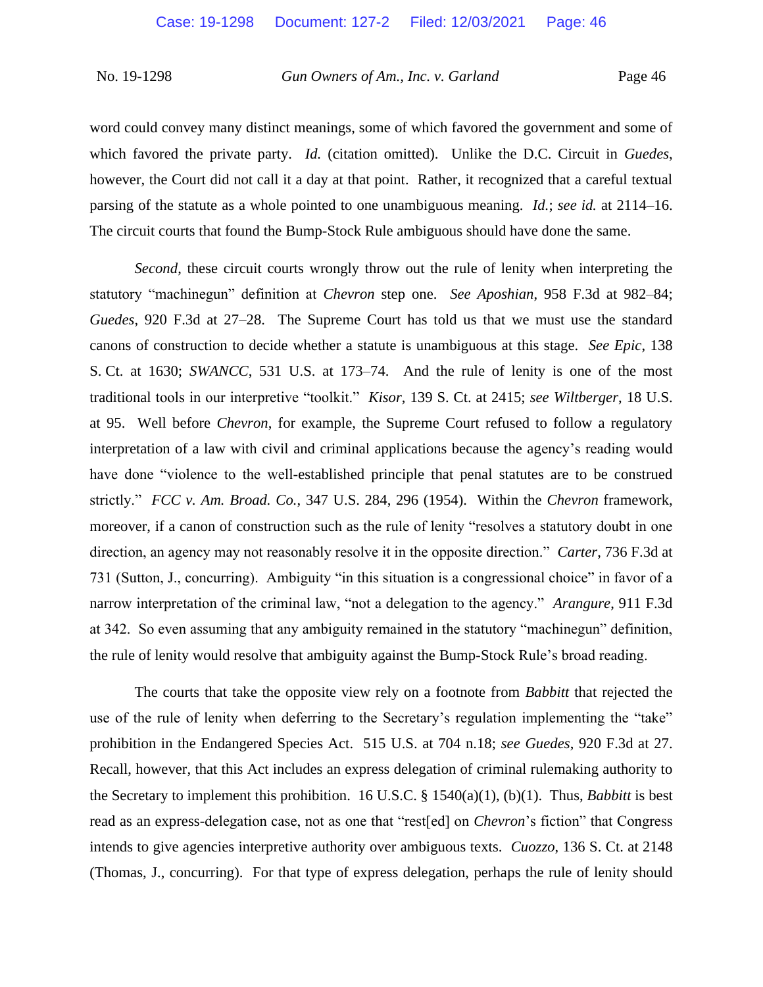word could convey many distinct meanings, some of which favored the government and some of which favored the private party. *Id.* (citation omitted). Unlike the D.C. Circuit in *Guedes*, however, the Court did not call it a day at that point. Rather, it recognized that a careful textual parsing of the statute as a whole pointed to one unambiguous meaning. *Id.*; *see id.* at 2114–16. The circuit courts that found the Bump-Stock Rule ambiguous should have done the same.

*Second*, these circuit courts wrongly throw out the rule of lenity when interpreting the statutory "machinegun" definition at *Chevron* step one. *See Aposhian*, 958 F.3d at 982–84; *Guedes*, 920 F.3d at 27–28. The Supreme Court has told us that we must use the standard canons of construction to decide whether a statute is unambiguous at this stage. *See Epic*, 138 S. Ct. at 1630; *SWANCC*, 531 U.S. at 173–74. And the rule of lenity is one of the most traditional tools in our interpretive "toolkit." *Kisor*, 139 S. Ct. at 2415; *see Wiltberger*, 18 U.S. at 95. Well before *Chevron*, for example, the Supreme Court refused to follow a regulatory interpretation of a law with civil and criminal applications because the agency's reading would have done "violence to the well-established principle that penal statutes are to be construed strictly." *FCC v. Am. Broad. Co.*, 347 U.S. 284, 296 (1954). Within the *Chevron* framework, moreover, if a canon of construction such as the rule of lenity "resolves a statutory doubt in one direction, an agency may not reasonably resolve it in the opposite direction." *Carter*, 736 F.3d at 731 (Sutton, J., concurring). Ambiguity "in this situation is a congressional choice" in favor of a narrow interpretation of the criminal law, "not a delegation to the agency." *Arangure*, 911 F.3d at 342. So even assuming that any ambiguity remained in the statutory "machinegun" definition, the rule of lenity would resolve that ambiguity against the Bump-Stock Rule's broad reading.

The courts that take the opposite view rely on a footnote from *Babbitt* that rejected the use of the rule of lenity when deferring to the Secretary's regulation implementing the "take" prohibition in the Endangered Species Act. 515 U.S. at 704 n.18; *see Guedes*, 920 F.3d at 27. Recall, however, that this Act includes an express delegation of criminal rulemaking authority to the Secretary to implement this prohibition. 16 U.S.C. § 1540(a)(1), (b)(1). Thus, *Babbitt* is best read as an express-delegation case, not as one that "rest[ed] on *Chevron*'s fiction" that Congress intends to give agencies interpretive authority over ambiguous texts. *Cuozzo*, 136 S. Ct. at 2148 (Thomas, J., concurring). For that type of express delegation, perhaps the rule of lenity should